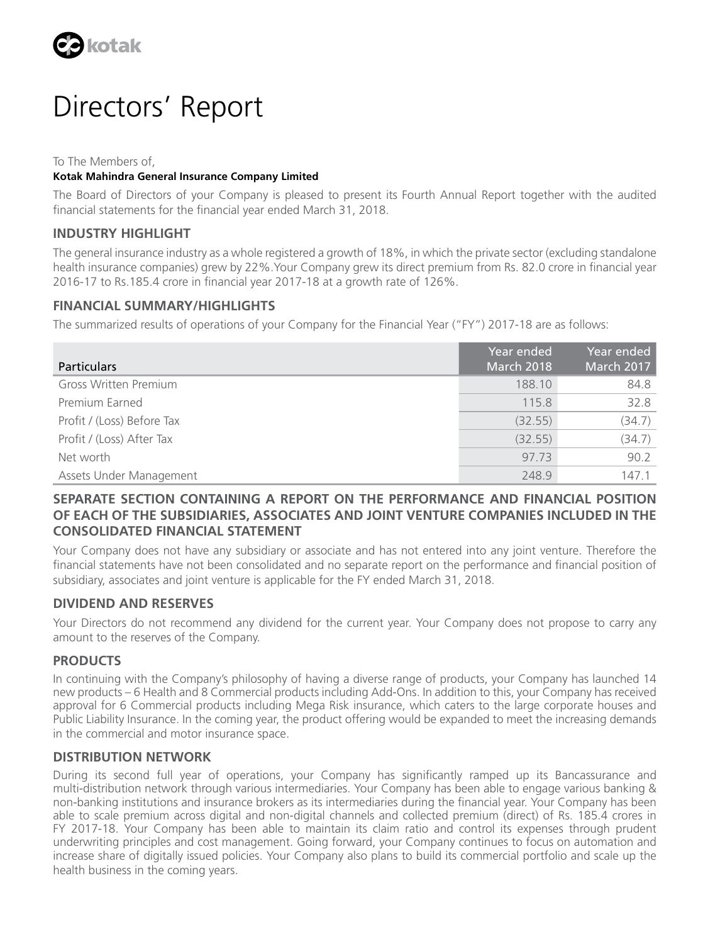

# Directors' Report

To The Members of,

## **Kotak Mahindra General Insurance Company Limited**

The Board of Directors of your Company is pleased to present its Fourth Annual Report together with the audited financial statements for the financial year ended March 31, 2018.

# **INDUSTRY HIGHLIGHT**

The general insurance industry as a whole registered a growth of 18%, in which the private sector (excluding standalone health insurance companies) grew by 22%.Your Company grew its direct premium from Rs. 82.0 crore in financial year 2016-17 to Rs.185.4 crore in financial year 2017-18 at a growth rate of 126%.

# **FINANCIAL SUMMARY/HIGHLIGHTS**

The summarized results of operations of your Company for the Financial Year ("FY") 2017-18 are as follows:

| <b>Particulars</b>         | Year ended<br>March 2018 | Year ended<br>March 2017 |
|----------------------------|--------------------------|--------------------------|
| Gross Written Premium      | 188.10                   | 84.8                     |
| Premium Earned             | 115.8                    | 32.8                     |
| Profit / (Loss) Before Tax | (32.55)                  | (34.7)                   |
| Profit / (Loss) After Tax  | (32.55)                  | (34.7)                   |
| Net worth                  | 97.73                    | 90.2                     |
| Assets Under Management    | 248.9                    | 147.1                    |

# **SEPARATE SECTION CONTAINING A REPORT ON THE PERFORMANCE AND FINANCIAL POSITION OF EACH OF THE SUBSIDIARIES, ASSOCIATES AND JOINT VENTURE COMPANIES INCLUDED IN THE CONSOLIDATED FINANCIAL STATEMENT**

Your Company does not have any subsidiary or associate and has not entered into any joint venture. Therefore the financial statements have not been consolidated and no separate report on the performance and financial position of subsidiary, associates and joint venture is applicable for the FY ended March 31, 2018.

# **DIVIDEND AND RESERVES**

Your Directors do not recommend any dividend for the current year. Your Company does not propose to carry any amount to the reserves of the Company.

# **PRODUCTS**

In continuing with the Company's philosophy of having a diverse range of products, your Company has launched 14 new products – 6 Health and 8 Commercial products including Add-Ons. In addition to this, your Company has received approval for 6 Commercial products including Mega Risk insurance, which caters to the large corporate houses and Public Liability Insurance. In the coming year, the product offering would be expanded to meet the increasing demands in the commercial and motor insurance space.

## **DISTRIBUTION NETWORK**

During its second full year of operations, your Company has significantly ramped up its Bancassurance and multi-distribution network through various intermediaries. Your Company has been able to engage various banking & non-banking institutions and insurance brokers as its intermediaries during the financial year. Your Company has been able to scale premium across digital and non-digital channels and collected premium (direct) of Rs. 185.4 crores in FY 2017-18. Your Company has been able to maintain its claim ratio and control its expenses through prudent underwriting principles and cost management. Going forward, your Company continues to focus on automation and increase share of digitally issued policies. Your Company also plans to build its commercial portfolio and scale up the health business in the coming years.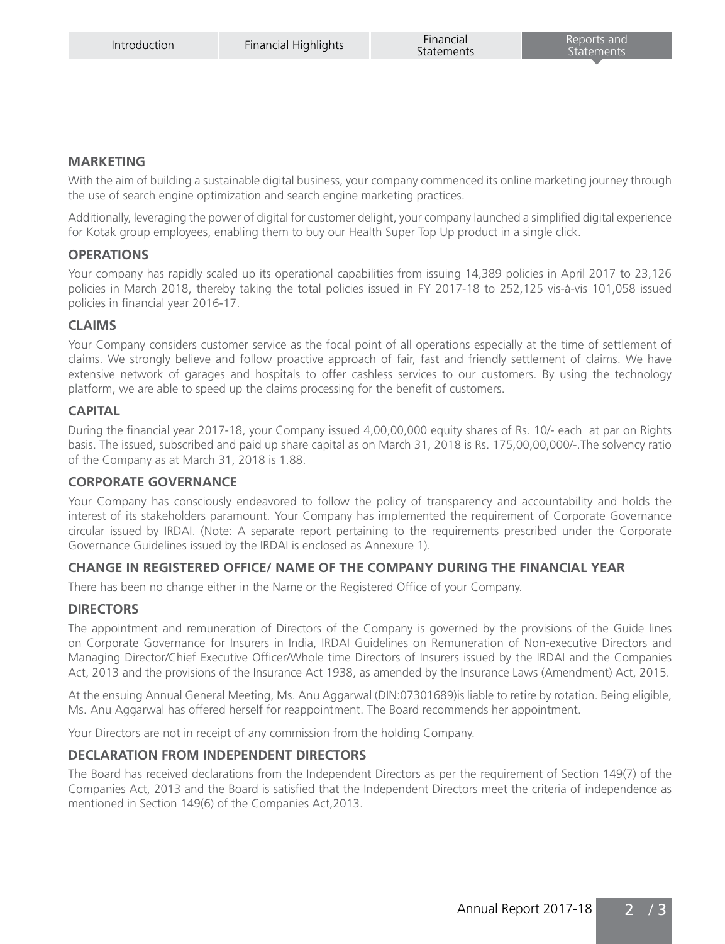# **MARKETING**

With the aim of building a sustainable digital business, your company commenced its online marketing journey through the use of search engine optimization and search engine marketing practices.

Additionally, leveraging the power of digital for customer delight, your company launched a simplified digital experience for Kotak group employees, enabling them to buy our Health Super Top Up product in a single click.

# **OPERATIONS**

Your company has rapidly scaled up its operational capabilities from issuing 14,389 policies in April 2017 to 23,126 policies in March 2018, thereby taking the total policies issued in FY 2017-18 to 252,125 vis-à-vis 101,058 issued policies in financial year 2016-17.

# **CLAIMS**

Your Company considers customer service as the focal point of all operations especially at the time of settlement of claims. We strongly believe and follow proactive approach of fair, fast and friendly settlement of claims. We have extensive network of garages and hospitals to offer cashless services to our customers. By using the technology platform, we are able to speed up the claims processing for the benefit of customers.

# **CAPITAL**

During the financial year 2017-18, your Company issued 4,00,00,000 equity shares of Rs. 10/- each at par on Rights basis. The issued, subscribed and paid up share capital as on March 31, 2018 is Rs. 175,00,00,000/-.The solvency ratio of the Company as at March 31, 2018 is 1.88.

## **CORPORATE GOVERNANCE**

Your Company has consciously endeavored to follow the policy of transparency and accountability and holds the interest of its stakeholders paramount. Your Company has implemented the requirement of Corporate Governance circular issued by IRDAI. (Note: A separate report pertaining to the requirements prescribed under the Corporate Governance Guidelines issued by the IRDAI is enclosed as Annexure 1).

# **CHANGE IN REGISTERED OFFICE/ NAME OF THE COMPANY DURING THE FINANCIAL YEAR**

There has been no change either in the Name or the Registered Office of your Company.

## **DIRECTORS**

The appointment and remuneration of Directors of the Company is governed by the provisions of the Guide lines on Corporate Governance for Insurers in India, IRDAI Guidelines on Remuneration of Non-executive Directors and Managing Director/Chief Executive Officer/Whole time Directors of Insurers issued by the IRDAI and the Companies Act, 2013 and the provisions of the Insurance Act 1938, as amended by the Insurance Laws (Amendment) Act, 2015.

At the ensuing Annual General Meeting, Ms. Anu Aggarwal (DIN:07301689)is liable to retire by rotation. Being eligible, Ms. Anu Aggarwal has offered herself for reappointment. The Board recommends her appointment.

Your Directors are not in receipt of any commission from the holding Company.

# **DECLARATION FROM INDEPENDENT DIRECTORS**

The Board has received declarations from the Independent Directors as per the requirement of Section 149(7) of the Companies Act, 2013 and the Board is satisfied that the Independent Directors meet the criteria of independence as mentioned in Section 149(6) of the Companies Act,2013.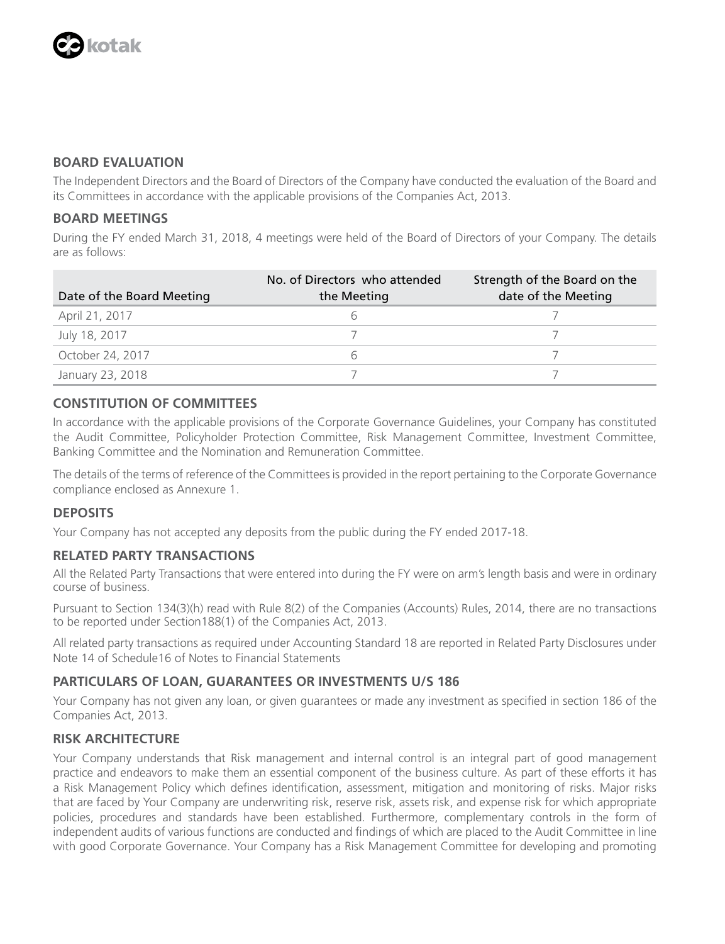

# **BOARD EVALUATION**

The Independent Directors and the Board of Directors of the Company have conducted the evaluation of the Board and its Committees in accordance with the applicable provisions of the Companies Act, 2013.

# **BOARD MEETINGS**

During the FY ended March 31, 2018, 4 meetings were held of the Board of Directors of your Company. The details are as follows:

| Date of the Board Meeting | No. of Directors who attended<br>the Meeting | Strength of the Board on the<br>date of the Meeting |
|---------------------------|----------------------------------------------|-----------------------------------------------------|
| April 21, 2017            |                                              |                                                     |
| July 18, 2017             |                                              |                                                     |
| October 24, 2017          |                                              |                                                     |
| January 23, 2018          |                                              |                                                     |

# **CONSTITUTION OF COMMITTEES**

In accordance with the applicable provisions of the Corporate Governance Guidelines, your Company has constituted the Audit Committee, Policyholder Protection Committee, Risk Management Committee, Investment Committee, Banking Committee and the Nomination and Remuneration Committee.

The details of the terms of reference of the Committees is provided in the report pertaining to the Corporate Governance compliance enclosed as Annexure 1.

# **DEPOSITS**

Your Company has not accepted any deposits from the public during the FY ended 2017-18.

# **RELATED PARTY TRANSACTIONS**

All the Related Party Transactions that were entered into during the FY were on arm's length basis and were in ordinary course of business.

Pursuant to Section 134(3)(h) read with Rule 8(2) of the Companies (Accounts) Rules, 2014, there are no transactions to be reported under Section188(1) of the Companies Act, 2013.

All related party transactions as required under Accounting Standard 18 are reported in Related Party Disclosures under Note 14 of Schedule16 of Notes to Financial Statements

# **PARTICULARS OF LOAN, GUARANTEES OR INVESTMENTS U/S 186**

Your Company has not given any loan, or given guarantees or made any investment as specified in section 186 of the Companies Act, 2013.

# **RISK ARCHITECTURE**

Your Company understands that Risk management and internal control is an integral part of good management practice and endeavors to make them an essential component of the business culture. As part of these efforts it has a Risk Management Policy which defines identification, assessment, mitigation and monitoring of risks. Major risks that are faced by Your Company are underwriting risk, reserve risk, assets risk, and expense risk for which appropriate policies, procedures and standards have been established. Furthermore, complementary controls in the form of independent audits of various functions are conducted and findings of which are placed to the Audit Committee in line with good Corporate Governance. Your Company has a Risk Management Committee for developing and promoting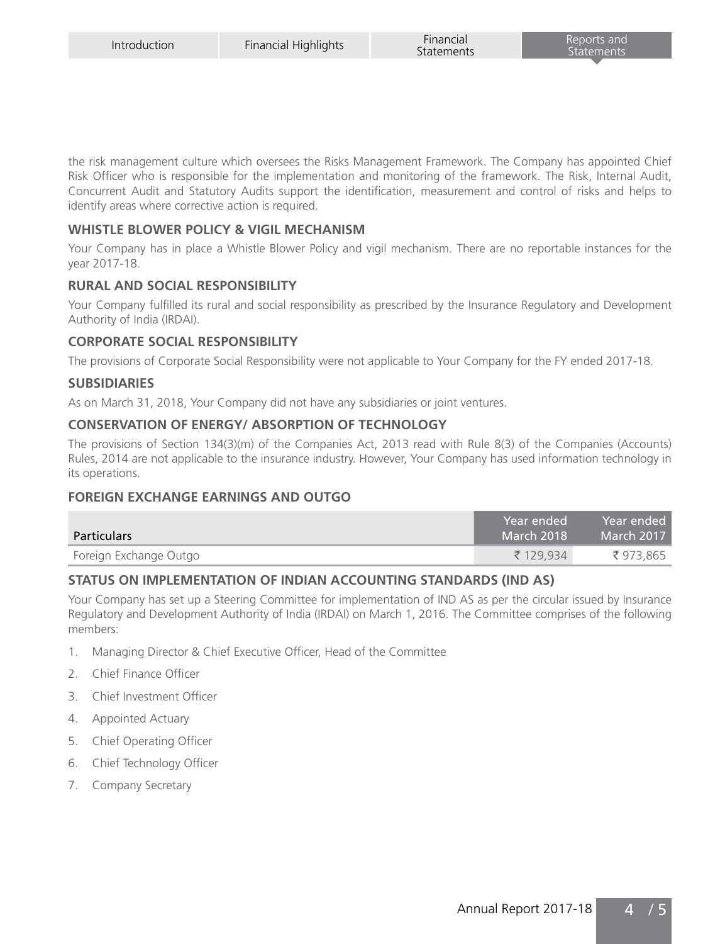the risk management culture which oversees the Risks Management Framework. The Company has appointed Chief Risk Officer who is responsible for the implementation and monitoring of the framework. The Risk, Internal Audit, Concurrent Audit and Statutory Audits support the identification, measurement and control of risks and helps to identify areas where corrective action is required.

# WHISTLE BLOWER POLICY & VIGIL MECHANISM

Your Company has in place a Whistle Blower Policy and vigil mechanism. There are no reportable instances for the year 2017-18.

# **RURAL AND SOCIAL RESPONSIBILITY**

Your Company fulfilled its rural and social responsibility as prescribed by the Insurance Regulatory and Development Authority of India (IRDAI).

# **CORPORATE SOCIAL RESPONSIBILITY**

The provisions of Corporate Social Responsibility were not applicable to Your Company for the FY ended 2017-18.

## **SUBSIDIARIES**

As on March 31, 2018, Your Company did not have any subsidiaries or joint ventures.

# **CONSERVATION OF ENERGY/ ABSORPTION OF TECHNOLOGY**

The provisions of Section 134(3)(m) of the Companies Act, 2013 read with Rule 8(3) of the Companies (Accounts) Rules, 2014 are not applicable to the insurance industry. However, Your Company has used information technology in its operations.

## **FOREIGN EXCHANGE EARNINGS AND OUTGO**

| <b>Particulars</b>     | ı Year ended'<br>March 2018 | Year ended<br>March 2017 |
|------------------------|-----------------------------|--------------------------|
| Foreign Exchange Outgo | ₹ 129.934                   | ₹973.865                 |

# **STATUS ON IMPLEMENTATION OF INDIAN ACCOUNTING STANDARDS (IND AS)**

Your Company has set up a Steering Committee for implementation of IND AS as per the circular issued by Insurance Regulatory and Development Authority of India (IRDAI) on March 1, 2016. The Committee comprises of the following members:

- 1. Managing Director & Chief Executive Officer, Head of the Committee
- 2. Chief Finance Officer
- 3. Chief Investment Officer
- 4. Appointed Actuary
- 5. Chief Operating Officer
- 6. Chief Technology Officer
- 7. Company Secretary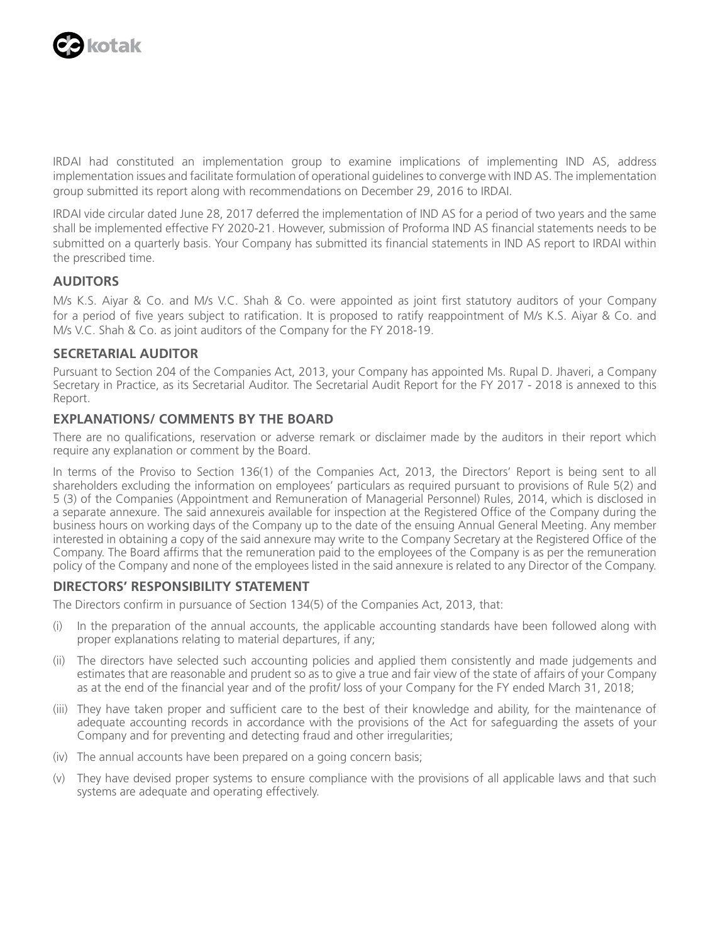

IRDAI had constituted an implementation group to examine implications of implementing IND AS, address implementation issues and facilitate formulation of operational guidelines to converge with IND AS. The implementation group submitted its report along with recommendations on December 29, 2016 to IRDAI.

IRDAI vide circular dated June 28, 2017 deferred the implementation of IND AS for a period of two years and the same shall be implemented effective FY 2020-21. However, submission of Proforma IND AS financial statements needs to be submitted on a quarterly basis. Your Company has submitted its financial statements in IND AS report to IRDAI within the prescribed time.

# **AUDITORS**

M/s K.S. Aiyar & Co. and M/s V.C. Shah & Co. were appointed as joint first statutory auditors of your Company for a period of five years subject to ratification. It is proposed to ratify reappointment of M/s K.S. Aiyar & Co. and M/s V.C. Shah & Co. as joint auditors of the Company for the FY 2018-19.

## **SECRETARIAL AUDITOR**

Pursuant to Section 204 of the Companies Act, 2013, your Company has appointed Ms. Rupal D. Jhaveri, a Company Secretary in Practice, as its Secretarial Auditor. The Secretarial Audit Report for the FY 2017 - 2018 is annexed to this Report.

## **EXPLANATIONS/ COMMENTS BY THE BOARD**

There are no qualifications, reservation or adverse remark or disclaimer made by the auditors in their report which require any explanation or comment by the Board.

In terms of the Proviso to Section 136(1) of the Companies Act, 2013, the Directors' Report is being sent to all shareholders excluding the information on employees' particulars as required pursuant to provisions of Rule 5(2) and 5 (3) of the Companies (Appointment and Remuneration of Managerial Personnel) Rules, 2014, which is disclosed in a separate annexure. The said annexureis available for inspection at the Registered Office of the Company during the business hours on working days of the Company up to the date of the ensuing Annual General Meeting. Any member interested in obtaining a copy of the said annexure may write to the Company Secretary at the Registered Office of the Company. The Board affirms that the remuneration paid to the employees of the Company is as per the remuneration policy of the Company and none of the employees listed in the said annexure is related to any Director of the Company.

# **DIRECTORS' RESPONSIBILITY STATEMENT**

The Directors confirm in pursuance of Section 134(5) of the Companies Act, 2013, that:

- (i) In the preparation of the annual accounts, the applicable accounting standards have been followed along with proper explanations relating to material departures, if any;
- (ii) The directors have selected such accounting policies and applied them consistently and made judgements and estimates that are reasonable and prudent so as to give a true and fair view of the state of affairs of your Company as at the end of the financial year and of the profit/ loss of your Company for the FY ended March 31, 2018;
- (iii) They have taken proper and sufficient care to the best of their knowledge and ability, for the maintenance of adequate accounting records in accordance with the provisions of the Act for safeguarding the assets of your Company and for preventing and detecting fraud and other irregularities;
- (iv) The annual accounts have been prepared on a going concern basis;
- (v) They have devised proper systems to ensure compliance with the provisions of all applicable laws and that such systems are adequate and operating effectively.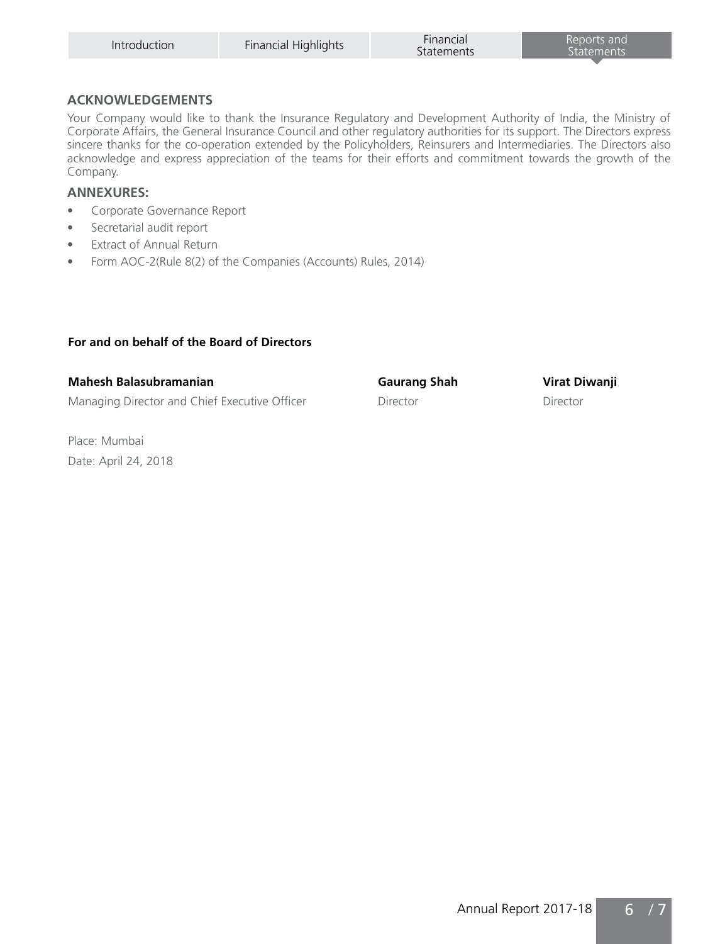| Introduction | Financial Highlights | Financial<br>Statements | Reports and<br>Statements |
|--------------|----------------------|-------------------------|---------------------------|
|              |                      |                         |                           |

## **ACKNOWLEDGEMENTS**

Your Company would like to thank the Insurance Regulatory and Development Authority of India, the Ministry of Corporate Affairs, the General Insurance Council and other regulatory authorities for its support. The Directors express sincere thanks for the co-operation extended by the Policyholders, Reinsurers and Intermediaries. The Directors also acknowledge and express appreciation of the teams for their efforts and commitment towards the growth of the Company.

# **ANNEXURES:**

- Corporate Governance Report
- Secretarial audit report
- Extract of Annual Return
- Form AOC-2(Rule 8(2) of the Companies (Accounts) Rules, 2014)

# **For and on behalf of the Board of Directors**

| Mahesh Balasubramanian                        | Gaurang Shah | Virat Diwanji |
|-----------------------------------------------|--------------|---------------|
| Managing Director and Chief Executive Officer | Director     | Director      |

Place: Mumbai Date: April 24, 2018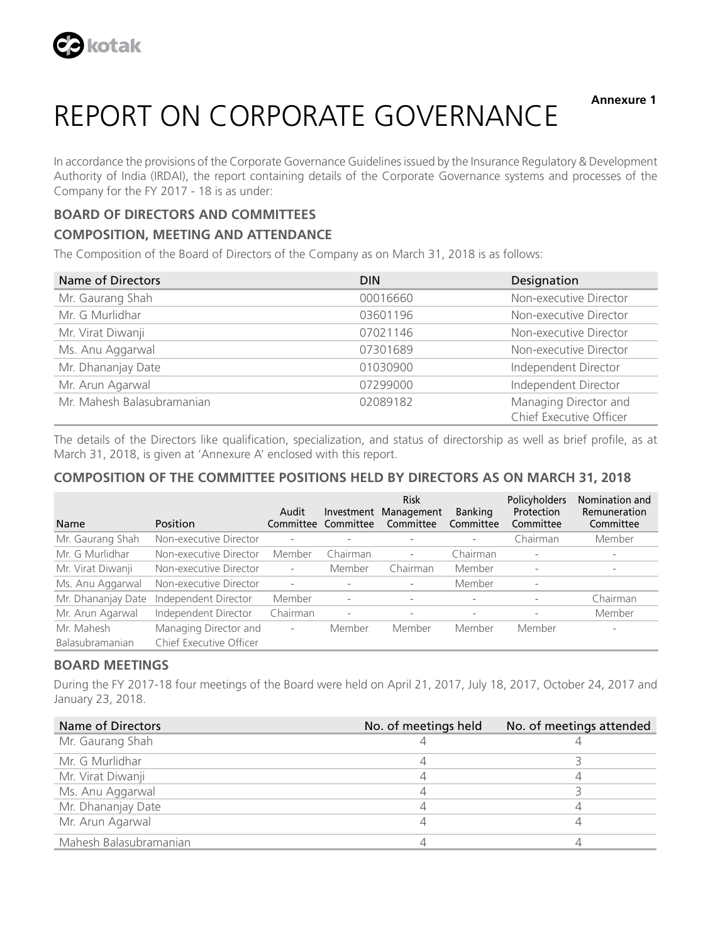

**Annexure 1**

# REPORT ON CORPORATE GOVERNANCE

In accordance the provisions of the Corporate Governance Guidelines issued by the Insurance Regulatory & Development Authority of India (IRDAI), the report containing details of the Corporate Governance systems and processes of the Company for the FY 2017 - 18 is as under:

# **BOARD OF DIRECTORS AND COMMITTEES**

# **COMPOSITION, MEETING AND ATTENDANCE**

The Composition of the Board of Directors of the Company as on March 31, 2018 is as follows:

| Name of Directors          | <b>DIN</b> | Designation                                      |
|----------------------------|------------|--------------------------------------------------|
| Mr. Gaurang Shah           | 00016660   | Non-executive Director                           |
| Mr. G Murlidhar            | 03601196   | Non-executive Director                           |
| Mr. Virat Diwanji          | 07021146   | Non-executive Director                           |
| Ms. Anu Aggarwal           | 07301689   | Non-executive Director                           |
| Mr. Dhananjay Date         | 01030900   | Independent Director                             |
| Mr. Arun Agarwal           | 07299000   | Independent Director                             |
| Mr. Mahesh Balasubramanian | 02089182   | Managing Director and<br>Chief Executive Officer |

The details of the Directors like qualification, specialization, and status of directorship as well as brief profile, as at March 31, 2018, is given at 'Annexure A' enclosed with this report.

# **COMPOSITION OF THE COMMITTEE POSITIONS HELD BY DIRECTORS AS ON MARCH 31, 2018**

|                        |                         | Audit                    | Investment               | <b>Risk</b><br>Management | <b>Banking</b>           | Policyholders<br>Protection | Nomination and<br>Remuneration |
|------------------------|-------------------------|--------------------------|--------------------------|---------------------------|--------------------------|-----------------------------|--------------------------------|
| Name                   | Position                | Committee                | Committee                | Committee                 | Committee                | Committee                   | Committee                      |
| Mr. Gaurang Shah       | Non-executive Director  | $\sim$                   |                          |                           |                          | Chairman                    | Member                         |
| Mr. G Murlidhar        | Non-executive Director  | Member                   | Chairman                 | $\overline{a}$            | Chairman                 | $\overline{\phantom{a}}$    | $\overline{\phantom{a}}$       |
| Mr. Virat Diwanji      | Non-executive Director  | $\overline{\phantom{a}}$ | Member                   | Chairman                  | Member                   | $\overline{\phantom{a}}$    | $\overline{\phantom{a}}$       |
| Ms. Anu Aggarwal       | Non-executive Director  | ٠                        |                          |                           | Member                   |                             |                                |
| Mr. Dhananjay Date     | Independent Director    | Member                   | $\overline{a}$           |                           |                          |                             | Chairman                       |
| Mr. Arun Agarwal       | Independent Director    | Chairman                 | $\overline{\phantom{a}}$ | $\overline{\phantom{0}}$  | $\overline{\phantom{a}}$ | $\overline{\phantom{a}}$    | Member                         |
| Mr. Mahesh             | Managing Director and   | $\overline{\phantom{a}}$ | Member                   | Member                    | Member                   | Member                      |                                |
| <b>Balasubramanian</b> | Chief Executive Officer |                          |                          |                           |                          |                             |                                |

## **BOARD MEETINGS**

During the FY 2017-18 four meetings of the Board were held on April 21, 2017, July 18, 2017, October 24, 2017 and January 23, 2018.

| Name of Directors      | No. of meetings held | No. of meetings attended |
|------------------------|----------------------|--------------------------|
| Mr. Gaurang Shah       |                      |                          |
| Mr. G Murlidhar        |                      |                          |
| Mr. Virat Diwanji      |                      |                          |
| Ms. Anu Aggarwal       |                      |                          |
| Mr. Dhananjay Date     |                      |                          |
| Mr. Arun Agarwal       |                      |                          |
| Mahesh Balasubramanian |                      |                          |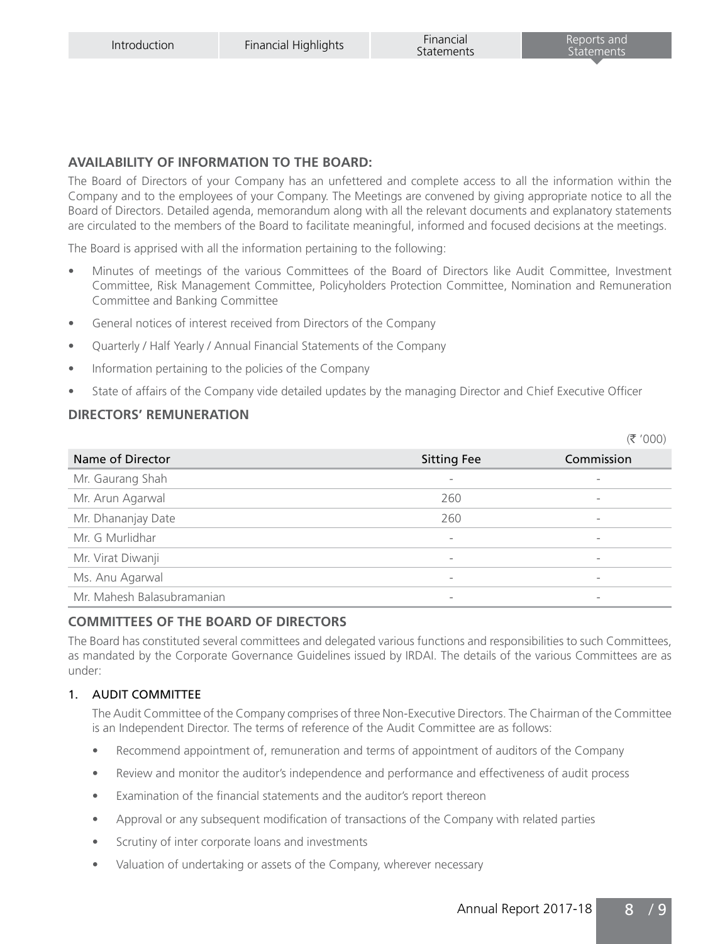# **AVAILABILITY OF INFORMATION TO THE BOARD:**

The Board of Directors of your Company has an unfettered and complete access to all the information within the Company and to the employees of your Company. The Meetings are convened by giving appropriate notice to all the Board of Directors. Detailed agenda, memorandum along with all the relevant documents and explanatory statements are circulated to the members of the Board to facilitate meaningful, informed and focused decisions at the meetings.

The Board is apprised with all the information pertaining to the following:

- Minutes of meetings of the various Committees of the Board of Directors like Audit Committee, Investment Committee, Risk Management Committee, Policyholders Protection Committee, Nomination and Remuneration Committee and Banking Committee
- General notices of interest received from Directors of the Company
- Quarterly / Half Yearly / Annual Financial Statements of the Company
- Information pertaining to the policies of the Company
- State of affairs of the Company vide detailed updates by the managing Director and Chief Executive Officer

## **DIRECTORS' REMUNERATION**

|                            |                          | (5'000)                  |
|----------------------------|--------------------------|--------------------------|
| Name of Director           | <b>Sitting Fee</b>       | Commission               |
| Mr. Gaurang Shah           | $\overline{\phantom{a}}$ |                          |
| Mr. Arun Agarwal           | 260                      |                          |
| Mr. Dhananjay Date         | 260                      | $\overline{\phantom{a}}$ |
| Mr. G Murlidhar            | $\overline{\phantom{a}}$ | $\overline{\phantom{a}}$ |
| Mr. Virat Diwanji          | $\overline{\phantom{a}}$ |                          |
| Ms. Anu Agarwal            | $\overline{\phantom{a}}$ | $\overline{\phantom{a}}$ |
| Mr. Mahesh Balasubramanian | $\overline{\phantom{a}}$ |                          |

# **COMMITTEES OF THE BOARD OF DIRECTORS**

The Board has constituted several committees and delegated various functions and responsibilities to such Committees, as mandated by the Corporate Governance Guidelines issued by IRDAI. The details of the various Committees are as under:

# 1. AUDIT COMMITTEE

The Audit Committee of the Company comprises of three Non-Executive Directors. The Chairman of the Committee is an Independent Director. The terms of reference of the Audit Committee are as follows:

- Recommend appointment of, remuneration and terms of appointment of auditors of the Company
- Review and monitor the auditor's independence and performance and effectiveness of audit process
- Examination of the financial statements and the auditor's report thereon
- Approval or any subsequent modification of transactions of the Company with related parties
- Scrutiny of inter corporate loans and investments
- Valuation of undertaking or assets of the Company, wherever necessary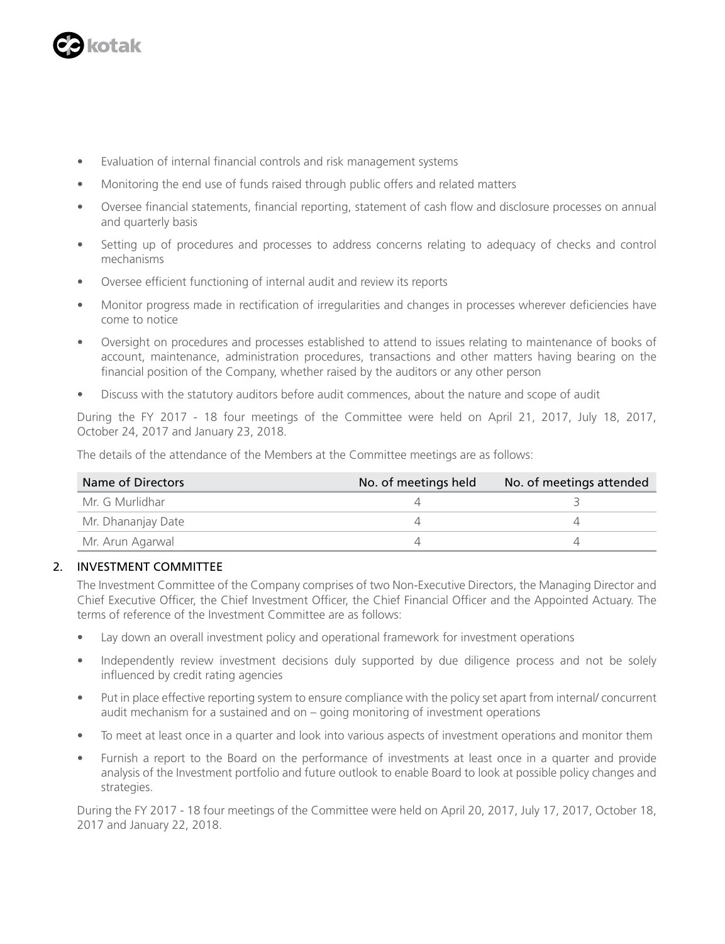

- Evaluation of internal financial controls and risk management systems
- Monitoring the end use of funds raised through public offers and related matters
- Oversee financial statements, financial reporting, statement of cash flow and disclosure processes on annual and quarterly basis
- Setting up of procedures and processes to address concerns relating to adequacy of checks and control mechanisms
- Oversee efficient functioning of internal audit and review its reports
- Monitor progress made in rectification of irregularities and changes in processes wherever deficiencies have come to notice
- Oversight on procedures and processes established to attend to issues relating to maintenance of books of account, maintenance, administration procedures, transactions and other matters having bearing on the financial position of the Company, whether raised by the auditors or any other person
- Discuss with the statutory auditors before audit commences, about the nature and scope of audit

During the FY 2017 - 18 four meetings of the Committee were held on April 21, 2017, July 18, 2017, October 24, 2017 and January 23, 2018.

The details of the attendance of the Members at the Committee meetings are as follows:

| Name of Directors  | No. of meetings held | No. of meetings attended |
|--------------------|----------------------|--------------------------|
| Mr. G Murlidhar    |                      |                          |
| Mr. Dhananjay Date |                      |                          |
| Mr. Arun Agarwal   |                      |                          |

## 2. INVESTMENT COMMITTEE

The Investment Committee of the Company comprises of two Non-Executive Directors, the Managing Director and Chief Executive Officer, the Chief Investment Officer, the Chief Financial Officer and the Appointed Actuary. The terms of reference of the Investment Committee are as follows:

- Lay down an overall investment policy and operational framework for investment operations
- Independently review investment decisions duly supported by due diligence process and not be solely influenced by credit rating agencies
- Put in place effective reporting system to ensure compliance with the policy set apart from internal/ concurrent audit mechanism for a sustained and on – going monitoring of investment operations
- To meet at least once in a quarter and look into various aspects of investment operations and monitor them
- Furnish a report to the Board on the performance of investments at least once in a quarter and provide analysis of the Investment portfolio and future outlook to enable Board to look at possible policy changes and strategies.

During the FY 2017 - 18 four meetings of the Committee were held on April 20, 2017, July 17, 2017, October 18, 2017 and January 22, 2018.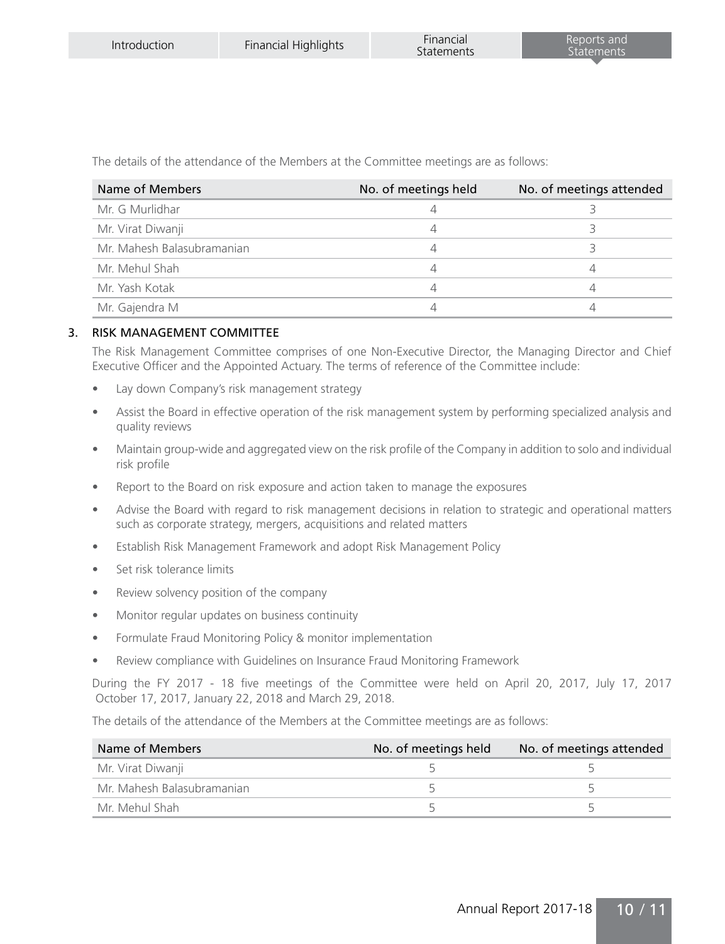The details of the attendance of the Members at the Committee meetings are as follows:

| Name of Members            | No. of meetings held | No. of meetings attended |
|----------------------------|----------------------|--------------------------|
| Mr. G Murlidhar            |                      |                          |
| Mr. Virat Diwanji          |                      |                          |
| Mr. Mahesh Balasubramanian |                      |                          |
| Mr. Mehul Shah             |                      |                          |
| Mr. Yash Kotak             |                      |                          |
| Mr. Gajendra M             |                      |                          |

## 3. RISK MANAGEMENT COMMITTEE

The Risk Management Committee comprises of one Non-Executive Director, the Managing Director and Chief Executive Officer and the Appointed Actuary. The terms of reference of the Committee include:

- Lay down Company's risk management strategy
- Assist the Board in effective operation of the risk management system by performing specialized analysis and quality reviews
- Maintain group-wide and aggregated view on the risk profile of the Company in addition to solo and individual risk profile
- Report to the Board on risk exposure and action taken to manage the exposures
- Advise the Board with regard to risk management decisions in relation to strategic and operational matters such as corporate strategy, mergers, acquisitions and related matters
- Establish Risk Management Framework and adopt Risk Management Policy
- Set risk tolerance limits
- Review solvency position of the company
- Monitor regular updates on business continuity
- Formulate Fraud Monitoring Policy & monitor implementation
- Review compliance with Guidelines on Insurance Fraud Monitoring Framework

During the FY 2017 - 18 five meetings of the Committee were held on April 20, 2017, July 17, 2017 October 17, 2017, January 22, 2018 and March 29, 2018.

The details of the attendance of the Members at the Committee meetings are as follows:

| Name of Members            | No. of meetings held | No. of meetings attended |
|----------------------------|----------------------|--------------------------|
| Mr. Virat Diwanji          |                      |                          |
| Mr. Mahesh Balasubramanian |                      |                          |
| Mr. Mehul Shah             |                      |                          |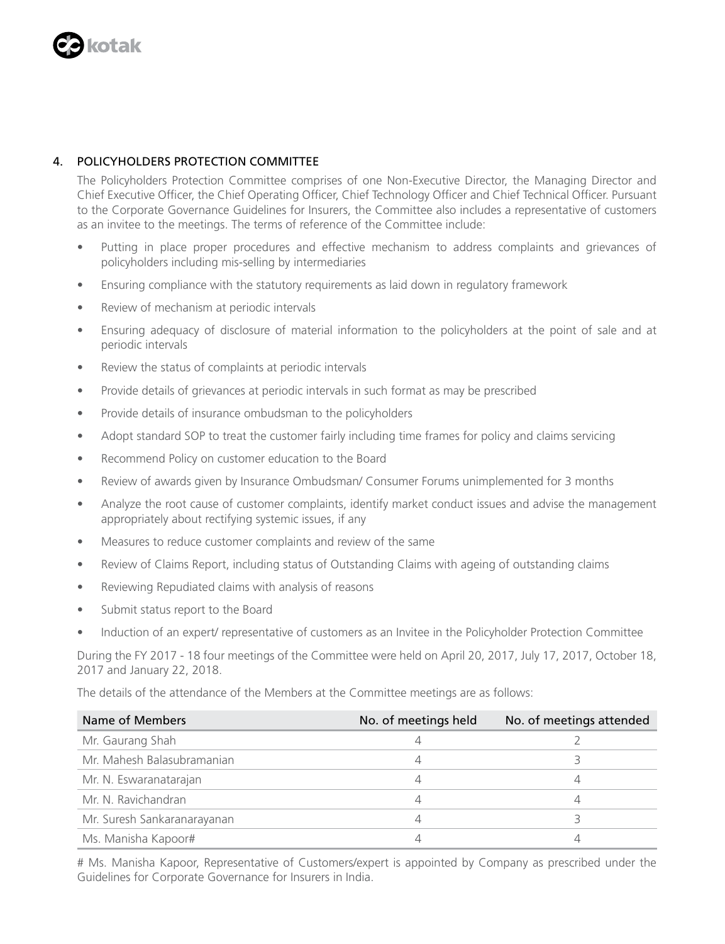

# 4. POLICYHOLDERS PROTECTION COMMITTEE

The Policyholders Protection Committee comprises of one Non-Executive Director, the Managing Director and Chief Executive Officer, the Chief Operating Officer, Chief Technology Officer and Chief Technical Officer. Pursuant to the Corporate Governance Guidelines for Insurers, the Committee also includes a representative of customers as an invitee to the meetings. The terms of reference of the Committee include:

- Putting in place proper procedures and effective mechanism to address complaints and grievances of policyholders including mis-selling by intermediaries
- Ensuring compliance with the statutory requirements as laid down in regulatory framework
- Review of mechanism at periodic intervals
- Ensuring adequacy of disclosure of material information to the policyholders at the point of sale and at periodic intervals
- Review the status of complaints at periodic intervals
- Provide details of grievances at periodic intervals in such format as may be prescribed
- Provide details of insurance ombudsman to the policyholders
- Adopt standard SOP to treat the customer fairly including time frames for policy and claims servicing
- Recommend Policy on customer education to the Board
- Review of awards given by Insurance Ombudsman/ Consumer Forums unimplemented for 3 months
- Analyze the root cause of customer complaints, identify market conduct issues and advise the management appropriately about rectifying systemic issues, if any
- Measures to reduce customer complaints and review of the same
- Review of Claims Report, including status of Outstanding Claims with ageing of outstanding claims
- Reviewing Repudiated claims with analysis of reasons
- Submit status report to the Board
- Induction of an expert/ representative of customers as an Invitee in the Policyholder Protection Committee

During the FY 2017 - 18 four meetings of the Committee were held on April 20, 2017, July 17, 2017, October 18, 2017 and January 22, 2018.

The details of the attendance of the Members at the Committee meetings are as follows:

| Name of Members             | No. of meetings held | No. of meetings attended |
|-----------------------------|----------------------|--------------------------|
| Mr. Gaurang Shah            |                      |                          |
| Mr. Mahesh Balasubramanian  |                      |                          |
| Mr. N. Eswaranatarajan      |                      |                          |
| Mr. N. Ravichandran         |                      |                          |
| Mr. Suresh Sankaranarayanan | 4                    |                          |
| Ms. Manisha Kapoor#         |                      |                          |

# Ms. Manisha Kapoor, Representative of Customers/expert is appointed by Company as prescribed under the Guidelines for Corporate Governance for Insurers in India.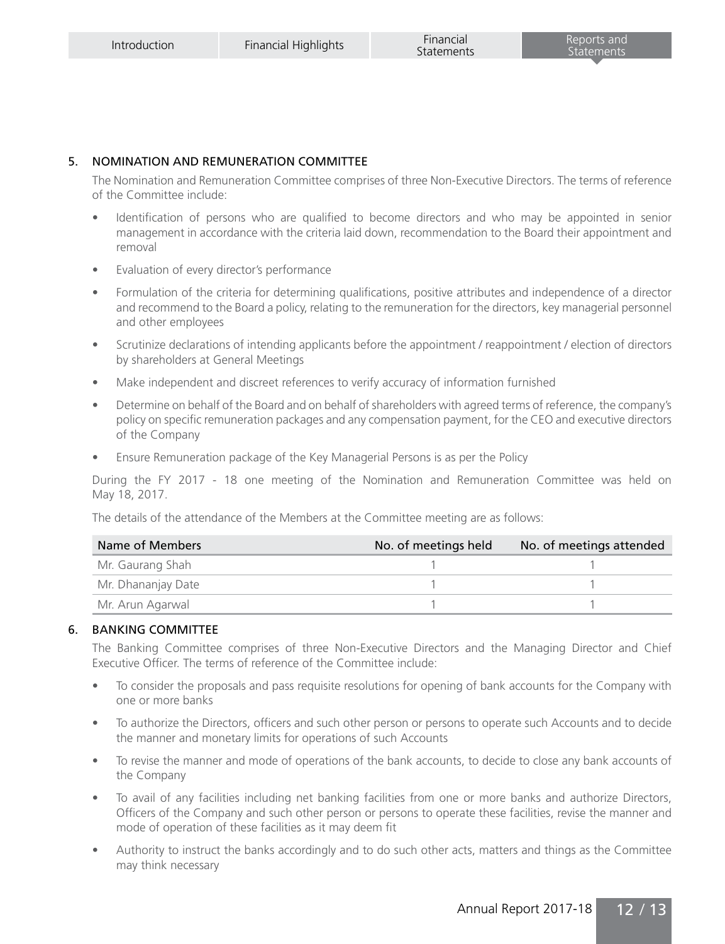# 5. NOMINATION AND REMUNERATION COMMITTEE

The Nomination and Remuneration Committee comprises of three Non-Executive Directors. The terms of reference of the Committee include:

- Identification of persons who are qualified to become directors and who may be appointed in senior management in accordance with the criteria laid down, recommendation to the Board their appointment and removal
- Evaluation of every director's performance
- Formulation of the criteria for determining qualifications, positive attributes and independence of a director and recommend to the Board a policy, relating to the remuneration for the directors, key managerial personnel and other employees
- Scrutinize declarations of intending applicants before the appointment / reappointment / election of directors by shareholders at General Meetings
- Make independent and discreet references to verify accuracy of information furnished
- Determine on behalf of the Board and on behalf of shareholders with agreed terms of reference, the company's policy on specific remuneration packages and any compensation payment, for the CEO and executive directors of the Company
- Ensure Remuneration package of the Key Managerial Persons is as per the Policy

During the FY 2017 - 18 one meeting of the Nomination and Remuneration Committee was held on May 18, 2017.

The details of the attendance of the Members at the Committee meeting are as follows:

| Name of Members    | No. of meetings held | No. of meetings attended |
|--------------------|----------------------|--------------------------|
| Mr. Gaurang Shah   |                      |                          |
| Mr. Dhananjay Date |                      |                          |
| Mr. Arun Agarwal   |                      |                          |

## 6. BANKING COMMITTEE

The Banking Committee comprises of three Non-Executive Directors and the Managing Director and Chief Executive Officer. The terms of reference of the Committee include:

- To consider the proposals and pass requisite resolutions for opening of bank accounts for the Company with one or more banks
- To authorize the Directors, officers and such other person or persons to operate such Accounts and to decide the manner and monetary limits for operations of such Accounts
- To revise the manner and mode of operations of the bank accounts, to decide to close any bank accounts of the Company
- To avail of any facilities including net banking facilities from one or more banks and authorize Directors, Officers of the Company and such other person or persons to operate these facilities, revise the manner and mode of operation of these facilities as it may deem fit
- Authority to instruct the banks accordingly and to do such other acts, matters and things as the Committee may think necessary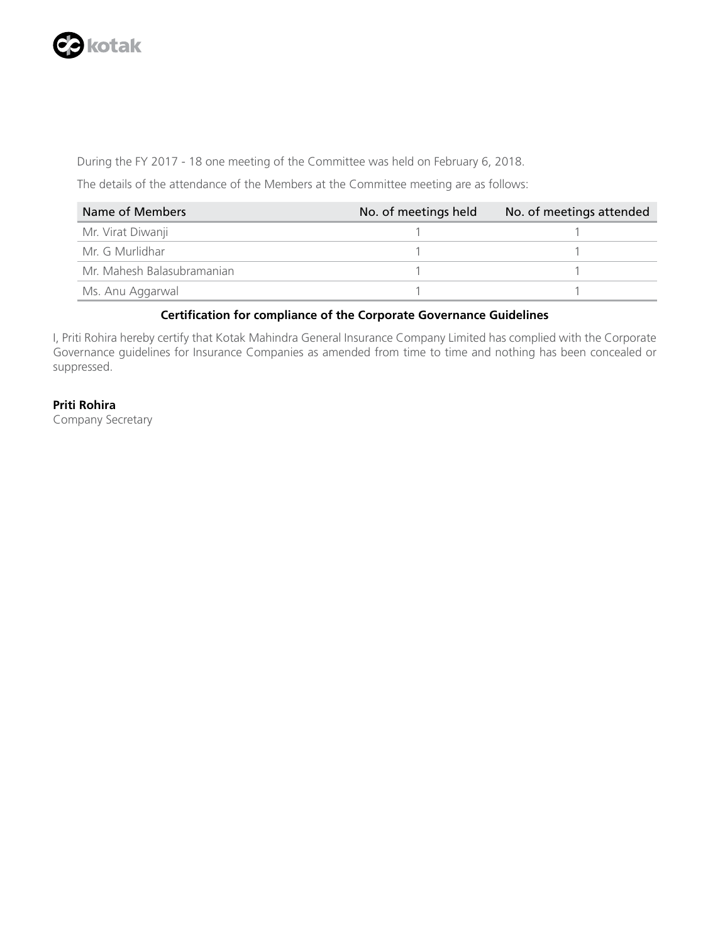

During the FY 2017 - 18 one meeting of the Committee was held on February 6, 2018.

The details of the attendance of the Members at the Committee meeting are as follows:

| Name of Members            | No. of meetings held | No. of meetings attended |
|----------------------------|----------------------|--------------------------|
| Mr. Virat Diwanji          |                      |                          |
| Mr. G Murlidhar            |                      |                          |
| Mr. Mahesh Balasubramanian |                      |                          |
| Ms. Anu Aggarwal           |                      |                          |

## **Certification for compliance of the Corporate Governance Guidelines**

I, Priti Rohira hereby certify that Kotak Mahindra General Insurance Company Limited has complied with the Corporate Governance guidelines for Insurance Companies as amended from time to time and nothing has been concealed or suppressed.

# **Priti Rohira**

Company Secretary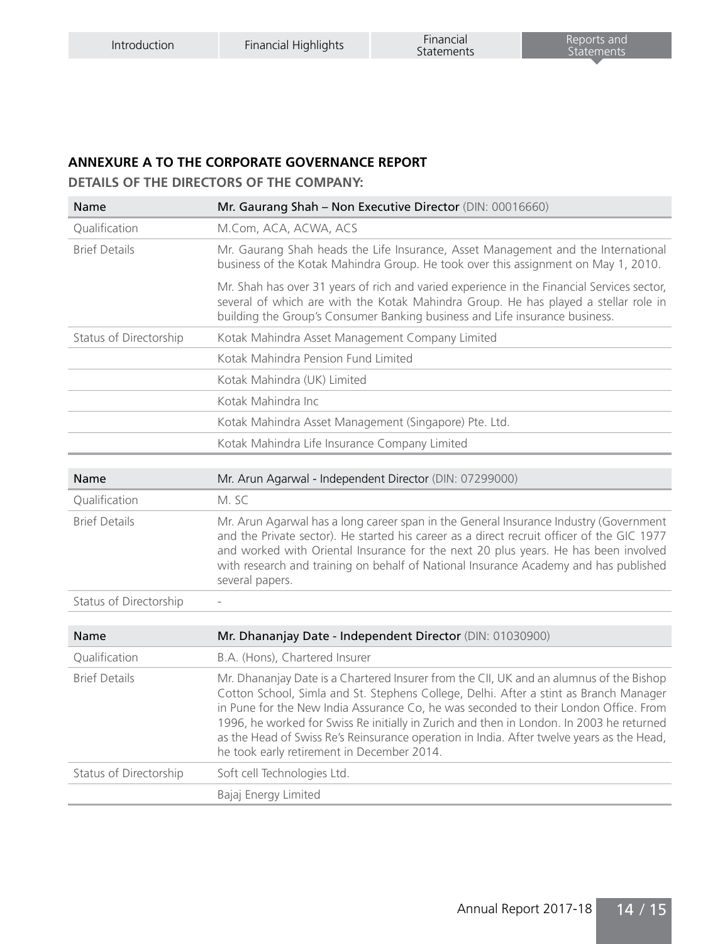# **ANNEXURE A TO THE CORPORATE GOVERNANCE REPORT**

**DETAILS OF THE DIRECTORS OF THE COMPANY:**

| Name                   | Mr. Gaurang Shah - Non Executive Director (DIN: 00016660)                                                                                                                                                                                                                                                                                                                                                                                                                                                       |
|------------------------|-----------------------------------------------------------------------------------------------------------------------------------------------------------------------------------------------------------------------------------------------------------------------------------------------------------------------------------------------------------------------------------------------------------------------------------------------------------------------------------------------------------------|
| Qualification          | M.Com, ACA, ACWA, ACS                                                                                                                                                                                                                                                                                                                                                                                                                                                                                           |
| <b>Brief Details</b>   | Mr. Gaurang Shah heads the Life Insurance, Asset Management and the International<br>business of the Kotak Mahindra Group. He took over this assignment on May 1, 2010.                                                                                                                                                                                                                                                                                                                                         |
|                        | Mr. Shah has over 31 years of rich and varied experience in the Financial Services sector,<br>several of which are with the Kotak Mahindra Group. He has played a stellar role in<br>building the Group's Consumer Banking business and Life insurance business.                                                                                                                                                                                                                                                |
| Status of Directorship | Kotak Mahindra Asset Management Company Limited                                                                                                                                                                                                                                                                                                                                                                                                                                                                 |
|                        | Kotak Mahindra Pension Fund Limited                                                                                                                                                                                                                                                                                                                                                                                                                                                                             |
|                        | Kotak Mahindra (UK) Limited                                                                                                                                                                                                                                                                                                                                                                                                                                                                                     |
|                        | Kotak Mahindra Inc                                                                                                                                                                                                                                                                                                                                                                                                                                                                                              |
|                        | Kotak Mahindra Asset Management (Singapore) Pte. Ltd.                                                                                                                                                                                                                                                                                                                                                                                                                                                           |
|                        | Kotak Mahindra Life Insurance Company Limited                                                                                                                                                                                                                                                                                                                                                                                                                                                                   |
|                        |                                                                                                                                                                                                                                                                                                                                                                                                                                                                                                                 |
| Name                   | Mr. Arun Agarwal - Independent Director (DIN: 07299000)                                                                                                                                                                                                                                                                                                                                                                                                                                                         |
| Oualification          | M. SC                                                                                                                                                                                                                                                                                                                                                                                                                                                                                                           |
| <b>Brief Details</b>   | Mr. Arun Agarwal has a long career span in the General Insurance Industry (Government<br>and the Private sector). He started his career as a direct recruit officer of the GIC 1977<br>and worked with Oriental Insurance for the next 20 plus years. He has been involved<br>with research and training on behalf of National Insurance Academy and has published<br>several papers.                                                                                                                           |
| Status of Directorship |                                                                                                                                                                                                                                                                                                                                                                                                                                                                                                                 |
|                        |                                                                                                                                                                                                                                                                                                                                                                                                                                                                                                                 |
| Name                   | Mr. Dhananjay Date - Independent Director (DIN: 01030900)                                                                                                                                                                                                                                                                                                                                                                                                                                                       |
| Oualification          | B.A. (Hons), Chartered Insurer                                                                                                                                                                                                                                                                                                                                                                                                                                                                                  |
| <b>Brief Details</b>   | Mr. Dhananjay Date is a Chartered Insurer from the CII, UK and an alumnus of the Bishop<br>Cotton School, Simla and St. Stephens College, Delhi. After a stint as Branch Manager<br>in Pune for the New India Assurance Co, he was seconded to their London Office. From<br>1996, he worked for Swiss Re initially in Zurich and then in London. In 2003 he returned<br>as the Head of Swiss Re's Reinsurance operation in India. After twelve years as the Head,<br>he took early retirement in December 2014. |
| Status of Directorship | Soft cell Technologies Ltd.                                                                                                                                                                                                                                                                                                                                                                                                                                                                                     |
|                        | Bajaj Energy Limited                                                                                                                                                                                                                                                                                                                                                                                                                                                                                            |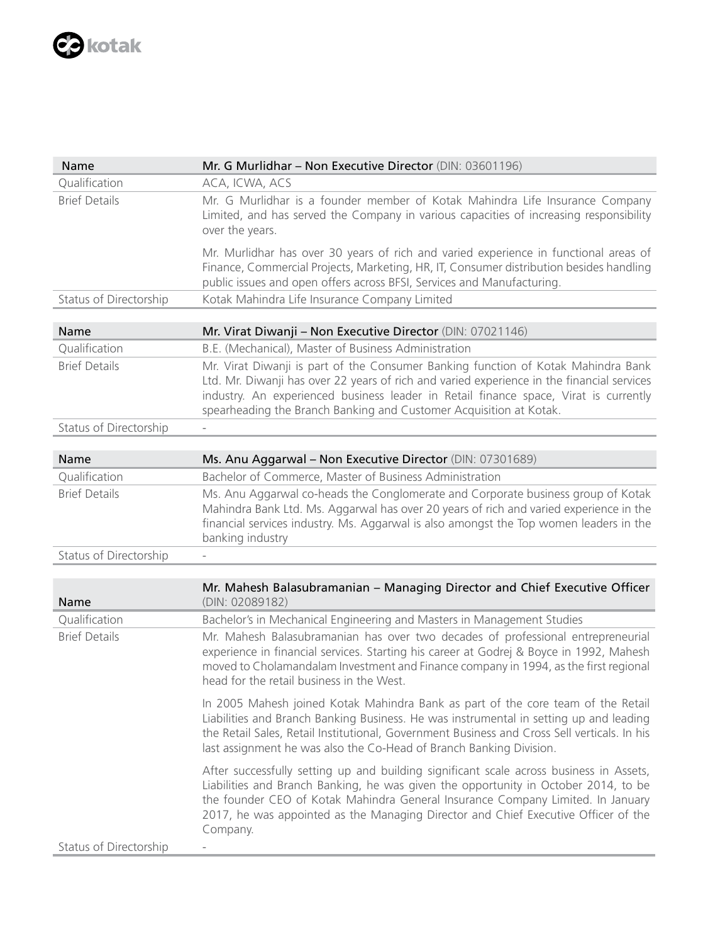

| Name                   | Mr. G Murlidhar - Non Executive Director (DIN: 03601196)                                                                                                                                                                                                                                                                                                            |
|------------------------|---------------------------------------------------------------------------------------------------------------------------------------------------------------------------------------------------------------------------------------------------------------------------------------------------------------------------------------------------------------------|
| Oualification          | ACA, ICWA, ACS                                                                                                                                                                                                                                                                                                                                                      |
| <b>Brief Details</b>   | Mr. G Murlidhar is a founder member of Kotak Mahindra Life Insurance Company<br>Limited, and has served the Company in various capacities of increasing responsibility<br>over the years.                                                                                                                                                                           |
|                        | Mr. Murlidhar has over 30 years of rich and varied experience in functional areas of<br>Finance, Commercial Projects, Marketing, HR, IT, Consumer distribution besides handling<br>public issues and open offers across BFSI, Services and Manufacturing.                                                                                                           |
| Status of Directorship | Kotak Mahindra Life Insurance Company Limited                                                                                                                                                                                                                                                                                                                       |
|                        |                                                                                                                                                                                                                                                                                                                                                                     |
| Name                   | Mr. Virat Diwanji – Non Executive Director (DIN: $07021146$ )                                                                                                                                                                                                                                                                                                       |
| Qualification          | B.E. (Mechanical), Master of Business Administration                                                                                                                                                                                                                                                                                                                |
| <b>Brief Details</b>   | Mr. Virat Diwanji is part of the Consumer Banking function of Kotak Mahindra Bank<br>Ltd. Mr. Diwanji has over 22 years of rich and varied experience in the financial services<br>industry. An experienced business leader in Retail finance space, Virat is currently<br>spearheading the Branch Banking and Customer Acquisition at Kotak.                       |
| Status of Directorship |                                                                                                                                                                                                                                                                                                                                                                     |
|                        |                                                                                                                                                                                                                                                                                                                                                                     |
| Name                   | Ms. Anu Aggarwal - Non Executive Director (DIN: 07301689)                                                                                                                                                                                                                                                                                                           |
| Qualification          | Bachelor of Commerce, Master of Business Administration                                                                                                                                                                                                                                                                                                             |
| <b>Brief Details</b>   | Ms. Anu Aggarwal co-heads the Conglomerate and Corporate business group of Kotak<br>Mahindra Bank Ltd. Ms. Aggarwal has over 20 years of rich and varied experience in the<br>financial services industry. Ms. Aggarwal is also amongst the Top women leaders in the<br>banking industry                                                                            |
| Status of Directorship |                                                                                                                                                                                                                                                                                                                                                                     |
|                        |                                                                                                                                                                                                                                                                                                                                                                     |
| Name                   | Mr. Mahesh Balasubramanian - Managing Director and Chief Executive Officer<br>(DIN: 02089182)                                                                                                                                                                                                                                                                       |
| Qualification          | Bachelor's in Mechanical Engineering and Masters in Management Studies                                                                                                                                                                                                                                                                                              |
| <b>Brief Details</b>   | Mr. Mahesh Balasubramanian has over two decades of professional entrepreneurial<br>experience in financial services. Starting his career at Godrej & Boyce in 1992, Mahesh<br>moved to Cholamandalam Investment and Finance company in 1994, as the first regional<br>head for the retail business in the West.                                                     |
|                        | In 2005 Mahesh joined Kotak Mahindra Bank as part of the core team of the Retail<br>Liabilities and Branch Banking Business. He was instrumental in setting up and leading<br>the Retail Sales, Retail Institutional, Government Business and Cross Sell verticals. In his<br>last assignment he was also the Co-Head of Branch Banking Division.                   |
|                        | After successfully setting up and building significant scale across business in Assets,<br>Liabilities and Branch Banking, he was given the opportunity in October 2014, to be<br>the founder CEO of Kotak Mahindra General Insurance Company Limited. In January<br>2017, he was appointed as the Managing Director and Chief Executive Officer of the<br>Company. |
| Status of Directorship |                                                                                                                                                                                                                                                                                                                                                                     |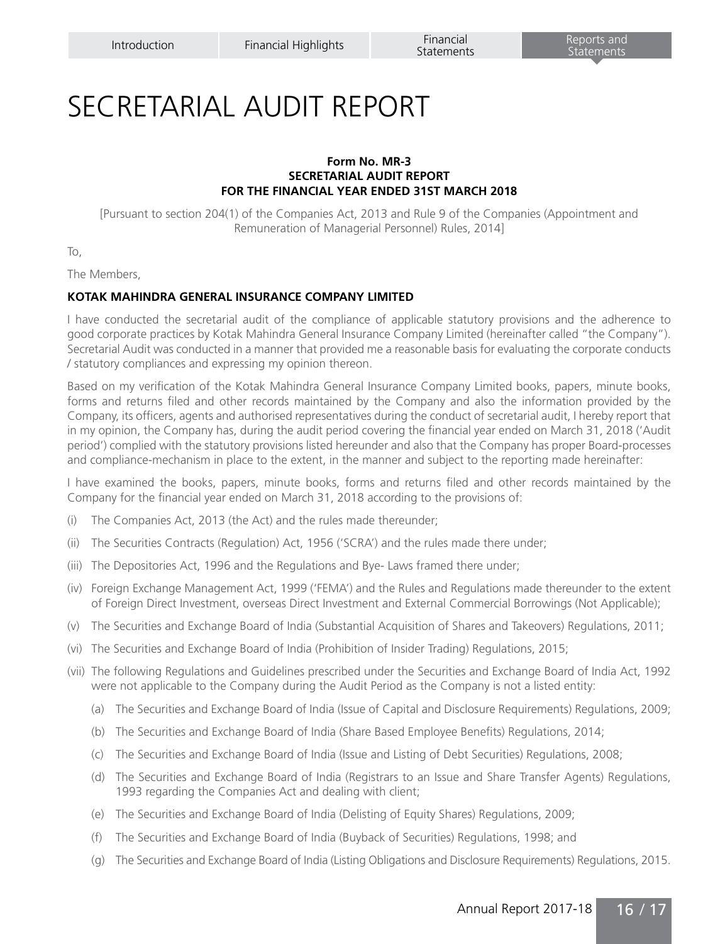# SECRETARIAL AUDIT REPORT

#### **Form No. MR-3 SECRETARIAL AUDIT REPORT FOR THE FINANCIAL YEAR ENDED 31ST MARCH 2018**

[Pursuant to section 204(1) of the Companies Act, 2013 and Rule 9 of the Companies (Appointment and Remuneration of Managerial Personnel) Rules, 2014]

To,

The Members,

## **KOTAK MAHINDRA GENERAL INSURANCE COMPANY LIMITED**

I have conducted the secretarial audit of the compliance of applicable statutory provisions and the adherence to good corporate practices by Kotak Mahindra General Insurance Company Limited (hereinafter called "the Company"). Secretarial Audit was conducted in a manner that provided me a reasonable basis for evaluating the corporate conducts / statutory compliances and expressing my opinion thereon.

Based on my verification of the Kotak Mahindra General Insurance Company Limited books, papers, minute books, forms and returns filed and other records maintained by the Company and also the information provided by the Company, its officers, agents and authorised representatives during the conduct of secretarial audit, I hereby report that in my opinion, the Company has, during the audit period covering the financial year ended on March 31, 2018 ('Audit period') complied with the statutory provisions listed hereunder and also that the Company has proper Board-processes and compliance-mechanism in place to the extent, in the manner and subject to the reporting made hereinafter:

I have examined the books, papers, minute books, forms and returns filed and other records maintained by the Company for the financial year ended on March 31, 2018 according to the provisions of:

- (i) The Companies Act, 2013 (the Act) and the rules made thereunder;
- (ii) The Securities Contracts (Regulation) Act, 1956 ('SCRA') and the rules made there under;
- (iii) The Depositories Act, 1996 and the Regulations and Bye- Laws framed there under;
- (iv) Foreign Exchange Management Act, 1999 ('FEMA') and the Rules and Regulations made thereunder to the extent of Foreign Direct Investment, overseas Direct Investment and External Commercial Borrowings (Not Applicable);
- (v) The Securities and Exchange Board of India (Substantial Acquisition of Shares and Takeovers) Regulations, 2011;
- (vi) The Securities and Exchange Board of India (Prohibition of Insider Trading) Regulations, 2015;
- (vii) The following Regulations and Guidelines prescribed under the Securities and Exchange Board of India Act, 1992 were not applicable to the Company during the Audit Period as the Company is not a listed entity:
	- (a) The Securities and Exchange Board of India (Issue of Capital and Disclosure Requirements) Regulations, 2009;
	- (b) The Securities and Exchange Board of India (Share Based Employee Benefits) Regulations, 2014;
	- (c) The Securities and Exchange Board of India (Issue and Listing of Debt Securities) Regulations, 2008;
	- (d) The Securities and Exchange Board of India (Registrars to an Issue and Share Transfer Agents) Regulations, 1993 regarding the Companies Act and dealing with client;
	- (e) The Securities and Exchange Board of India (Delisting of Equity Shares) Regulations, 2009;
	- (f) The Securities and Exchange Board of India (Buyback of Securities) Regulations, 1998; and
	- (g) The Securities and Exchange Board of India (Listing Obligations and Disclosure Requirements) Regulations, 2015.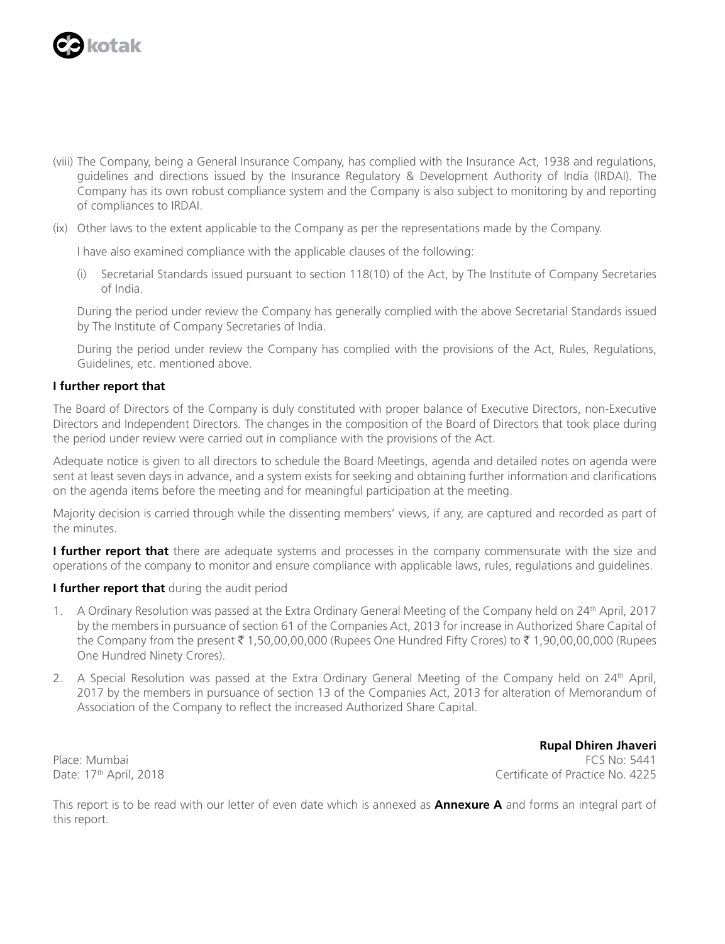

- (viii) The Company, being a General Insurance Company, has complied with the Insurance Act, 1938 and regulations, guidelines and directions issued by the Insurance Regulatory & Development Authority of India (IRDAI). The Company has its own robust compliance system and the Company is also subject to monitoring by and reporting of compliances to IRDAI.
- (ix) Other laws to the extent applicable to the Company as per the representations made by the Company.

I have also examined compliance with the applicable clauses of the following:

(i) Secretarial Standards issued pursuant to section 118(10) of the Act, by The Institute of Company Secretaries of India.

During the period under review the Company has generally complied with the above Secretarial Standards issued by The Institute of Company Secretaries of India.

During the period under review the Company has complied with the provisions of the Act, Rules, Regulations, Guidelines, etc. mentioned above.

#### **I further report that**

The Board of Directors of the Company is duly constituted with proper balance of Executive Directors, non-Executive Directors and Independent Directors. The changes in the composition of the Board of Directors that took place during the period under review were carried out in compliance with the provisions of the Act.

Adequate notice is given to all directors to schedule the Board Meetings, agenda and detailed notes on agenda were sent at least seven days in advance, and a system exists for seeking and obtaining further information and clarifications on the agenda items before the meeting and for meaningful participation at the meeting.

Majority decision is carried through while the dissenting members' views, if any, are captured and recorded as part of the minutes.

**I further report that** there are adequate systems and processes in the company commensurate with the size and operations of the company to monitor and ensure compliance with applicable laws, rules, regulations and guidelines.

#### **I further report that** during the audit period

- 1. A Ordinary Resolution was passed at the Extra Ordinary General Meeting of the Company held on 24th April, 2017 by the members in pursuance of section 61 of the Companies Act, 2013 for increase in Authorized Share Capital of the Company from the present ₹ 1,50,00,00,000 (Rupees One Hundred Fifty Crores) to ₹ 1,90,00,00,000 (Rupees One Hundred Ninety Crores).
- 2. A Special Resolution was passed at the Extra Ordinary General Meeting of the Company held on 24<sup>th</sup> April, 2017 by the members in pursuance of section 13 of the Companies Act, 2013 for alteration of Memorandum of Association of the Company to reflect the increased Authorized Share Capital.

**Rupal Dhiren Jhaveri** Place: Mumbai FCS No: 5441 Date: 17<sup>th</sup> April, 2018 **Certificate of Practice No. 4225** 

This report is to be read with our letter of even date which is annexed as **Annexure A** and forms an integral part of this report.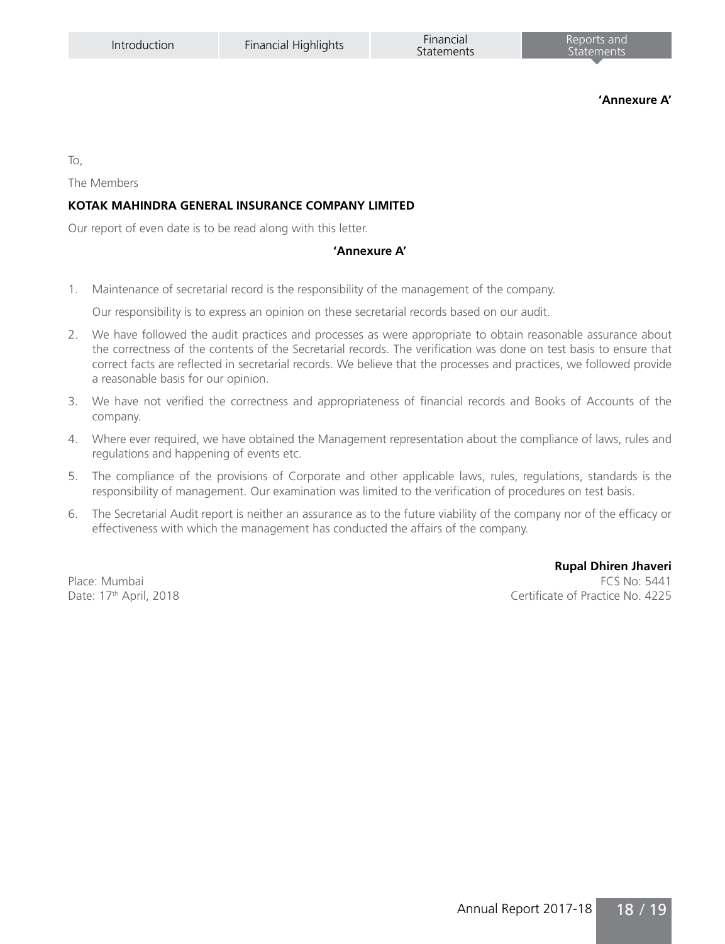**'Annexure A'**

To,

The Members

# **KOTAK MAHINDRA GENERAL INSURANCE COMPANY LIMITED**

Our report of even date is to be read along with this letter.

#### **'Annexure A'**

1. Maintenance of secretarial record is the responsibility of the management of the company.

Our responsibility is to express an opinion on these secretarial records based on our audit.

- 2. We have followed the audit practices and processes as were appropriate to obtain reasonable assurance about the correctness of the contents of the Secretarial records. The verification was done on test basis to ensure that correct facts are reflected in secretarial records. We believe that the processes and practices, we followed provide a reasonable basis for our opinion.
- 3. We have not verified the correctness and appropriateness of financial records and Books of Accounts of the company.
- 4. Where ever required, we have obtained the Management representation about the compliance of laws, rules and regulations and happening of events etc.
- 5. The compliance of the provisions of Corporate and other applicable laws, rules, regulations, standards is the responsibility of management. Our examination was limited to the verification of procedures on test basis.
- 6. The Secretarial Audit report is neither an assurance as to the future viability of the company nor of the efficacy or effectiveness with which the management has conducted the affairs of the company.

**Rupal Dhiren Jhaveri** Place: Mumbai FCS No: 5441 Date: 17<sup>th</sup> April, 2018 **Date: 17th April, 2018** Certificate of Practice No. 4225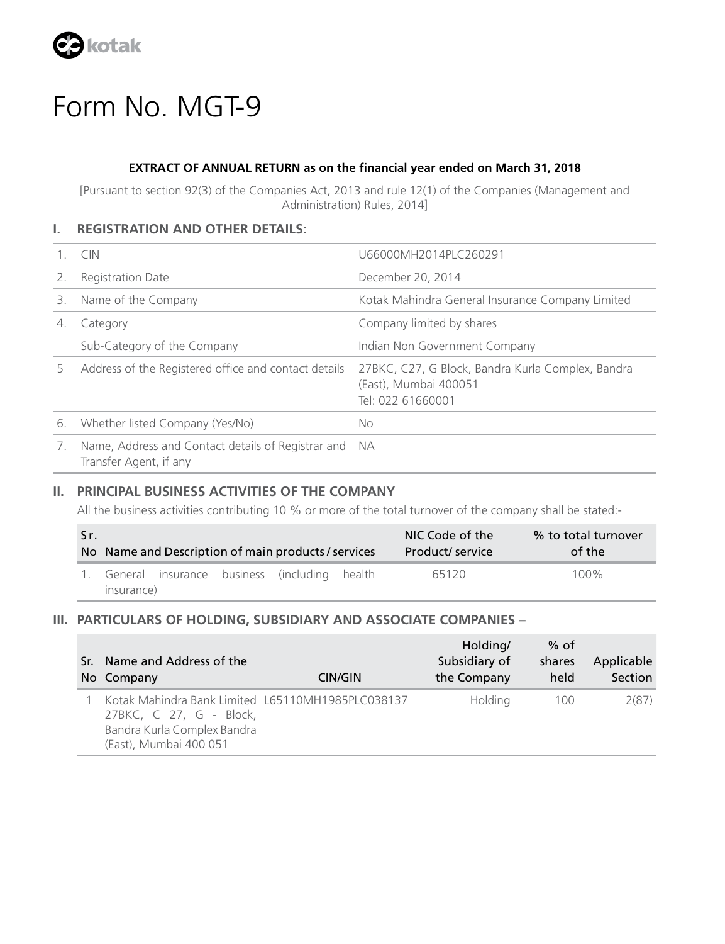

# Form No. MGT-9

# **EXTRACT OF ANNUAL RETURN as on the financial year ended on March 31, 2018**

[Pursuant to section 92(3) of the Companies Act, 2013 and rule 12(1) of the Companies (Management and Administration) Rules, 2014]

# **I. REGISTRATION AND OTHER DETAILS:**

|    | <b>CIN</b>                                                                   | U66000MH2014PLC260291                                                                           |
|----|------------------------------------------------------------------------------|-------------------------------------------------------------------------------------------------|
|    | <b>Registration Date</b>                                                     | December 20, 2014                                                                               |
| 3. | Name of the Company                                                          | Kotak Mahindra General Insurance Company Limited                                                |
| 4. | Category                                                                     | Company limited by shares                                                                       |
|    | Sub-Category of the Company                                                  | Indian Non Government Company                                                                   |
| 5. | Address of the Registered office and contact details                         | 27BKC, C27, G Block, Bandra Kurla Complex, Bandra<br>(East), Mumbai 400051<br>Tel: 022 61660001 |
| 6. | Whether listed Company (Yes/No)                                              | No                                                                                              |
| 7. | Name, Address and Contact details of Registrar and<br>Transfer Agent, if any | <b>NA</b>                                                                                       |

# **II. PRINCIPAL BUSINESS ACTIVITIES OF THE COMPANY**

All the business activities contributing 10 % or more of the total turnover of the company shall be stated:-

| Sr. |            |  | No Name and Description of main products / services | NIC Code of the<br>Product/ service | % to total turnover<br>of the |
|-----|------------|--|-----------------------------------------------------|-------------------------------------|-------------------------------|
|     |            |  | General insurance business (including health        | 65120                               | $100\%$                       |
|     | insurance) |  |                                                     |                                     |                               |

## **III. PARTICULARS OF HOLDING, SUBSIDIARY AND ASSOCIATE COMPANIES –**

| Sr. Name and Address of the<br>No Company                                                                                             | CIN/GIN | Holding/<br>Subsidiary of<br>the Company | $%$ of<br>shares<br>held | Applicable<br>Section |
|---------------------------------------------------------------------------------------------------------------------------------------|---------|------------------------------------------|--------------------------|-----------------------|
| Kotak Mahindra Bank Limited L65110MH1985PLC038137<br>27BKC, C 27, G - Block,<br>Bandra Kurla Complex Bandra<br>(East), Mumbai 400 051 |         | Holding                                  | 100                      | 2(87)                 |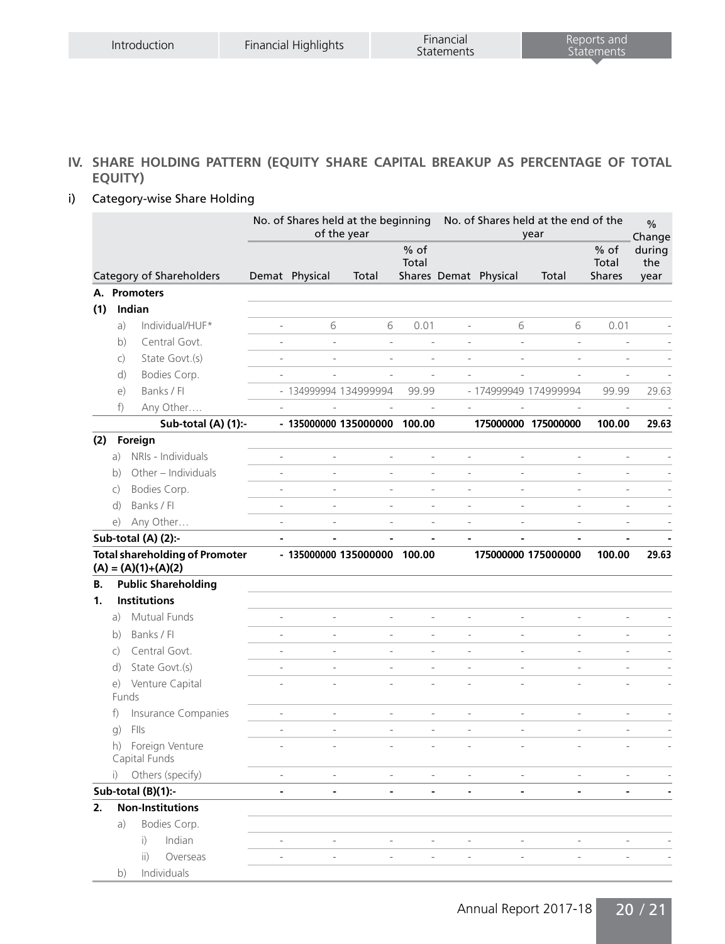# **IV. SHARE HOLDING PATTERN (EQUITY SHARE CAPITAL BREAKUP AS PERCENTAGE OF TOTAL EQUITY)**

# i) Category-wise Share Holding

|     |              |                                                                |                          | No. of Shares held at the beginning<br>No. of Shares held at the end of the<br>of the year<br>year |                              |                          | $\frac{0}{0}$<br>Change  |                          |                       |                                  |                       |
|-----|--------------|----------------------------------------------------------------|--------------------------|----------------------------------------------------------------------------------------------------|------------------------------|--------------------------|--------------------------|--------------------------|-----------------------|----------------------------------|-----------------------|
|     |              | Category of Shareholders                                       |                          | Demat Physical                                                                                     | Total                        | $%$ of<br>Total          |                          | Shares Demat Physical    | Total                 | $%$ of<br>Total<br><b>Shares</b> | during<br>the<br>year |
|     |              | A. Promoters                                                   |                          |                                                                                                    |                              |                          |                          |                          |                       |                                  |                       |
| (1) |              | Indian                                                         |                          |                                                                                                    |                              |                          |                          |                          |                       |                                  |                       |
|     | a)           | Individual/HUF*                                                | $\overline{\phantom{a}}$ | 6                                                                                                  | 6                            | 0.01                     | $\overline{\phantom{a}}$ | 6                        | 6                     | 0.01                             |                       |
|     | b)           | Central Govt.                                                  | $\overline{a}$           | $\overline{a}$                                                                                     | $\frac{1}{2}$                |                          | $\overline{a}$           | $\overline{a}$           | L.                    | Ĭ.                               |                       |
|     | $\mathsf{C}$ | State Govt.(s)                                                 | $\overline{\phantom{0}}$ | $\overline{a}$                                                                                     | ÷,                           | ÷.                       | $\overline{a}$           | ÷                        | L,                    | J.                               |                       |
|     | d)           | Bodies Corp.                                                   | $\frac{1}{2}$            | L.                                                                                                 | L,                           | L,                       | ÷.                       | ÷                        | L.                    | J.                               |                       |
|     | $\epsilon$   | Banks / Fl                                                     |                          |                                                                                                    | - 134999994 134999994        | 99.99                    |                          |                          | - 174999949 174999994 | 99.99                            | 29.63                 |
|     | $f$ )        | Any Other                                                      |                          |                                                                                                    |                              | $\frac{1}{2}$            | $\overline{\phantom{0}}$ |                          |                       | $\frac{1}{2}$                    |                       |
|     |              | Sub-total (A) (1):-                                            |                          |                                                                                                    | - 135000000 135000000 100.00 |                          |                          |                          | 175000000 175000000   | 100.00                           | 29.63                 |
| (2) |              | Foreign                                                        |                          |                                                                                                    |                              |                          |                          |                          |                       |                                  |                       |
|     | a)           | NRIs - Individuals                                             | $\overline{a}$           | $\overline{a}$                                                                                     | L,                           | L,                       | $\frac{1}{2}$            | $\overline{a}$           | $\frac{1}{2}$         | $\overline{a}$                   |                       |
|     | b)           | Other - Individuals                                            | $\frac{1}{2}$            | $\overline{a}$                                                                                     | L,                           | L,                       | $\frac{1}{2}$            | $\overline{a}$           | L,                    | $\overline{a}$                   |                       |
|     | $\mathsf{C}$ | Bodies Corp.                                                   | $\frac{1}{2}$            | $\frac{1}{2}$                                                                                      | L,                           | L,                       | $\frac{1}{2}$            | $\overline{a}$           | L,                    | L,                               |                       |
|     | d)           | Banks / Fl                                                     | $\overline{a}$           | $\overline{a}$                                                                                     | L,                           | L,                       | $\overline{a}$           | ÷.                       | L,                    | $\overline{a}$                   |                       |
|     | e)           | Any Other                                                      | $\frac{1}{2}$            | $\frac{1}{2}$                                                                                      | $\frac{1}{2}$                | $\frac{1}{2}$            | $\frac{1}{2}$            | $\frac{1}{2}$            | $\frac{1}{2}$         | $\overline{\phantom{a}}$         |                       |
|     |              | Sub-total (A) (2):-                                            | $\overline{\phantom{a}}$ | $\blacksquare$                                                                                     | ÷,                           | $\blacksquare$           | $\blacksquare$           | $\blacksquare$           | ÷,                    | $\blacksquare$                   |                       |
|     |              | <b>Total shareholding of Promoter</b><br>$(A) = (A)(1)+(A)(2)$ |                          |                                                                                                    | - 135000000 135000000 100.00 |                          |                          |                          | 175000000 175000000   | 100.00                           | 29.63                 |
| В.  |              | <b>Public Shareholding</b>                                     |                          |                                                                                                    |                              |                          |                          |                          |                       |                                  |                       |
| 1.  |              | <b>Institutions</b>                                            |                          |                                                                                                    |                              |                          |                          |                          |                       |                                  |                       |
|     | a)           | Mutual Funds                                                   | $\overline{\phantom{0}}$ | ÷                                                                                                  | $\overline{\phantom{0}}$     | $\overline{\phantom{0}}$ | $\qquad \qquad -$        | $\overline{\phantom{0}}$ | -                     | $\overline{\phantom{m}}$         |                       |
|     | b)           | Banks / Fl                                                     | $\frac{1}{2}$            | L,                                                                                                 | L,                           | L,                       | $\frac{1}{2}$            | $\overline{a}$           | L,                    | L,                               |                       |
|     | $\mathsf{C}$ | Central Govt.                                                  | $\overline{\phantom{0}}$ | $\overline{a}$                                                                                     | L,                           | L,                       | $\overline{a}$           | $\overline{a}$           | L,                    | $\overline{a}$                   |                       |
|     | d)           | State Govt.(s)                                                 | $\overline{\phantom{a}}$ | $\overline{a}$                                                                                     | ÷,                           | L,                       | $\overline{a}$           | $\overline{a}$           | $\overline{a}$        | ÷,                               |                       |
|     | e)<br>Funds  | Venture Capital                                                | $\frac{1}{2}$            | $\overline{a}$                                                                                     |                              |                          |                          |                          |                       |                                  |                       |
|     | f)           | Insurance Companies                                            | $\overline{\phantom{0}}$ | $\overline{a}$                                                                                     | $\frac{1}{2}$                | $\overline{a}$           | $\frac{1}{2}$            | $\overline{a}$           | $\frac{1}{2}$         | $\overline{a}$                   |                       |
|     | g)           | FIIs                                                           | $\overline{\phantom{a}}$ | $\overline{a}$                                                                                     | L,                           | ÷                        | $\overline{a}$           | $\overline{a}$           | $\overline{a}$        | $\overline{a}$                   |                       |
|     |              | h) Foreign Venture<br>Capital Funds                            | L,                       | $\overline{a}$                                                                                     |                              |                          |                          |                          |                       |                                  |                       |
|     | $\mathbf{i}$ | Others (specify)                                               | $\frac{1}{2}$            | $\overline{a}$                                                                                     | $\frac{1}{2}$                | L,                       | $\frac{1}{2}$            | $\frac{1}{2}$            | $\frac{1}{2}$         | $\frac{1}{2}$                    |                       |
|     |              | Sub-total (B)(1):-                                             | $\blacksquare$           | $\blacksquare$                                                                                     | $\blacksquare$               | $\blacksquare$           | $\blacksquare$           | $\blacksquare$           | ä,                    | $\blacksquare$                   |                       |
| 2.  |              | <b>Non-Institutions</b>                                        |                          |                                                                                                    |                              |                          |                          |                          |                       |                                  |                       |
|     | a)           | Bodies Corp.                                                   |                          |                                                                                                    |                              |                          |                          |                          |                       |                                  |                       |
|     |              | Indian<br>$\mathsf{i}$                                         | L,                       | $\frac{1}{2}$                                                                                      | $\overline{a}$               | $\frac{1}{2}$            | $\overline{\phantom{a}}$ | $\overline{\phantom{a}}$ | $\frac{1}{2}$         | $\sim$                           |                       |
|     |              | ii)<br>Overseas                                                | $\overline{\phantom{a}}$ | $\overline{\phantom{a}}$                                                                           | $\overline{\phantom{a}}$     | $\frac{1}{2}$            | $\overline{\phantom{a}}$ | $\overline{\phantom{a}}$ | $\frac{1}{2}$         | $\overline{\phantom{a}}$         |                       |
|     | b)           | Individuals                                                    |                          |                                                                                                    |                              |                          |                          |                          |                       |                                  |                       |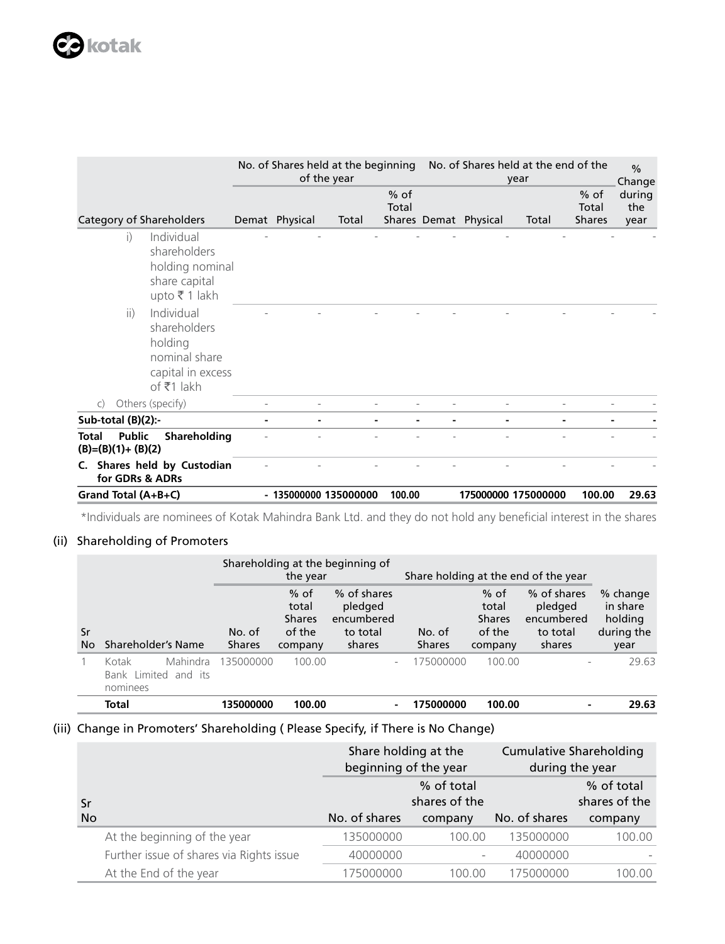|                                                                                                                                                                                                     | No. of Shares held at the beginning | of the year |                 |                       | No. of Shares held at the end of the<br>year |                                  | $\frac{0}{0}$<br>Change |
|-----------------------------------------------------------------------------------------------------------------------------------------------------------------------------------------------------|-------------------------------------|-------------|-----------------|-----------------------|----------------------------------------------|----------------------------------|-------------------------|
| Category of Shareholders                                                                                                                                                                            | Demat Physical                      | Total       | $%$ of<br>Total | Shares Demat Physical | Total                                        | $%$ of<br>Total<br><b>Shares</b> | during<br>the<br>year   |
| Individual<br>$\mathbf{i}$<br>shareholders<br>holding nominal<br>share capital<br>upto ₹ 1 lakh<br>Individual<br>ii)<br>shareholders<br>holding<br>nominal share<br>capital in excess<br>of ₹1 lakh |                                     |             |                 |                       |                                              |                                  |                         |
| Others (specify)<br>$\mathsf{C}$                                                                                                                                                                    |                                     |             |                 |                       |                                              |                                  |                         |
| Sub-total (B)(2):-                                                                                                                                                                                  |                                     |             |                 |                       |                                              |                                  |                         |
| <b>Public</b><br>Shareholding<br><b>Total</b><br>$(B)=(B)(1)+(B)(2)$                                                                                                                                |                                     |             |                 |                       |                                              |                                  |                         |
| C. Shares held by Custodian<br>for GDRs & ADRs                                                                                                                                                      |                                     |             |                 |                       |                                              |                                  |                         |
| Grand Total (A+B+C)                                                                                                                                                                                 | - 135000000 135000000               |             | 100.00          | 175000000 175000000   |                                              | 100.00                           | 29.63                   |

\*Individuals are nominees of Kotak Mahindra Bank Ltd. and they do not hold any beneficial interest in the shares

# (ii) Shareholding of Promoters

|          |                                                       |                         | the year                                              | Shareholding at the beginning of                           |                         |                                                       | Share holding at the end of the year                       |                                                       |
|----------|-------------------------------------------------------|-------------------------|-------------------------------------------------------|------------------------------------------------------------|-------------------------|-------------------------------------------------------|------------------------------------------------------------|-------------------------------------------------------|
| Sr<br>No | Shareholder's Name                                    | No. of<br><b>Shares</b> | $%$ of<br>total<br><b>Shares</b><br>of the<br>company | % of shares<br>pledged<br>encumbered<br>to total<br>shares | No. of<br><b>Shares</b> | $%$ of<br>total<br><b>Shares</b><br>of the<br>company | % of shares<br>pledged<br>encumbered<br>to total<br>shares | % change<br>in share<br>holding<br>during the<br>year |
|          | Mahindra<br>Kotak<br>Bank Limited and its<br>nominees | 135000000               | 100.00                                                | ۰                                                          | 175000000               | 100.00                                                |                                                            | 29.63                                                 |
|          | Total                                                 | 135000000               | 100.00                                                | -                                                          | 175000000               | 100.00                                                |                                                            | 29.63                                                 |

# (iii) Change in Promoters' Shareholding ( Please Specify, if There is No Change)

|           |                                          | Share holding at the<br>beginning of the year |                             | <b>Cumulative Shareholding</b><br>during the year |                             |  |
|-----------|------------------------------------------|-----------------------------------------------|-----------------------------|---------------------------------------------------|-----------------------------|--|
| Sr        |                                          |                                               | % of total<br>shares of the |                                                   | % of total<br>shares of the |  |
| <b>No</b> |                                          | No. of shares                                 |                             |                                                   |                             |  |
|           |                                          |                                               | company                     | No. of shares                                     | company                     |  |
|           | At the beginning of the year             | 135000000                                     | 100.00                      | 135000000                                         | 100.00                      |  |
|           | Further issue of shares via Rights issue | 40000000                                      | $\overline{\phantom{a}}$    | 40000000                                          |                             |  |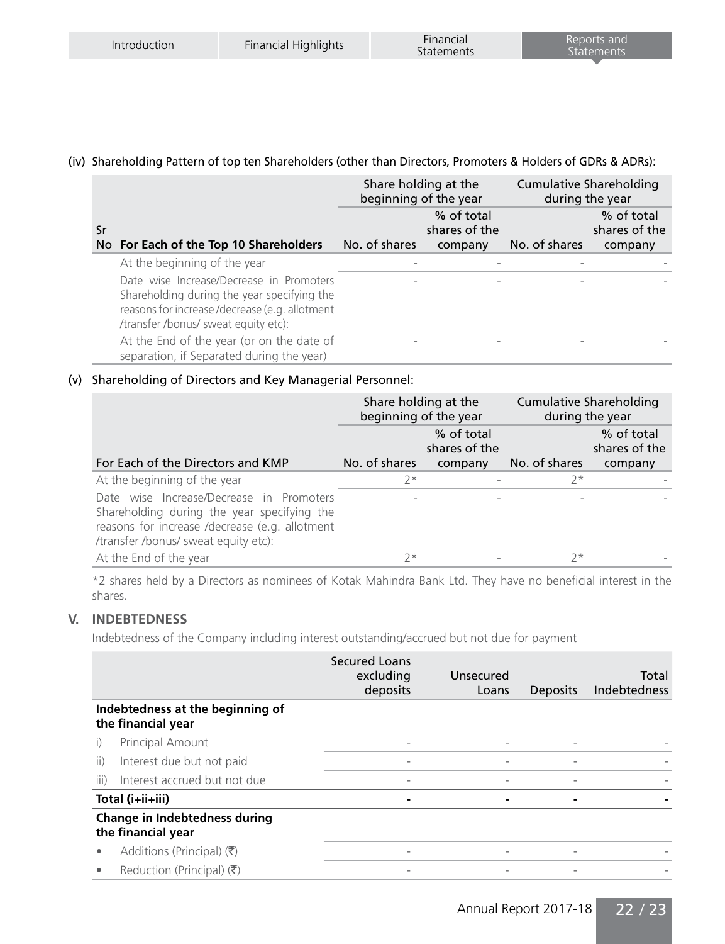# (iv) Shareholding Pattern of top ten Shareholders (other than Directors, Promoters & Holders of GDRs & ADRs):

|    |                                                                                                                                                                                  | Share holding at the<br>beginning of the year |                                        | <b>Cumulative Shareholding</b><br>during the year |                                        |
|----|----------------------------------------------------------------------------------------------------------------------------------------------------------------------------------|-----------------------------------------------|----------------------------------------|---------------------------------------------------|----------------------------------------|
| Sr | No For Each of the Top 10 Shareholders                                                                                                                                           | No. of shares                                 | % of total<br>shares of the<br>company | No. of shares                                     | % of total<br>shares of the<br>company |
|    | At the beginning of the year                                                                                                                                                     |                                               |                                        |                                                   |                                        |
|    | Date wise Increase/Decrease in Promoters<br>Shareholding during the year specifying the<br>reasons for increase /decrease (e.g. allotment<br>/transfer/bonus/ sweat equity etc): |                                               |                                        |                                                   |                                        |
|    | At the End of the year (or on the date of<br>separation, if Separated during the year)                                                                                           |                                               |                                        |                                                   |                                        |

# (v) Shareholding of Directors and Key Managerial Personnel:

|                                                                                                                                                                                  | Share holding at the<br>beginning of the year |                             | <b>Cumulative Shareholding</b><br>during the year |                             |
|----------------------------------------------------------------------------------------------------------------------------------------------------------------------------------|-----------------------------------------------|-----------------------------|---------------------------------------------------|-----------------------------|
|                                                                                                                                                                                  |                                               | % of total<br>shares of the |                                                   | % of total<br>shares of the |
| For Each of the Directors and KMP                                                                                                                                                | No. of shares                                 | company                     | No. of shares                                     | company                     |
| At the beginning of the year                                                                                                                                                     | $7*$                                          |                             | $7*$                                              |                             |
| Date wise Increase/Decrease in Promoters<br>Shareholding during the year specifying the<br>reasons for increase /decrease (e.g. allotment<br>/transfer/bonus/ sweat equity etc): |                                               |                             |                                                   |                             |
| At the End of the year                                                                                                                                                           | $7*$                                          |                             | $7*$                                              |                             |

\*2 shares held by a Directors as nominees of Kotak Mahindra Bank Ltd. They have no beneficial interest in the shares.

# **V. INDEBTEDNESS**

Indebtedness of the Company including interest outstanding/accrued but not due for payment

|           |                                                        | <b>Secured Loans</b><br>excluding<br>deposits | Unsecured<br>Loans       | Deposits                 | Total<br>Indebtedness |
|-----------|--------------------------------------------------------|-----------------------------------------------|--------------------------|--------------------------|-----------------------|
|           | Indebtedness at the beginning of<br>the financial year |                                               |                          |                          |                       |
| $\vert$ ) | Principal Amount                                       | $\qquad \qquad \blacksquare$                  | $\overline{\phantom{a}}$ | $\overline{\phantom{0}}$ |                       |
| ii)       | Interest due but not paid                              | $\qquad \qquad$                               | $\overline{a}$           | $\overline{\phantom{0}}$ |                       |
| iii)      | Interest accrued but not due                           |                                               |                          |                          |                       |
|           | Total (i+ii+iii)                                       |                                               | ۰                        |                          |                       |
|           | Change in Indebtedness during<br>the financial year    |                                               |                          |                          |                       |
| $\bullet$ | Additions (Principal) $(\bar{\bar{\zeta}})$            | $\qquad \qquad \blacksquare$                  | $\overline{\phantom{0}}$ | $\overline{\phantom{0}}$ |                       |
|           | Reduction (Principal) $(\bar{\bar{\zeta}})$            |                                               |                          |                          |                       |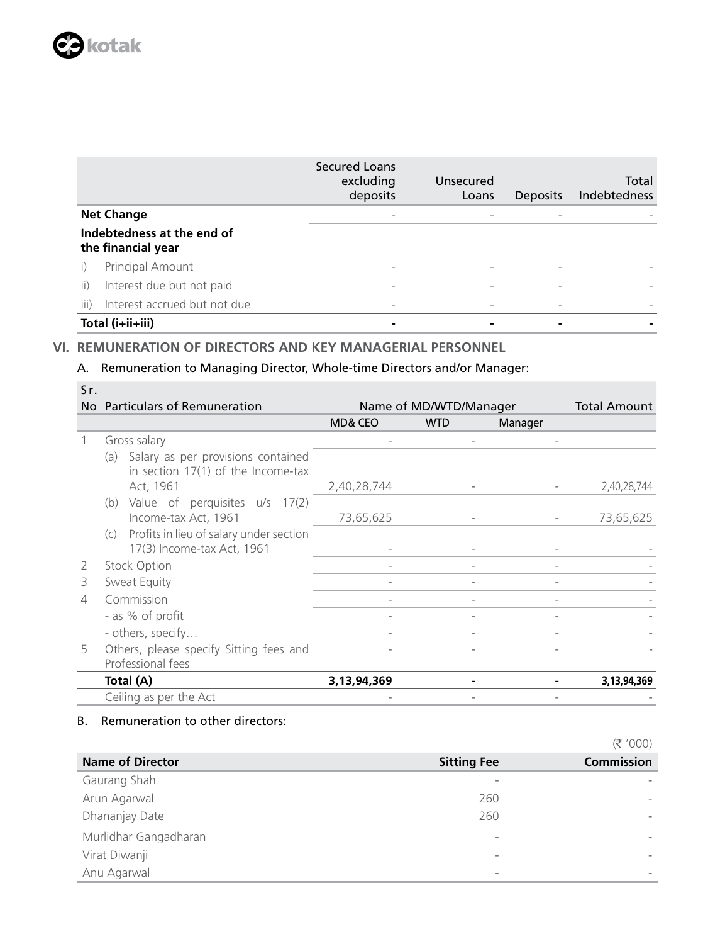|                   |                                                  | Secured Loans<br>excluding<br>deposits | Unsecured<br>Loans       | Deposits | Total<br><b>Indebtedness</b> |
|-------------------|--------------------------------------------------|----------------------------------------|--------------------------|----------|------------------------------|
| <b>Net Change</b> |                                                  | $\overline{\phantom{a}}$               |                          |          |                              |
|                   | Indebtedness at the end of<br>the financial year |                                        |                          |          |                              |
|                   | Principal Amount                                 | $\overline{\phantom{0}}$               |                          |          |                              |
| ii)               | Interest due but not paid                        | $\overline{\phantom{a}}$               | $\overline{a}$           |          |                              |
| iii)              | Interest accrued but not due                     | $\overline{\phantom{a}}$               | $\overline{\phantom{0}}$ |          |                              |
| Total (i+ii+iii)  |                                                  |                                        |                          |          |                              |

# **VI. REMUNERATION OF DIRECTORS AND KEY MANAGERIAL PERSONNEL**

# A. Remuneration to Managing Director, Whole-time Directors and/or Manager:

| Sr. |                                                                                   |                |                        |         |                     |
|-----|-----------------------------------------------------------------------------------|----------------|------------------------|---------|---------------------|
|     | No Particulars of Remuneration                                                    |                | Name of MD/WTD/Manager |         | <b>Total Amount</b> |
|     |                                                                                   | MD& CEO        | <b>WTD</b>             | Manager |                     |
|     | Gross salary                                                                      |                |                        |         |                     |
|     | Salary as per provisions contained<br>(a)<br>in section $17(1)$ of the Income-tax |                |                        |         |                     |
|     | Act, 1961                                                                         | 2,40,28,744    |                        |         | 2,40,28,744         |
|     | Value of perquisites u/s 17(2)<br>(b)<br>Income-tax Act, 1961                     | 73,65,625      |                        |         | 73,65,625           |
|     | (c) Profits in lieu of salary under section                                       |                |                        |         |                     |
|     | 17(3) Income-tax Act, 1961                                                        |                |                        |         |                     |
| 2   | Stock Option                                                                      |                |                        |         |                     |
| 3   | Sweat Equity                                                                      |                |                        |         |                     |
| 4   | Commission                                                                        |                |                        |         |                     |
|     | - as % of profit                                                                  |                |                        |         |                     |
|     | - others, specify                                                                 | $\overline{a}$ |                        |         |                     |
| 5   | Others, please specify Sitting fees and                                           |                |                        |         |                     |
|     | Professional fees                                                                 |                |                        |         |                     |
|     | Total (A)                                                                         | 3,13,94,369    |                        |         | 3,13,94,369         |
|     | Ceiling as per the Act                                                            |                |                        |         |                     |

# B. Remuneration to other directors:

|                         |                          | $\sqrt{2}$        |
|-------------------------|--------------------------|-------------------|
| <b>Name of Director</b> | <b>Sitting Fee</b>       | <b>Commission</b> |
| Gaurang Shah            | $\overline{\phantom{a}}$ |                   |
| Arun Agarwal            | 260                      |                   |
| Dhananjay Date          | 260                      |                   |
| Murlidhar Gangadharan   | $\overline{\phantom{a}}$ |                   |
| Virat Diwanji           | $\overline{\phantom{a}}$ |                   |
| Anu Agarwal             | $\overline{\phantom{a}}$ |                   |

 $(\overline{z}$  '000)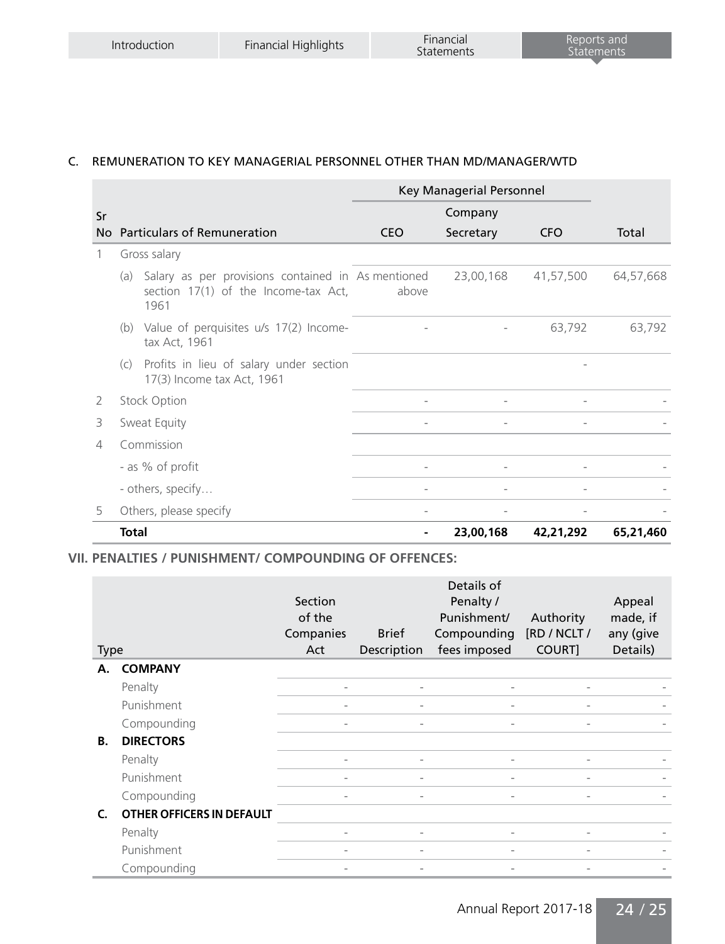# C. REMUNERATION TO KEY MANAGERIAL PERSONNEL OTHER THAN MD/MANAGER/WTD

|    |                                                                                                           |                          | Key Managerial Personnel |            |           |  |  |  |
|----|-----------------------------------------------------------------------------------------------------------|--------------------------|--------------------------|------------|-----------|--|--|--|
| Sr |                                                                                                           |                          | Company                  |            |           |  |  |  |
| No | <b>Particulars of Remuneration</b>                                                                        | <b>CEO</b>               | Secretary                | <b>CFO</b> | Total     |  |  |  |
| 1  | Gross salary                                                                                              |                          |                          |            |           |  |  |  |
|    | Salary as per provisions contained in As mentioned<br>(a)<br>section 17(1) of the Income-tax Act,<br>1961 | above                    | 23,00,168                | 41,57,500  | 64,57,668 |  |  |  |
|    | (b) Value of perquisites u/s 17(2) Income-<br>tax Act, 1961                                               |                          |                          | 63,792     | 63,792    |  |  |  |
|    | Profits in lieu of salary under section<br>(c)<br>17(3) Income tax Act, 1961                              |                          |                          |            |           |  |  |  |
| 2  | <b>Stock Option</b>                                                                                       |                          |                          |            |           |  |  |  |
| 3  | Sweat Equity                                                                                              | $\overline{\phantom{0}}$ | $\overline{\phantom{a}}$ |            |           |  |  |  |
| 4  | Commission                                                                                                |                          |                          |            |           |  |  |  |
|    | - as % of profit                                                                                          |                          |                          |            |           |  |  |  |
|    | - others, specify                                                                                         |                          |                          |            |           |  |  |  |
| 5  | Others, please specify                                                                                    |                          |                          |            |           |  |  |  |
|    | <b>Total</b>                                                                                              |                          | 23,00,168                | 42,21,292  | 65,21,460 |  |  |  |

# **VII. PENALTIES / PUNISHMENT/ COMPOUNDING OF OFFENCES:**

|                   |                           | Section<br>of the        |                              | Details of<br>Penalty /<br>Punishment/ | Authority              | Appeal<br>made, if    |
|-------------------|---------------------------|--------------------------|------------------------------|----------------------------------------|------------------------|-----------------------|
|                   |                           | Companies<br>Act         | <b>Brief</b><br>Description  | Compounding<br>fees imposed            | [RD / NCLT /<br>COURT] | any (give<br>Details) |
| <b>Type</b><br>А. | <b>COMPANY</b>            |                          |                              |                                        |                        |                       |
|                   | Penalty                   |                          | $\qquad \qquad \blacksquare$ | $\overline{\phantom{0}}$               |                        |                       |
|                   | Punishment                |                          | $\qquad \qquad \blacksquare$ | $\overline{a}$                         |                        |                       |
|                   | Compounding               |                          | $\qquad \qquad \blacksquare$ | $\qquad \qquad =$                      |                        |                       |
| В.                | <b>DIRECTORS</b>          |                          |                              |                                        |                        |                       |
|                   | Penalty                   |                          | $\qquad \qquad \blacksquare$ | $\overline{a}$                         |                        |                       |
|                   | Punishment                |                          | $\qquad \qquad \blacksquare$ | $\qquad \qquad \blacksquare$           |                        |                       |
|                   | Compounding               |                          | $\overline{a}$               |                                        |                        |                       |
| C.                | OTHER OFFICERS IN DEFAULT |                          |                              |                                        |                        |                       |
|                   | Penalty                   | $\overline{\phantom{0}}$ | $\qquad \qquad \blacksquare$ | $\overline{\phantom{a}}$               |                        |                       |
|                   | Punishment                |                          | $\qquad \qquad \blacksquare$ | $\qquad \qquad =$                      |                        |                       |
|                   | Compounding               |                          | $\qquad \qquad \blacksquare$ |                                        |                        |                       |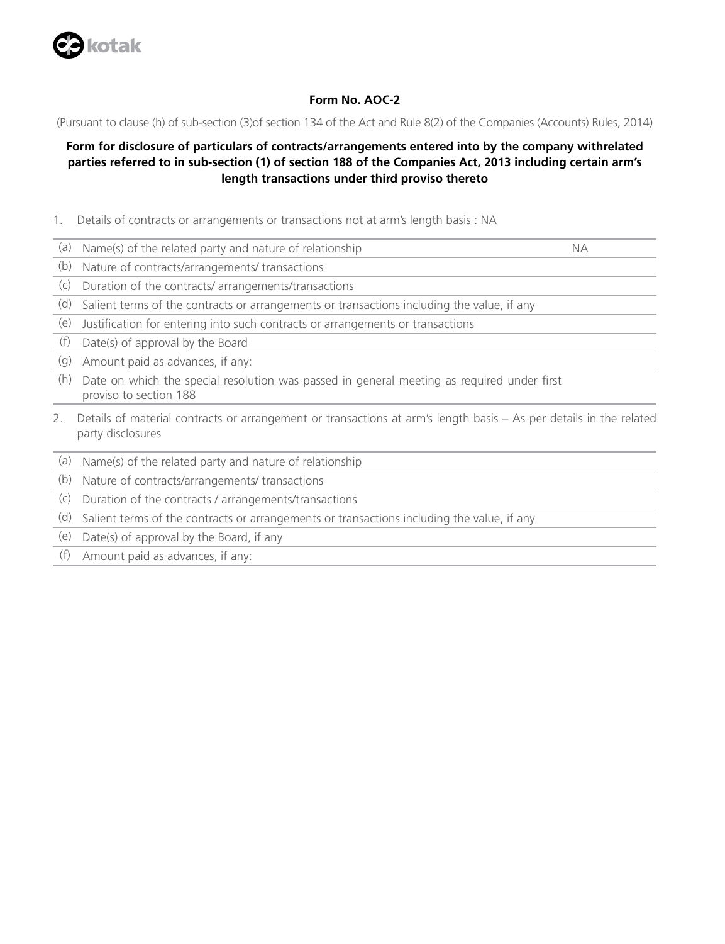

## **Form No. AOC-2**

(Pursuant to clause (h) of sub-section (3)of section 134 of the Act and Rule 8(2) of the Companies (Accounts) Rules, 2014)

# **Form for disclosure of particulars of contracts/arrangements entered into by the company withrelated parties referred to in sub-section (1) of section 188 of the Companies Act, 2013 including certain arm's length transactions under third proviso thereto**

- 1. Details of contracts or arrangements or transactions not at arm's length basis : NA
- (a) Name(s) of the related party and nature of relationship NA
- (b) Nature of contracts/arrangements/ transactions
- (c) Duration of the contracts/ arrangements/transactions
- (d) Salient terms of the contracts or arrangements or transactions including the value, if any
- (e) Justification for entering into such contracts or arrangements or transactions
- (f) Date(s) of approval by the Board
- (g) Amount paid as advances, if any:
- (h) Date on which the special resolution was passed in general meeting as required under first proviso to section 188
- 2. Details of material contracts or arrangement or transactions at arm's length basis As per details in the related party disclosures
- (a) Name(s) of the related party and nature of relationship
- (b) Nature of contracts/arrangements/ transactions
- (c) Duration of the contracts / arrangements/transactions
- (d) Salient terms of the contracts or arrangements or transactions including the value, if any
- (e) Date(s) of approval by the Board, if any
- (f) Amount paid as advances, if any: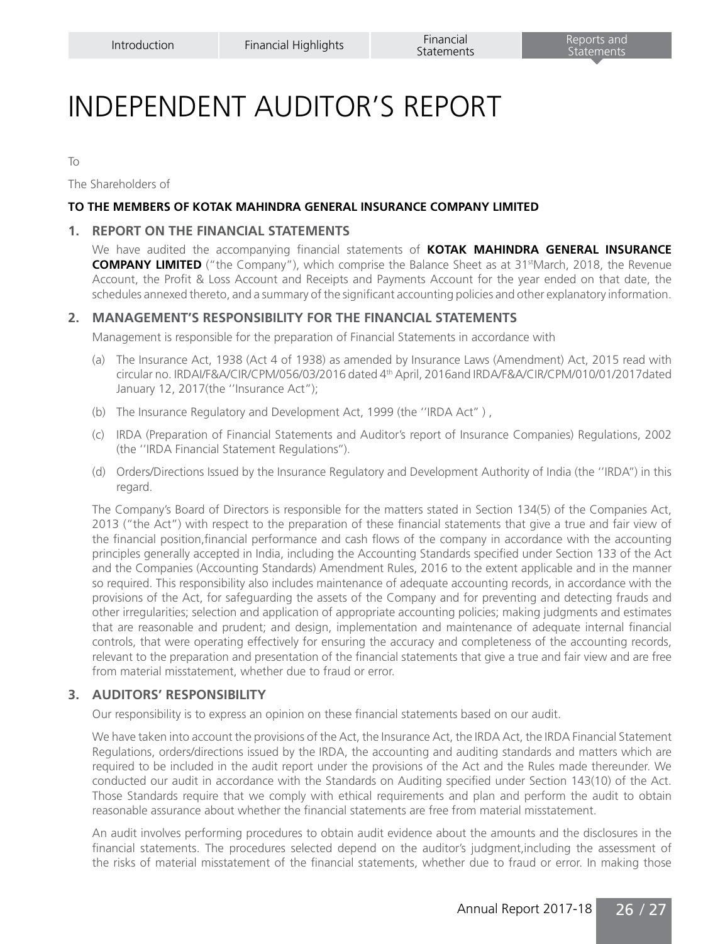# INDEPENDENT AUDITOR'S REPORT

To

The Shareholders of

#### **TO THE MEMBERS OF KOTAK MAHINDRA GENERAL INSURANCE COMPANY LIMITED**

#### **1. REPORT ON THE FINANCIAL STATEMENTS**

We have audited the accompanying financial statements of **KOTAK MAHINDRA GENERAL INSURANCE COMPANY LIMITED** ("the Company"), which comprise the Balance Sheet as at 31<sup>st</sup>March, 2018, the Revenue Account, the Profit & Loss Account and Receipts and Payments Account for the year ended on that date, the schedules annexed thereto, and a summary of the significant accounting policies and other explanatory information.

# **2. MANAGEMENT'S RESPONSIBILITY FOR THE FINANCIAL STATEMENTS**

Management is responsible for the preparation of Financial Statements in accordance with

- (a) The Insurance Act, 1938 (Act 4 of 1938) as amended by Insurance Laws (Amendment) Act, 2015 read with circular no. IRDAI/F&A/CIR/CPM/056/03/2016 dated 4th April, 2016and IRDA/F&A/CIR/CPM/010/01/2017dated January 12, 2017(the ''Insurance Act");
- (b) The Insurance Regulatory and Development Act, 1999 (the ''IRDA Act'' ) ,
- (c) IRDA (Preparation of Financial Statements and Auditor's report of Insurance Companies) Regulations, 2002 (the ''IRDA Financial Statement Regulations'').
- (d) Orders/Directions Issued by the Insurance Regulatory and Development Authority of India (the ''IRDA'') in this regard.

The Company's Board of Directors is responsible for the matters stated in Section 134(5) of the Companies Act, 2013 ("the Act") with respect to the preparation of these financial statements that give a true and fair view of the financial position,financial performance and cash flows of the company in accordance with the accounting principles generally accepted in India, including the Accounting Standards specified under Section 133 of the Act and the Companies (Accounting Standards) Amendment Rules, 2016 to the extent applicable and in the manner so required. This responsibility also includes maintenance of adequate accounting records, in accordance with the provisions of the Act, for safeguarding the assets of the Company and for preventing and detecting frauds and other irregularities; selection and application of appropriate accounting policies; making judgments and estimates that are reasonable and prudent; and design, implementation and maintenance of adequate internal financial controls, that were operating effectively for ensuring the accuracy and completeness of the accounting records, relevant to the preparation and presentation of the financial statements that give a true and fair view and are free from material misstatement, whether due to fraud or error.

## **3. AUDITORS' RESPONSIBILITY**

Our responsibility is to express an opinion on these financial statements based on our audit.

We have taken into account the provisions of the Act, the Insurance Act, the IRDA Act, the IRDA Financial Statement Regulations, orders/directions issued by the IRDA, the accounting and auditing standards and matters which are required to be included in the audit report under the provisions of the Act and the Rules made thereunder. We conducted our audit in accordance with the Standards on Auditing specified under Section 143(10) of the Act. Those Standards require that we comply with ethical requirements and plan and perform the audit to obtain reasonable assurance about whether the financial statements are free from material misstatement.

An audit involves performing procedures to obtain audit evidence about the amounts and the disclosures in the financial statements. The procedures selected depend on the auditor's judgment,including the assessment of the risks of material misstatement of the financial statements, whether due to fraud or error. In making those

Annual Report 2017-18 26 / 27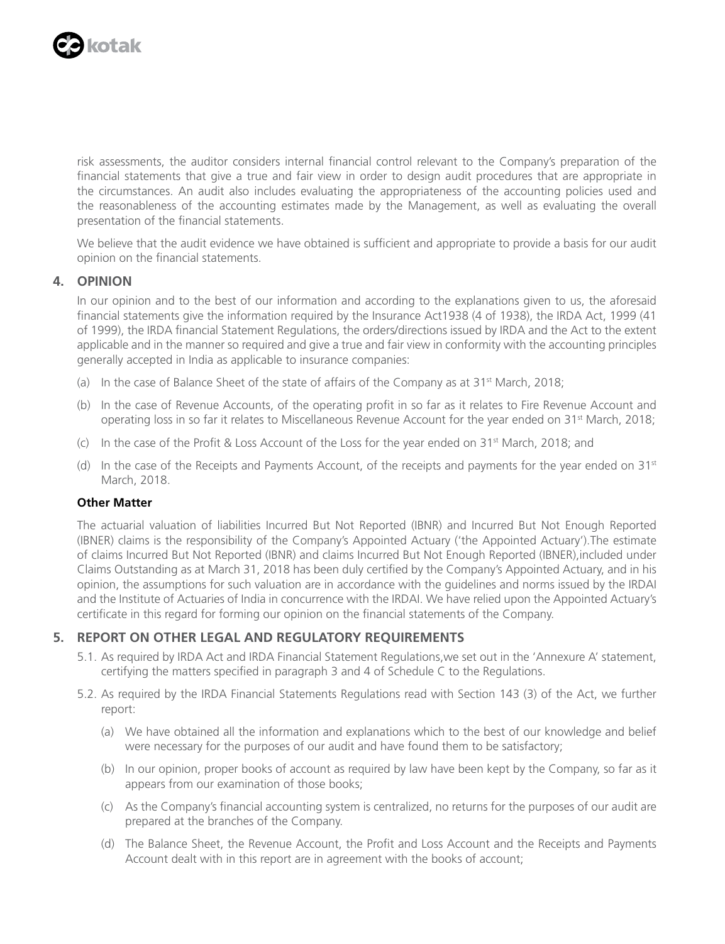

risk assessments, the auditor considers internal financial control relevant to the Company's preparation of the financial statements that give a true and fair view in order to design audit procedures that are appropriate in the circumstances. An audit also includes evaluating the appropriateness of the accounting policies used and the reasonableness of the accounting estimates made by the Management, as well as evaluating the overall presentation of the financial statements.

We believe that the audit evidence we have obtained is sufficient and appropriate to provide a basis for our audit opinion on the financial statements.

# **4. OPINION**

In our opinion and to the best of our information and according to the explanations given to us, the aforesaid financial statements give the information required by the Insurance Act1938 (4 of 1938), the IRDA Act, 1999 (41 of 1999), the IRDA financial Statement Regulations, the orders/directions issued by IRDA and the Act to the extent applicable and in the manner so required and give a true and fair view in conformity with the accounting principles generally accepted in India as applicable to insurance companies:

- (a) In the case of Balance Sheet of the state of affairs of the Company as at  $31^{st}$  March, 2018;
- (b) In the case of Revenue Accounts, of the operating profit in so far as it relates to Fire Revenue Account and operating loss in so far it relates to Miscellaneous Revenue Account for the year ended on 31st March, 2018;
- (c) In the case of the Profit & Loss Account of the Loss for the year ended on 31st March, 2018; and
- (d) In the case of the Receipts and Payments Account, of the receipts and payments for the year ended on  $31<sup>st</sup>$ March, 2018.

# **Other Matter**

The actuarial valuation of liabilities Incurred But Not Reported (IBNR) and Incurred But Not Enough Reported (IBNER) claims is the responsibility of the Company's Appointed Actuary ('the Appointed Actuary').The estimate of claims Incurred But Not Reported (IBNR) and claims Incurred But Not Enough Reported (IBNER),included under Claims Outstanding as at March 31, 2018 has been duly certified by the Company's Appointed Actuary, and in his opinion, the assumptions for such valuation are in accordance with the guidelines and norms issued by the IRDAI and the Institute of Actuaries of India in concurrence with the IRDAI. We have relied upon the Appointed Actuary's certificate in this regard for forming our opinion on the financial statements of the Company.

# **5. REPORT ON OTHER LEGAL AND REGULATORY REQUIREMENTS**

- 5.1. As required by IRDA Act and IRDA Financial Statement Regulations,we set out in the 'Annexure A' statement, certifying the matters specified in paragraph 3 and 4 of Schedule C to the Regulations.
- 5.2. As required by the IRDA Financial Statements Regulations read with Section 143 (3) of the Act, we further report:
	- (a) We have obtained all the information and explanations which to the best of our knowledge and belief were necessary for the purposes of our audit and have found them to be satisfactory;
	- (b) In our opinion, proper books of account as required by law have been kept by the Company, so far as it appears from our examination of those books;
	- (c) As the Company's financial accounting system is centralized, no returns for the purposes of our audit are prepared at the branches of the Company.
	- (d) The Balance Sheet, the Revenue Account, the Profit and Loss Account and the Receipts and Payments Account dealt with in this report are in agreement with the books of account;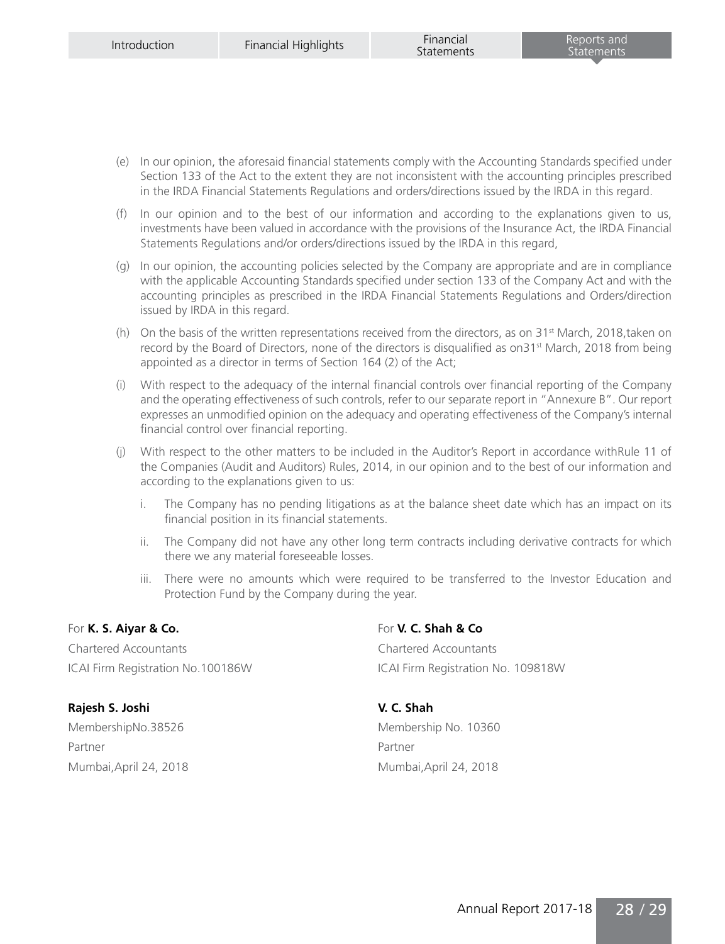- (e) In our opinion, the aforesaid financial statements comply with the Accounting Standards specified under Section 133 of the Act to the extent they are not inconsistent with the accounting principles prescribed in the IRDA Financial Statements Regulations and orders/directions issued by the IRDA in this regard.
- (f) In our opinion and to the best of our information and according to the explanations given to us, investments have been valued in accordance with the provisions of the Insurance Act, the IRDA Financial Statements Regulations and/or orders/directions issued by the IRDA in this regard,
- (g) In our opinion, the accounting policies selected by the Company are appropriate and are in compliance with the applicable Accounting Standards specified under section 133 of the Company Act and with the accounting principles as prescribed in the IRDA Financial Statements Regulations and Orders/direction issued by IRDA in this regard.
- (h) On the basis of the written representations received from the directors, as on  $31<sup>st</sup>$  March, 2018,taken on record by the Board of Directors, none of the directors is disqualified as on $31<sup>st</sup>$  March, 2018 from being appointed as a director in terms of Section 164 (2) of the Act;
- (i) With respect to the adequacy of the internal financial controls over financial reporting of the Company and the operating effectiveness of such controls, refer to our separate report in "Annexure B". Our report expresses an unmodified opinion on the adequacy and operating effectiveness of the Company's internal financial control over financial reporting.
- (j) With respect to the other matters to be included in the Auditor's Report in accordance withRule 11 of the Companies (Audit and Auditors) Rules, 2014, in our opinion and to the best of our information and according to the explanations given to us:
	- i. The Company has no pending litigations as at the balance sheet date which has an impact on its financial position in its financial statements.
	- ii. The Company did not have any other long term contracts including derivative contracts for which there we any material foreseeable losses.
	- iii. There were no amounts which were required to be transferred to the Investor Education and Protection Fund by the Company during the year.

# For **K. S. Aiyar & Co.** For **V. C. Shah & Co**

Chartered Accountants Chartered Accountants ICAI Firm Registration No.100186W ICAI Firm Registration No. 109818W

**Rajesh S. Joshi V. C. Shah** MembershipNo.38526 Membership No. 10360 Partner Partner Partner Partner

Mumbai,April 24, 2018 Mumbai,April 24, 2018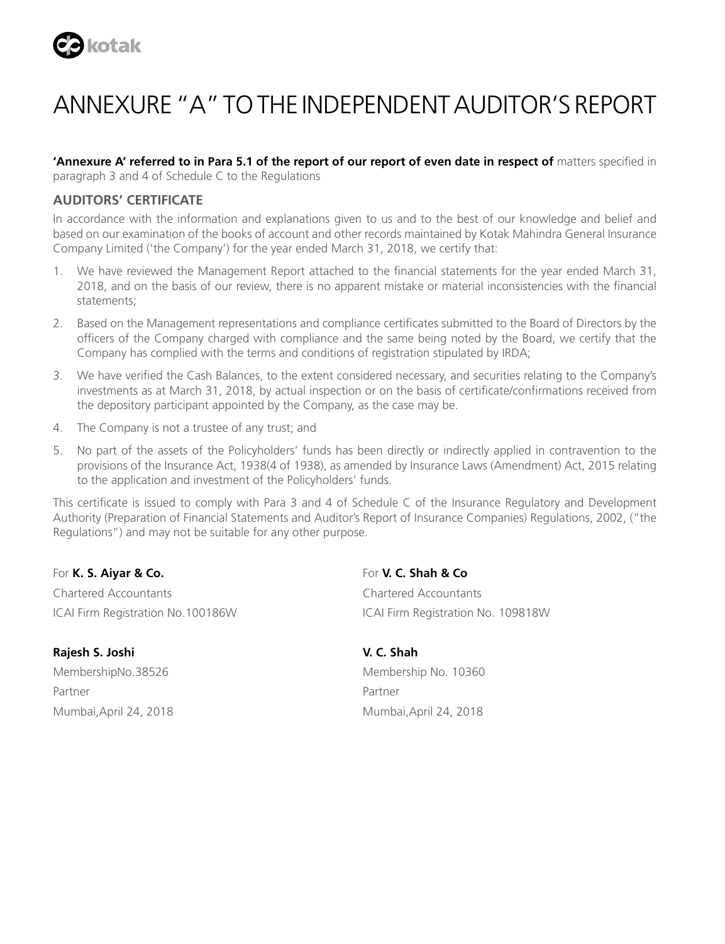

# ANNEXURE "A" TO THE INDEPENDENT AUDITOR'S REPORT

**'Annexure A' referred to in Para 5.1 of the report of our report of even date in respect of** matters specified in paragraph 3 and 4 of Schedule C to the Regulations

# **AUDITORS' CERTIFICATE**

In accordance with the information and explanations given to us and to the best of our knowledge and belief and based on our examination of the books of account and other records maintained by Kotak Mahindra General Insurance Company Limited ('the Company') for the year ended March 31, 2018, we certify that:

- 1. We have reviewed the Management Report attached to the financial statements for the year ended March 31, 2018, and on the basis of our review, there is no apparent mistake or material inconsistencies with the financial statements;
- 2. Based on the Management representations and compliance certificates submitted to the Board of Directors by the officers of the Company charged with compliance and the same being noted by the Board, we certify that the Company has complied with the terms and conditions of registration stipulated by IRDA;
- 3. We have verified the Cash Balances, to the extent considered necessary, and securities relating to the Company's investments as at March 31, 2018, by actual inspection or on the basis of certificate/confirmations received from the depository participant appointed by the Company, as the case may be.
- 4. The Company is not a trustee of any trust; and
- 5. No part of the assets of the Policyholders' funds has been directly or indirectly applied in contravention to the provisions of the Insurance Act, 1938(4 of 1938), as amended by Insurance Laws (Amendment) Act, 2015 relating to the application and investment of the Policyholders' funds.

This certificate is issued to comply with Para 3 and 4 of Schedule C of the Insurance Regulatory and Development Authority (Preparation of Financial Statements and Auditor's Report of Insurance Companies) Regulations, 2002, ("the Regulations") and may not be suitable for any other purpose.

For **K. S. Aiyar & Co.** For **V. C. Shah & Co** Chartered Accountants Chartered Accountants

**Rajesh S. Joshi V. C. Shah** Partner Partner Partner Partner Mumbai,April 24, 2018 Mumbai,April 24, 2018

ICAI Firm Registration No.100186W ICAI Firm Registration No. 109818W

MembershipNo.38526 Membership No. 10360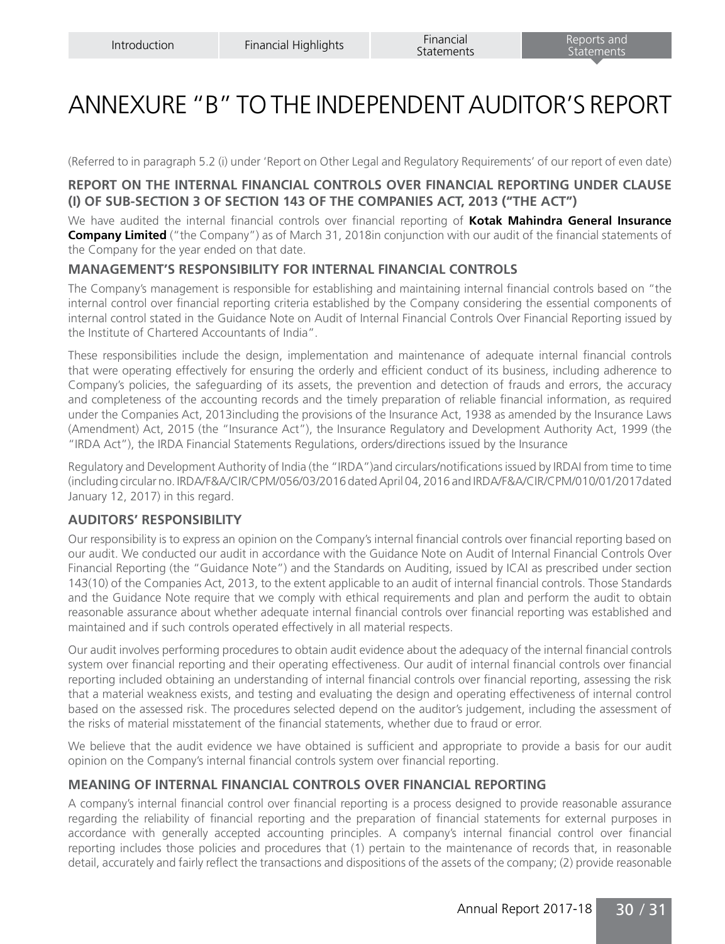# ANNEXURE "B" TO THE INDEPENDENT AUDITOR'S REPORT

(Referred to in paragraph 5.2 (i) under 'Report on Other Legal and Regulatory Requirements' of our report of even date)

# **REPORT ON THE INTERNAL FINANCIAL CONTROLS OVER FINANCIAL REPORTING UNDER CLAUSE (I) OF SUB-SECTION 3 OF SECTION 143 OF THE COMPANIES ACT, 2013 ("THE ACT")**

We have audited the internal financial controls over financial reporting of **Kotak Mahindra General Insurance Company Limited** ("the Company") as of March 31, 2018in conjunction with our audit of the financial statements of the Company for the year ended on that date.

# **MANAGEMENT'S RESPONSIBILITY FOR INTERNAL FINANCIAL CONTROLS**

The Company's management is responsible for establishing and maintaining internal financial controls based on "the internal control over financial reporting criteria established by the Company considering the essential components of internal control stated in the Guidance Note on Audit of Internal Financial Controls Over Financial Reporting issued by the Institute of Chartered Accountants of India".

These responsibilities include the design, implementation and maintenance of adequate internal financial controls that were operating effectively for ensuring the orderly and efficient conduct of its business, including adherence to Company's policies, the safeguarding of its assets, the prevention and detection of frauds and errors, the accuracy and completeness of the accounting records and the timely preparation of reliable financial information, as required under the Companies Act, 2013including the provisions of the Insurance Act, 1938 as amended by the Insurance Laws (Amendment) Act, 2015 (the "Insurance Act"), the Insurance Regulatory and Development Authority Act, 1999 (the "IRDA Act"), the IRDA Financial Statements Regulations, orders/directions issued by the Insurance

Regulatory and Development Authority of India (the "IRDA")and circulars/notifications issued by IRDAI from time to time (including circular no. IRDA/F&A/CIR/CPM/056/03/2016 dated April 04, 2016 and IRDA/F&A/CIR/CPM/010/01/2017dated January 12, 2017) in this regard.

# **AUDITORS' RESPONSIBILITY**

Our responsibility is to express an opinion on the Company's internal financial controls over financial reporting based on our audit. We conducted our audit in accordance with the Guidance Note on Audit of Internal Financial Controls Over Financial Reporting (the "Guidance Note") and the Standards on Auditing, issued by ICAI as prescribed under section 143(10) of the Companies Act, 2013, to the extent applicable to an audit of internal financial controls. Those Standards and the Guidance Note require that we comply with ethical requirements and plan and perform the audit to obtain reasonable assurance about whether adequate internal financial controls over financial reporting was established and maintained and if such controls operated effectively in all material respects.

Our audit involves performing procedures to obtain audit evidence about the adequacy of the internal financial controls system over financial reporting and their operating effectiveness. Our audit of internal financial controls over financial reporting included obtaining an understanding of internal financial controls over financial reporting, assessing the risk that a material weakness exists, and testing and evaluating the design and operating effectiveness of internal control based on the assessed risk. The procedures selected depend on the auditor's judgement, including the assessment of the risks of material misstatement of the financial statements, whether due to fraud or error.

We believe that the audit evidence we have obtained is sufficient and appropriate to provide a basis for our audit opinion on the Company's internal financial controls system over financial reporting.

# **MEANING OF INTERNAL FINANCIAL CONTROLS OVER FINANCIAL REPORTING**

A company's internal financial control over financial reporting is a process designed to provide reasonable assurance regarding the reliability of financial reporting and the preparation of financial statements for external purposes in accordance with generally accepted accounting principles. A company's internal financial control over financial reporting includes those policies and procedures that (1) pertain to the maintenance of records that, in reasonable detail, accurately and fairly reflect the transactions and dispositions of the assets of the company; (2) provide reasonable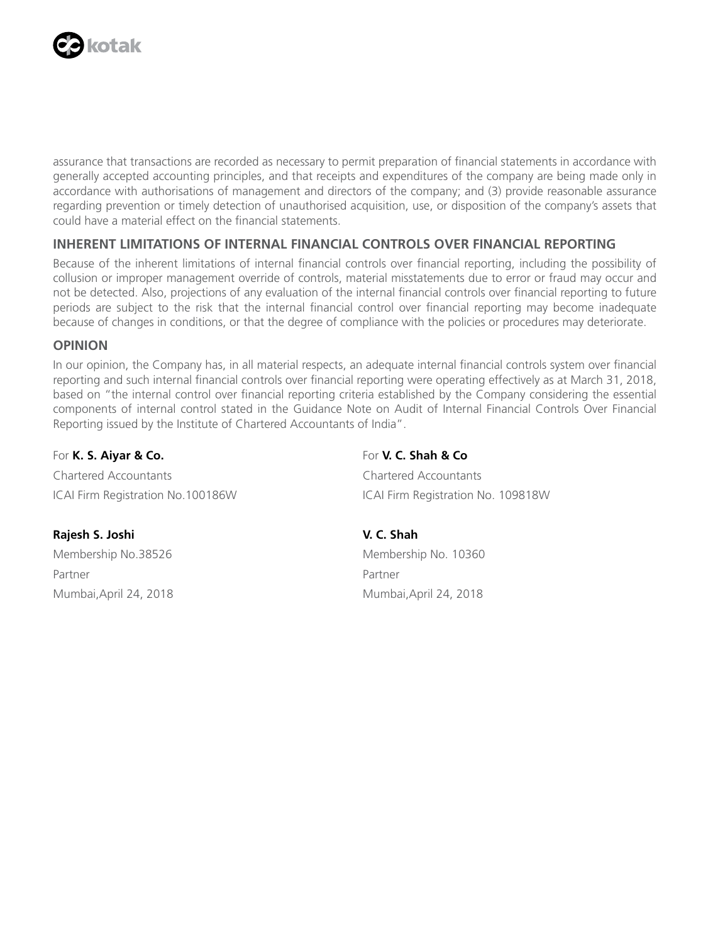

assurance that transactions are recorded as necessary to permit preparation of financial statements in accordance with generally accepted accounting principles, and that receipts and expenditures of the company are being made only in accordance with authorisations of management and directors of the company; and (3) provide reasonable assurance regarding prevention or timely detection of unauthorised acquisition, use, or disposition of the company's assets that could have a material effect on the financial statements.

# **INHERENT LIMITATIONS OF INTERNAL FINANCIAL CONTROLS OVER FINANCIAL REPORTING**

Because of the inherent limitations of internal financial controls over financial reporting, including the possibility of collusion or improper management override of controls, material misstatements due to error or fraud may occur and not be detected. Also, projections of any evaluation of the internal financial controls over financial reporting to future periods are subject to the risk that the internal financial control over financial reporting may become inadequate because of changes in conditions, or that the degree of compliance with the policies or procedures may deteriorate.

# **OPINION**

In our opinion, the Company has, in all material respects, an adequate internal financial controls system over financial reporting and such internal financial controls over financial reporting were operating effectively as at March 31, 2018, based on "the internal control over financial reporting criteria established by the Company considering the essential components of internal control stated in the Guidance Note on Audit of Internal Financial Controls Over Financial Reporting issued by the Institute of Chartered Accountants of India".

## For **K. S. Aiyar & Co.** For **V. C. Shah & Co**

Chartered Accountants Chartered Accountants ICAI Firm Registration No.100186W ICAI Firm Registration No. 109818W

# **Rajesh S. Joshi V. C. Shah**

Partner Partner Partner Partner Mumbai,April 24, 2018 Mumbai,April 24, 2018

Membership No.38526 Membership No. 10360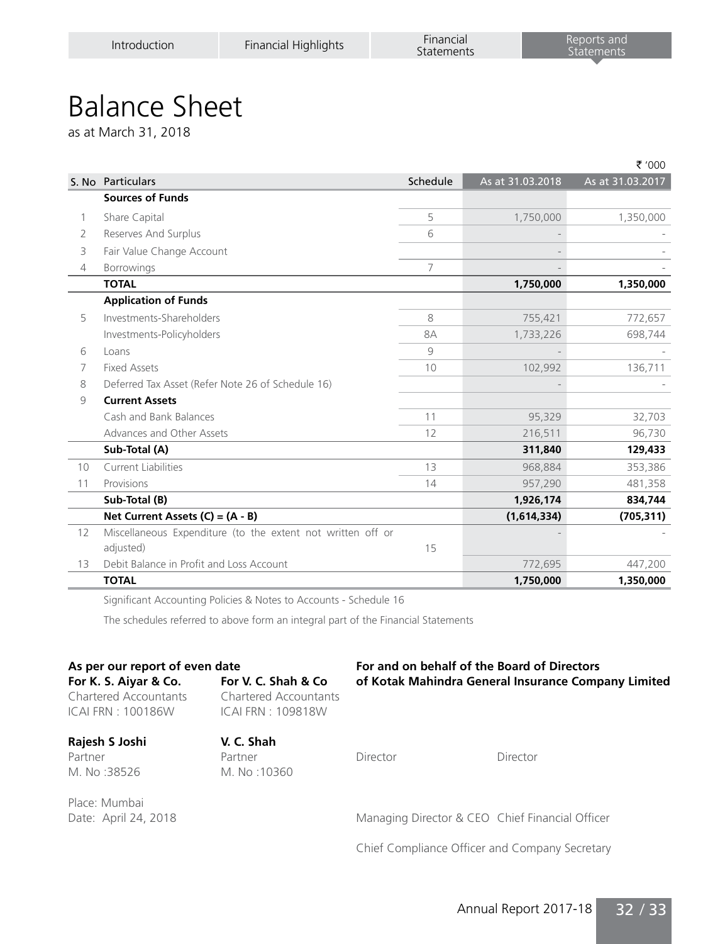# Balance Sheet

as at March 31, 2018

|                |                                                             |          |                  | ₹ '000           |
|----------------|-------------------------------------------------------------|----------|------------------|------------------|
|                | S. No Particulars                                           | Schedule | As at 31.03.2018 | As at 31.03.2017 |
|                | <b>Sources of Funds</b>                                     |          |                  |                  |
| 1              | Share Capital                                               | 5        | 1,750,000        | 1,350,000        |
| 2              | Reserves And Surplus                                        | 6        |                  |                  |
| 3              | Fair Value Change Account                                   |          |                  |                  |
| $\overline{4}$ | <b>Borrowings</b>                                           | 7        |                  |                  |
|                | <b>TOTAL</b>                                                |          | 1,750,000        | 1,350,000        |
|                | <b>Application of Funds</b>                                 |          |                  |                  |
| 5              | Investments-Shareholders                                    | 8        | 755,421          | 772,657          |
|                | Investments-Policyholders                                   | 8A       | 1,733,226        | 698,744          |
| 6              | Loans                                                       | 9        |                  |                  |
| 7              | <b>Fixed Assets</b>                                         | 10       | 102,992          | 136,711          |
| 8              | Deferred Tax Asset (Refer Note 26 of Schedule 16)           |          |                  |                  |
| 9              | <b>Current Assets</b>                                       |          |                  |                  |
|                | Cash and Bank Balances                                      | 11       | 95,329           | 32,703           |
|                | Advances and Other Assets                                   | 12       | 216,511          | 96,730           |
|                | Sub-Total (A)                                               |          | 311,840          | 129,433          |
| 10             | <b>Current Liabilities</b>                                  | 13       | 968,884          | 353,386          |
| 11             | Provisions                                                  | 14       | 957,290          | 481,358          |
|                | Sub-Total (B)                                               |          | 1,926,174        | 834,744          |
|                | Net Current Assets $(C) = (A - B)$                          |          | (1,614,334)      | (705, 311)       |
| 12             | Miscellaneous Expenditure (to the extent not written off or |          |                  |                  |
|                | adjusted)                                                   | 15       |                  |                  |
| 13             | Debit Balance in Profit and Loss Account                    |          | 772,695          | 447,200          |
|                | <b>TOTAL</b>                                                |          | 1,750,000        | 1,350,000        |

Significant Accounting Policies & Notes to Accounts - Schedule 16

The schedules referred to above form an integral part of the Financial Statements

# **As per our report of even date For and on behalf of the Board of Directors**

**For K. S. Aiyar & Co. For V. C. Shah & Co of Kotak Mahindra General Insurance Company Limited** Chartered Accountants Chartered Accountants ICAI FRN : 100186W ICAI FRN : 109818W

**Rajesh S Joshi V. C. Shah**  Partner **Partner** Partner **Director Director Director** M. No :38526 M. No :10360

Place: Mumbai

Date: April 24, 2018 Managing Director & CEO Chief Financial Officer

Chief Compliance Officer and Company Secretary

Annual Report 2017-18 32 / 33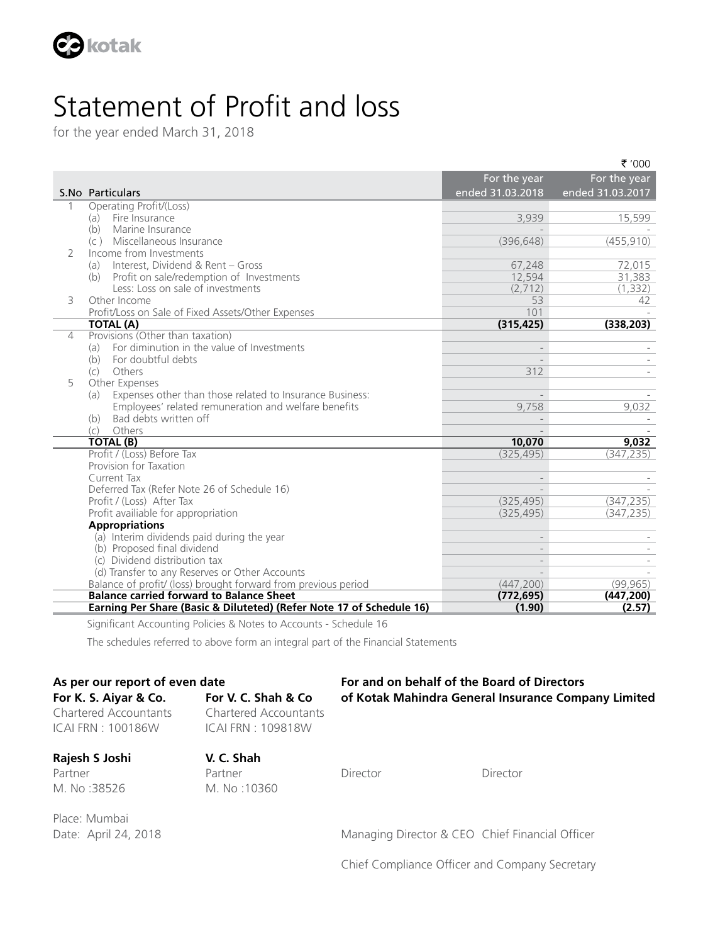

# Statement of Profit and loss

for the year ended March 31, 2018

|                |                                                                          |                  | ₹ '000           |
|----------------|--------------------------------------------------------------------------|------------------|------------------|
|                |                                                                          | For the year     | For the year     |
|                | S.No Particulars                                                         | ended 31.03.2018 | ended 31.03.2017 |
| 1              | Operating Profit/(Loss)                                                  |                  |                  |
|                | Fire Insurance<br>(a)                                                    | 3,939            | 15,599           |
|                | (b)<br>Marine Insurance                                                  |                  |                  |
|                | (c) Miscellaneous Insurance                                              | (396, 648)       | (455, 910)       |
| 2              | Income from Investments                                                  |                  |                  |
|                | Interest, Dividend & Rent - Gross<br>(a)                                 | 67,248           | 72,015           |
|                | Profit on sale/redemption of Investments<br>(b)                          | 12,594           | 31,383           |
|                | Less: Loss on sale of investments                                        | (2,712)          | (1, 332)         |
| 3              | Other Income                                                             | 53               | 42               |
|                | Profit/Loss on Sale of Fixed Assets/Other Expenses                       | 101              |                  |
|                | <b>TOTAL (A)</b>                                                         | (315, 425)       | (338, 203)       |
| $\overline{4}$ | Provisions (Other than taxation)                                         |                  |                  |
|                | For diminution in the value of Investments<br>(a)                        |                  |                  |
|                | For doubtful debts<br>(b)                                                |                  |                  |
|                | Others<br>(c)                                                            | 312              |                  |
| 5              | Other Expenses                                                           |                  |                  |
|                | Expenses other than those related to Insurance Business:<br>(a)          | $\overline{a}$   |                  |
|                | Employees' related remuneration and welfare benefits                     | 9,758            | 9,032            |
|                | Bad debts written off<br>(b)                                             |                  |                  |
|                | (c)<br>Others                                                            |                  |                  |
|                | <b>TOTAL (B)</b>                                                         | 10,070           | 9,032            |
|                | Profit / (Loss) Before Tax                                               | (325, 495)       | (347, 235)       |
|                | Provision for Taxation<br>Current Tax                                    |                  |                  |
|                |                                                                          |                  |                  |
|                | Deferred Tax (Refer Note 26 of Schedule 16)<br>Profit / (Loss) After Tax | (325, 495)       | (347, 235)       |
|                | Profit availiable for appropriation                                      | (325, 495)       | (347, 235)       |
|                | <b>Appropriations</b>                                                    |                  |                  |
|                | (a) Interim dividends paid during the year                               |                  |                  |
|                | (b) Proposed final dividend                                              |                  |                  |
|                | (c) Dividend distribution tax                                            |                  |                  |
|                | (d) Transfer to any Reserves or Other Accounts                           |                  |                  |
|                | Balance of profit/ (loss) brought forward from previous period           | (447, 200)       | (99, 965)        |
|                | <b>Balance carried forward to Balance Sheet</b>                          | (772, 695)       | (447,200)        |
|                | Earning Per Share (Basic & Diluteted) (Refer Note 17 of Schedule 16)     | (1.90)           | (2.57)           |
|                |                                                                          |                  |                  |

Significant Accounting Policies & Notes to Accounts - Schedule 16

The schedules referred to above form an integral part of the Financial Statements

# **As per our report of even date For and on behalf of the Board of Directors For K. S. Aiyar & Co. For V. C. Shah & Co of Kotak Mahindra General Insurance Company Limited**

ICAI FRN : 100186W ICAI FRN : 109818W

Chartered Accountants Chartered Accountants

**Rajesh S Joshi V. C. Shah**  Partner **Partner Partner** Director **Director** Director M. No :38526 M. No :10360

Place: Mumbai

Date: April 24, 2018 Managing Director & CEO Chief Financial Officer

Chief Compliance Officer and Company Secretary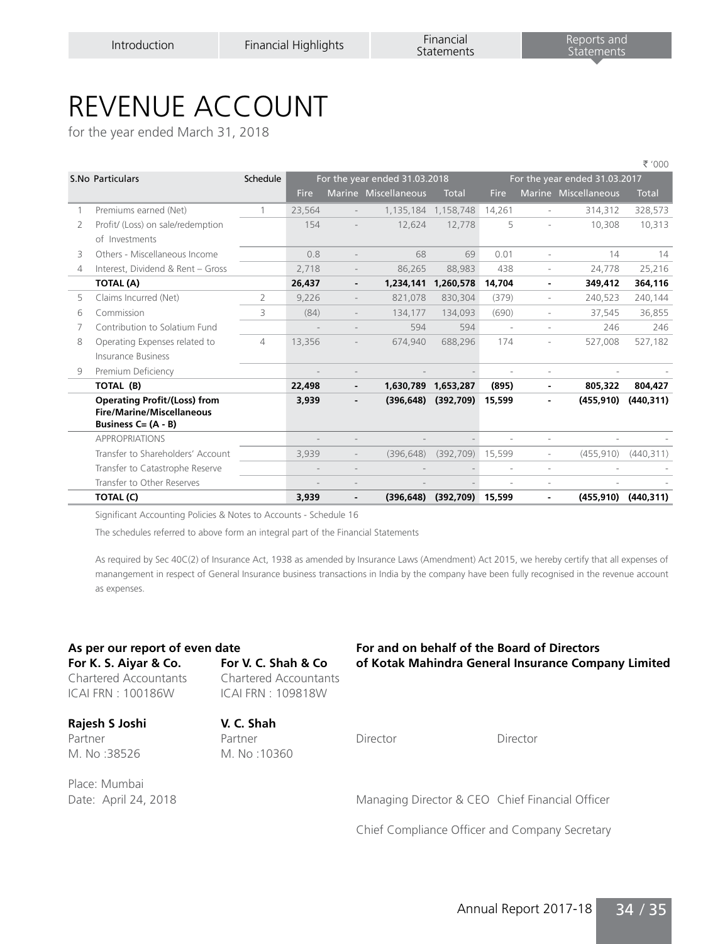# REVENUE ACCOUNT

for the year ended March 31, 2018

|   |                                     |          |        |                |                               |                     |                          |                          |                               | ₹ '000       |
|---|-------------------------------------|----------|--------|----------------|-------------------------------|---------------------|--------------------------|--------------------------|-------------------------------|--------------|
|   | S.No Particulars                    | Schedule |        |                | For the year ended 31.03.2018 |                     |                          |                          | For the year ended 31.03.2017 |              |
|   |                                     |          | Fire   |                | Marine Miscellaneous          | <b>Total</b>        | <b>Fire</b>              |                          | Marine Miscellaneous          | <b>Total</b> |
|   | Premiums earned (Net)               | 1        | 23,564 |                |                               | 1,135,184 1,158,748 | 14,261                   | ä,                       | 314,312                       | 328,573      |
| 2 | Profit/ (Loss) on sale/redemption   |          | 154    |                | 12,624                        | 12,778              | 5                        |                          | 10,308                        | 10,313       |
|   | of Investments                      |          |        |                |                               |                     |                          |                          |                               |              |
| 3 | Others - Miscellaneous Income       |          | 0.8    |                | 68                            | 69                  | 0.01                     | ä,                       | 14                            | 14           |
| 4 | Interest, Dividend & Rent - Gross   |          | 2,718  |                | 86,265                        | 88,983              | 438                      | $\overline{\phantom{a}}$ | 24,778                        | 25,216       |
|   | TOTAL (A)                           |          | 26,437 | $\blacksquare$ | 1,234,141                     | 1,260,578           | 14,704                   | $\blacksquare$           | 349,412                       | 364,116      |
| 5 | Claims Incurred (Net)               | 2        | 9,226  |                | 821.078                       | 830.304             | (379)                    | ä,                       | 240.523                       | 240,144      |
| 6 | Commission                          | 3        | (84)   |                | 134,177                       | 134,093             | (690)                    | ٠                        | 37,545                        | 36,855       |
|   | Contribution to Solatium Fund       |          |        |                | 594                           | 594                 | $\overline{\phantom{a}}$ | ٠                        | 246                           | 246          |
| 8 | Operating Expenses related to       | 4        | 13,356 |                | 674,940                       | 688,296             | 174                      | ٠                        | 527,008                       | 527,182      |
|   | Insurance Business                  |          |        |                |                               |                     |                          |                          |                               |              |
| 9 | Premium Deficiency                  |          |        |                |                               |                     |                          |                          |                               |              |
|   | TOTAL (B)                           |          | 22,498 |                |                               | 1,630,789 1,653,287 | (895)                    |                          | 805,322                       | 804,427      |
|   | <b>Operating Profit/(Loss) from</b> |          | 3,939  |                | (396, 648)                    | (392,709)           | 15,599                   |                          | (455, 910)                    | (440, 311)   |
|   | Fire/Marine/Miscellaneous           |          |        |                |                               |                     |                          |                          |                               |              |
|   | Business $C = (A - B)$              |          |        |                |                               |                     |                          |                          |                               |              |
|   | <b>APPROPRIATIONS</b>               |          |        |                |                               |                     |                          | ×                        |                               |              |
|   | Transfer to Shareholders' Account   |          | 3,939  |                | (396.648)                     | (392, 709)          | 15,599                   | $\overline{\phantom{a}}$ | (455, 910)                    | (440, 311)   |
|   | Transfer to Catastrophe Reserve     |          |        |                |                               |                     |                          | ×.                       |                               |              |
|   | Transfer to Other Reserves          |          |        |                |                               |                     |                          | ÷,                       |                               |              |
|   | TOTAL (C)                           |          | 3,939  | $\blacksquare$ | (396, 648)                    | (392,709)           | 15,599                   | ۰                        | (455, 910)                    | (440, 311)   |

Significant Accounting Policies & Notes to Accounts - Schedule 16

The schedules referred to above form an integral part of the Financial Statements

As required by Sec 40C(2) of Insurance Act, 1938 as amended by Insurance Laws (Amendment) Act 2015, we hereby certify that all expenses of manangement in respect of General Insurance business transactions in India by the company have been fully recognised in the revenue account as expenses.

ICAI FRN : 100186W ICAI FRN : 109818W

Chartered Accountants Chartered Accountants

# **Rajesh S Joshi V. C. Shah**  Partner **Partner** Partner **Director Director Director** M. No :38526 M. No :10360

Place: Mumbai

## **As per our report of even date For and on behalf of the Board of Directors For K. S. Aiyar & Co. For V. C. Shah & Co of Kotak Mahindra General Insurance Company Limited**

Date: April 24, 2018 Managing Director & CEO Chief Financial Officer

Chief Compliance Officer and Company Secretary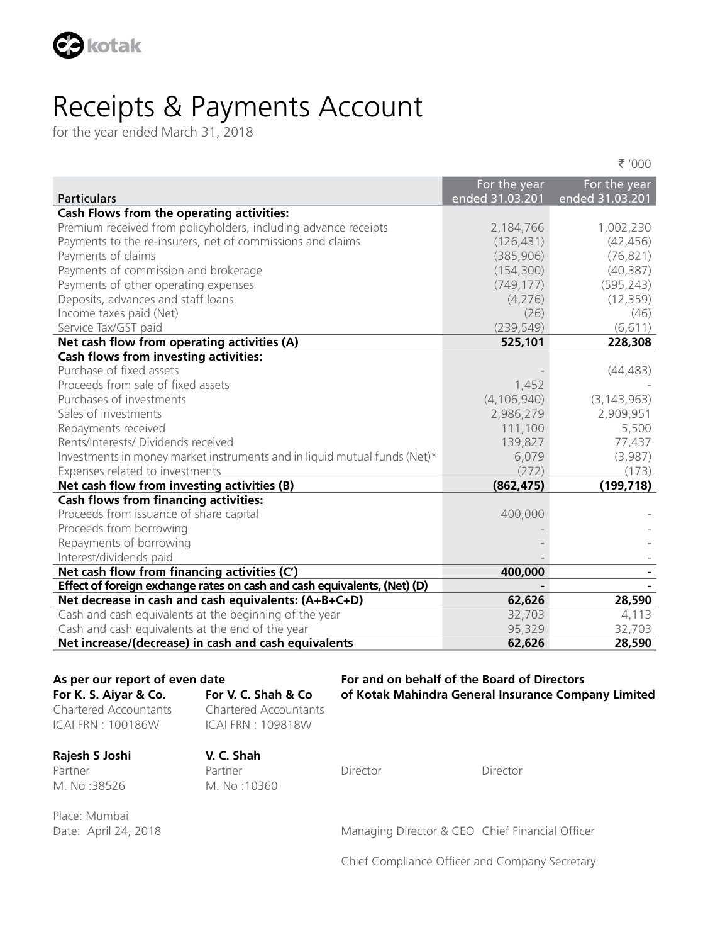

# Receipts & Payments Account

for the year ended March 31, 2018

|                                                                           |                 | ₹ '000          |
|---------------------------------------------------------------------------|-----------------|-----------------|
|                                                                           | For the year    | For the year    |
| <b>Particulars</b>                                                        | ended 31.03.201 | ended 31.03.201 |
| Cash Flows from the operating activities:                                 |                 |                 |
| Premium received from policyholders, including advance receipts           | 2,184,766       | 1,002,230       |
| Payments to the re-insurers, net of commissions and claims                | (126, 431)      | (42, 456)       |
| Payments of claims                                                        | (385, 906)      | (76, 821)       |
| Payments of commission and brokerage                                      | (154, 300)      | (40, 387)       |
| Payments of other operating expenses                                      | (749, 177)      | (595, 243)      |
| Deposits, advances and staff loans                                        | (4, 276)        | (12, 359)       |
| Income taxes paid (Net)                                                   | (26)            | (46)            |
| Service Tax/GST paid                                                      | (239, 549)      | (6, 611)        |
| Net cash flow from operating activities (A)                               | 525,101         | 228,308         |
| Cash flows from investing activities:                                     |                 |                 |
| Purchase of fixed assets                                                  |                 | (44, 483)       |
| Proceeds from sale of fixed assets                                        | 1,452           |                 |
| Purchases of investments                                                  | (4, 106, 940)   | (3, 143, 963)   |
| Sales of investments                                                      | 2,986,279       | 2,909,951       |
| Repayments received                                                       | 111,100         | 5,500           |
| Rents/Interests/ Dividends received                                       | 139,827         | 77,437          |
| Investments in money market instruments and in liquid mutual funds (Net)* | 6,079           | (3,987)         |
| Expenses related to investments                                           | (272)           | (173)           |
| Net cash flow from investing activities (B)                               | (862, 475)      | (199, 718)      |
| <b>Cash flows from financing activities:</b>                              |                 |                 |
| Proceeds from issuance of share capital                                   | 400,000         |                 |
| Proceeds from borrowing                                                   |                 |                 |
| Repayments of borrowing                                                   |                 |                 |
| Interest/dividends paid                                                   |                 |                 |
| Net cash flow from financing activities (C')                              | 400,000         |                 |
| Effect of foreign exchange rates on cash and cash equivalents, (Net) (D)  |                 |                 |
| Net decrease in cash and cash equivalents: (A+B+C+D)                      | 62,626          | 28,590          |
| Cash and cash equivalents at the beginning of the year                    | 32,703          | 4,113           |
| Cash and cash equivalents at the end of the year                          | 95,329          | 32,703          |
| Net increase/(decrease) in cash and cash equivalents                      | 62,626          | 28,590          |

**As per our report of even date For and on behalf of the Board of Directors For K. S. Aiyar & Co. For V. C. Shah & Co of Kotak Mahindra General Insurance Company Limited**

Chartered Accountants Chartered Accountants ICAI FRN : 100186W ICAI FRN : 109818W

**Rajesh S Joshi V. C. Shah**  Partner **Partner Partner** Director **Director** Director M. No :38526 M. No :10360

Place: Mumbai

Date: April 24, 2018 Managing Director & CEO Chief Financial Officer

Chief Compliance Officer and Company Secretary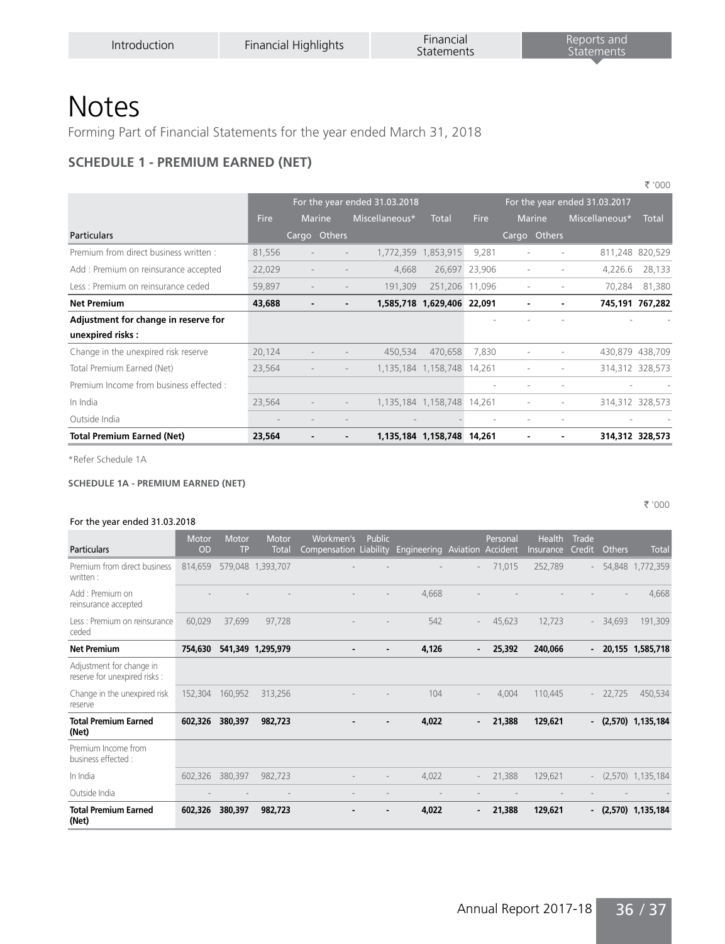# Notes

Forming Part of Financial Statements for the year ended March 31, 2018

# **SCHEDULE 1 - PREMIUM EARNED (NET)**

|                                         |                               |                          |                          |                            |             |                               |   |                | ₹ '000          |  |  |  |
|-----------------------------------------|-------------------------------|--------------------------|--------------------------|----------------------------|-------------|-------------------------------|---|----------------|-----------------|--|--|--|
|                                         | For the year ended 31.03.2018 |                          |                          |                            |             | For the year ended 31.03.2017 |   |                |                 |  |  |  |
|                                         | <b>Fire</b>                   | <b>Marine</b>            | Miscellaneous*           | <b>Total</b>               | <b>Fire</b> | <b>Marine</b>                 |   | Miscellaneous* | <b>Total</b>    |  |  |  |
| <b>Particulars</b>                      |                               | Cargo Others             |                          |                            |             | Cargo Others                  |   |                |                 |  |  |  |
| Premium from direct business written :  | 81,556                        |                          |                          | 1,772,359 1,853,915        | 9,281       |                               |   |                | 811,248 820,529 |  |  |  |
| Add: Premium on reinsurance accepted    | 22,029                        |                          | 4,668                    | 26,697                     | 23,906      | ٠                             |   | 4,226.6        | 28,133          |  |  |  |
| Less : Premium on reinsurance ceded     | 59,897                        | $\overline{\phantom{a}}$ | 191,309                  | 251,206                    | 11,096      | ۰                             |   | 70,284         | 81,380          |  |  |  |
| <b>Net Premium</b>                      | 43,688                        | $\blacksquare$           | $\overline{\phantom{0}}$ | 1,585,718 1,629,406 22,091 |             |                               |   |                | 745,191 767,282 |  |  |  |
| Adjustment for change in reserve for    |                               |                          |                          |                            |             |                               |   |                |                 |  |  |  |
| unexpired risks:                        |                               |                          |                          |                            |             |                               |   |                |                 |  |  |  |
| Change in the unexpired risk reserve    | 20,124                        |                          | 450,534                  | 470.658                    | 7,830       |                               |   |                | 430,879 438,709 |  |  |  |
| Total Premium Earned (Net)              | 23,564                        |                          |                          | 1,135,184 1,158,748        | 14,261      |                               |   |                | 314,312 328,573 |  |  |  |
| Premium Income from business effected : |                               |                          |                          |                            |             |                               |   |                |                 |  |  |  |
| In India                                | 23,564                        |                          |                          | 1,135,184 1,158,748        | 14.261      |                               |   |                | 314,312 328,573 |  |  |  |
| Outside India                           |                               |                          |                          |                            |             |                               | ٠ |                |                 |  |  |  |
| <b>Total Premium Earned (Net)</b>       | 23,564                        |                          |                          | 1,135,184 1,158,748        | 14,261      |                               |   |                | 314.312 328.573 |  |  |  |

\*Refer Schedule 1A

#### **SCHEDULE 1A - PREMIUM EARNED (NET)**

` '000

#### For the year ended 31.03.2018

| <b>Particulars</b>                                        | Motor<br><b>OD</b> | Motor<br><b>TP</b> | Motor<br>Total    | Workmen's<br>Compensation Liability | Public | Engineering Aviation Accident |                          | Personal | Health<br>Insurance | Trade<br><b>Credit</b> | Others | <b>Total</b>          |
|-----------------------------------------------------------|--------------------|--------------------|-------------------|-------------------------------------|--------|-------------------------------|--------------------------|----------|---------------------|------------------------|--------|-----------------------|
| Premium from direct business<br>written:                  | 814,659            |                    | 579,048 1,393,707 |                                     |        |                               |                          | 71,015   | 252,789             | $\sim$                 | 54,848 | 1,772,359             |
| Add: Premium on<br>reinsurance accepted                   |                    |                    |                   |                                     |        | 4,668                         |                          |          |                     |                        |        | 4,668                 |
| Less : Premium on reinsurance<br>ceded                    | 60,029             | 37,699             | 97,728            |                                     |        | 542                           | $\sim$                   | 45,623   | 12,723              | $\sim$                 | 34,693 | 191,309               |
| <b>Net Premium</b>                                        | 754,630            |                    | 541,349 1,295,979 |                                     |        | 4,126                         |                          | 25,392   | 240,066             | $\sim$                 |        | 20,155 1,585,718      |
| Adjustment for change in<br>reserve for unexpired risks : |                    |                    |                   |                                     |        |                               |                          |          |                     |                        |        |                       |
| Change in the unexpired risk<br>reserve                   | 152,304            | 160,952            | 313,256           |                                     |        | 104                           |                          | 4,004    | 110,445             | $\sim$                 | 22,725 | 450,534               |
| <b>Total Premium Earned</b><br>(Net)                      | 602,326            | 380,397            | 982,723           |                                     |        | 4,022                         | $\sim$                   | 21,388   | 129,621             |                        |        | $-(2,570)$ 1,135,184  |
| Premium Income from<br>business effected :                |                    |                    |                   |                                     |        |                               |                          |          |                     |                        |        |                       |
| In India                                                  | 602,326            | 380,397            | 982,723           |                                     |        | 4,022                         | $\overline{\phantom{a}}$ | 21,388   | 129,621             | $\sim$                 |        | $(2,570)$ 1,135,184   |
| Outside India                                             |                    |                    | $\blacksquare$    |                                     |        |                               |                          |          |                     |                        |        |                       |
| <b>Total Premium Earned</b><br>(Net)                      | 602,326            | 380,397            | 982,723           |                                     |        | 4,022                         | $\blacksquare$           | 21,388   | 129,621             |                        |        | $-$ (2,570) 1,135,184 |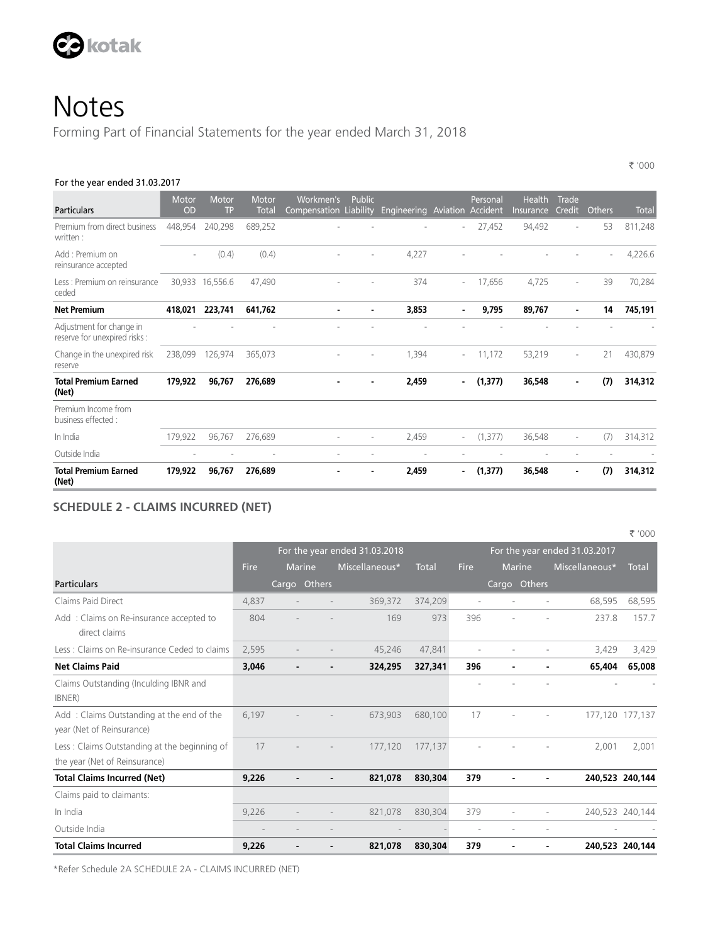

Forming Part of Financial Statements for the year ended March 31, 2018

#### For the year ended 31.03.2017

| Particulars                                               | Motor<br>OD | Motor<br>TP | Motor<br><b>Total</b>    | Workmen's<br>Compensation Liability | Public         | Engineering | Aviation | Personal<br>Accident | <b>Health</b><br>Insurance | Trade<br><b>Credit</b> | Others | <b>Total</b> |
|-----------------------------------------------------------|-------------|-------------|--------------------------|-------------------------------------|----------------|-------------|----------|----------------------|----------------------------|------------------------|--------|--------------|
| Premium from direct business<br>written:                  | 448,954     | 240,298     | 689,252                  |                                     |                |             | $\sim$   | 27,452               | 94,492                     |                        | 53     | 811,248      |
| Add : Premium on<br>reinsurance accepted                  | ٠           | (0.4)       | (0.4)                    |                                     |                | 4,227       |          |                      |                            |                        |        | 4,226.6      |
| Less : Premium on reinsurance<br>ceded                    | 30,933      | 16,556.6    | 47,490                   |                                     |                | 374         |          | 17,656               | 4,725                      | ٠                      | 39     | 70,284       |
| <b>Net Premium</b>                                        | 418,021     | 223,741     | 641,762                  | ۰                                   |                | 3,853       | ۰        | 9,795                | 89,767                     | $\blacksquare$         | 14     | 745,191      |
| Adjustment for change in<br>reserve for unexpired risks : |             |             |                          |                                     |                |             |          |                      |                            |                        |        |              |
| Change in the unexpired risk<br>reserve                   | 238,099     | 126,974     | 365,073                  |                                     |                | 1,394       |          | 11,172               | 53,219                     |                        | 21     | 430,879      |
| <b>Total Premium Earned</b><br>(Net)                      | 179,922     | 96,767      | 276,689                  |                                     | $\blacksquare$ | 2,459       | $\sim$   | (1, 377)             | 36,548                     | $\blacksquare$         | (7)    | 314,312      |
| Premium Income from<br>business effected :                |             |             |                          |                                     |                |             |          |                      |                            |                        |        |              |
| In India                                                  | 179,922     | 96,767      | 276,689                  |                                     |                | 2,459       | $\sim$   | (1, 377)             | 36,548                     | ٠                      | (7)    | 314,312      |
| Outside India                                             | ٠           | ٠           | $\overline{\phantom{a}}$ |                                     |                | ٠           |          | ٠                    |                            |                        |        |              |
| <b>Total Premium Earned</b><br>(Net)                      | 179,922     | 96,767      | 276,689                  |                                     |                | 2,459       | $\sim$   | (1, 377)             | 36,548                     |                        | (7)    | 314,312      |

` '000

#### **SCHEDULE 2 - CLAIMS INCURRED (NET)**

|                                                                               |                          |                          |              |                               |              |                          |               |                               | ₹ '000          |
|-------------------------------------------------------------------------------|--------------------------|--------------------------|--------------|-------------------------------|--------------|--------------------------|---------------|-------------------------------|-----------------|
|                                                                               |                          |                          |              | For the year ended 31.03.2018 |              |                          |               | For the year ended 31.03.2017 |                 |
|                                                                               | Fire                     | <b>Marine</b>            |              | Miscellaneous*                | <b>Total</b> | Fire                     | <b>Marine</b> | Miscellaneous*                | <b>Total</b>    |
| Particulars                                                                   |                          |                          | Cargo Others |                               |              |                          | Cargo Others  |                               |                 |
| Claims Paid Direct                                                            | 4,837                    |                          |              | 369,372                       | 374,209      | ٠                        |               | 68,595                        | 68,595          |
| Add: Claims on Re-insurance accepted to<br>direct claims                      | 804                      |                          |              | 169                           | 973          | 396                      |               | 237.8                         | 157.7           |
| Less: Claims on Re-insurance Ceded to claims                                  | 2,595                    |                          |              | 45,246                        | 47,841       | $\sim$                   |               | 3,429                         | 3,429           |
| <b>Net Claims Paid</b>                                                        | 3,046                    |                          |              | 324,295                       | 327,341      | 396                      |               | 65,404                        | 65,008          |
| Claims Outstanding (Inculding IBNR and<br>IBNER)                              |                          |                          |              |                               |              |                          |               |                               |                 |
| Add: Claims Outstanding at the end of the<br>year (Net of Reinsurance)        | 6,197                    |                          |              | 673,903                       | 680,100      | 17                       |               |                               | 177,120 177,137 |
| Less: Claims Outstanding at the beginning of<br>the year (Net of Reinsurance) | 17                       |                          |              | 177,120                       | 177,137      |                          |               | 2.001                         | 2,001           |
| <b>Total Claims Incurred (Net)</b>                                            | 9,226                    |                          |              | 821,078                       | 830,304      | 379                      |               |                               | 240,523 240,144 |
| Claims paid to claimants:                                                     |                          |                          |              |                               |              |                          |               |                               |                 |
| In India                                                                      | 9,226                    |                          |              | 821,078                       | 830,304      | 379                      |               |                               | 240,523 240,144 |
| Outside India                                                                 | $\overline{\phantom{a}}$ | $\overline{\phantom{a}}$ |              |                               |              | $\overline{\phantom{a}}$ |               |                               |                 |
| <b>Total Claims Incurred</b>                                                  | 9,226                    |                          |              | 821,078                       | 830,304      | 379                      |               |                               | 240,523 240,144 |

\*Refer Schedule 2A SCHEDULE 2A - CLAIMS INCURRED (NET)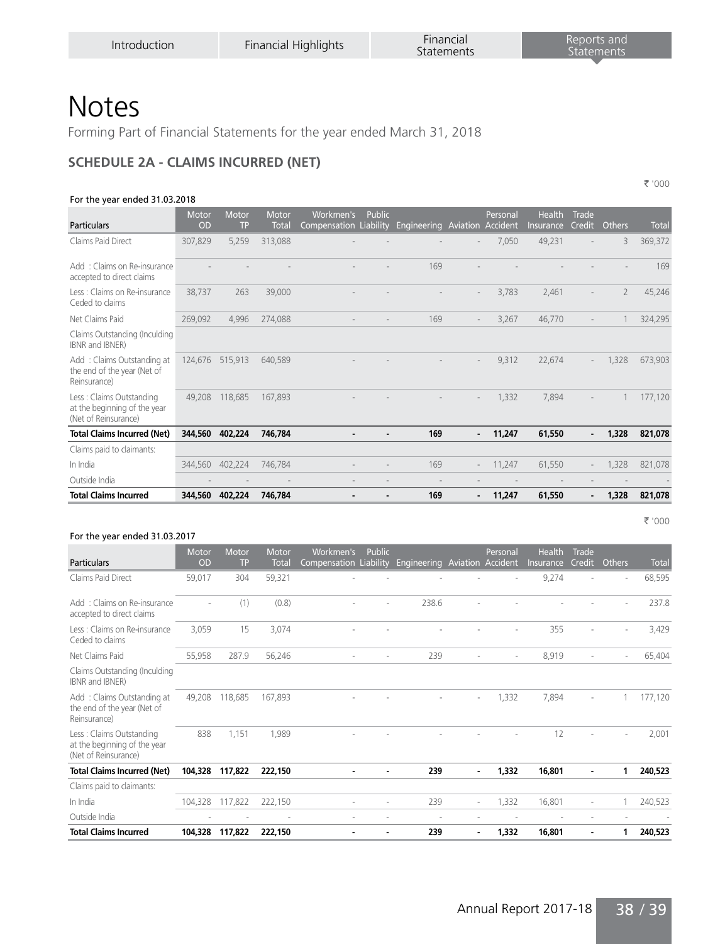Forming Part of Financial Statements for the year ended March 31, 2018

#### **SCHEDULE 2A - CLAIMS INCURRED (NET)**

#### For the year ended 31.03.2018

` '000

` '000

| Particulars                                                                      | Motor<br>OD | Motor<br><b>TP</b> | Motor<br><b>Total</b> | Workmen's<br>Compensation Liability | Public | Engineering Aviation |                          | Personal<br>Accident | Health<br>Insurance | Trade<br><b>Credit</b>   | Others         | <b>Total</b> |
|----------------------------------------------------------------------------------|-------------|--------------------|-----------------------|-------------------------------------|--------|----------------------|--------------------------|----------------------|---------------------|--------------------------|----------------|--------------|
| Claims Paid Direct                                                               | 307,829     | 5,259              | 313,088               |                                     |        |                      |                          | 7,050                | 49,231              |                          | 3              | 369,372      |
| Add: Claims on Re-insurance<br>accepted to direct claims                         |             |                    |                       |                                     |        | 169                  |                          |                      |                     |                          |                | 169          |
| Less : Claims on Re-insurance<br>Ceded to claims                                 | 38,737      | 263                | 39,000                |                                     |        |                      |                          | 3,783                | 2,461               |                          | $\overline{2}$ | 45,246       |
| Net Claims Paid                                                                  | 269,092     | 4,996              | 274,088               |                                     |        | 169                  |                          | 3,267                | 46,770              |                          |                | 324,295      |
| Claims Outstanding (Inculding<br>IBNR and IBNER)                                 |             |                    |                       |                                     |        |                      |                          |                      |                     |                          |                |              |
| Add: Claims Outstanding at<br>the end of the year (Net of<br>Reinsurance)        | 124,676     | 515,913            | 640,589               |                                     |        |                      |                          | 9,312                | 22,674              | $\sim$                   | 1,328          | 673,903      |
| Less: Claims Outstanding<br>at the beginning of the year<br>(Net of Reinsurance) | 49,208      | 118,685            | 167,893               |                                     |        |                      | $\overline{\phantom{a}}$ | 1,332                | 7,894               |                          |                | 177,120      |
| <b>Total Claims Incurred (Net)</b>                                               | 344,560     | 402,224            | 746,784               |                                     |        | 169                  |                          | 11,247               | 61,550              |                          | 1,328          | 821,078      |
| Claims paid to claimants:                                                        |             |                    |                       |                                     |        |                      |                          |                      |                     |                          |                |              |
| In India                                                                         | 344,560     | 402,224            | 746,784               |                                     |        | 169                  |                          | 11,247               | 61,550              |                          | 1,328          | 821,078      |
| Outside India                                                                    |             |                    |                       |                                     |        |                      |                          |                      |                     |                          |                |              |
| <b>Total Claims Incurred</b>                                                     | 344,560     | 402,224            | 746.784               |                                     |        | 169                  | $\overline{\phantom{a}}$ | 11,247               | 61,550              | $\overline{\phantom{a}}$ | 1,328          | 821,078      |

#### For the year ended 31.03.2017

| Particulars                                                                      | Motor<br>OD | Motor<br><b>TP</b> | Motor<br><b>Total</b> | Workmen's<br>Compensation Liability | <b>Public</b> | Engineering |                          | Personal<br><b>Aviation Accident</b> | <b>Health</b><br>Insurance | Trade<br><b>Credit</b> | Others | <b>Total</b> |
|----------------------------------------------------------------------------------|-------------|--------------------|-----------------------|-------------------------------------|---------------|-------------|--------------------------|--------------------------------------|----------------------------|------------------------|--------|--------------|
| Claims Paid Direct                                                               | 59,017      | 304                | 59,321                |                                     |               |             |                          |                                      | 9,274                      |                        |        | 68,595       |
| Add: Claims on Re-insurance<br>accepted to direct claims                         |             | (1)                | (0.8)                 |                                     |               | 238.6       |                          |                                      |                            |                        |        | 237.8        |
| Less : Claims on Re-insurance<br>Ceded to claims                                 | 3,059       | 15                 | 3,074                 |                                     |               |             |                          |                                      | 355                        |                        |        | 3,429        |
| Net Claims Paid                                                                  | 55,958      | 287.9              | 56,246                | ٠                                   | ٠             | 239         | ٠                        | ٠                                    | 8,919                      | ٠                      | $\sim$ | 65,404       |
| Claims Outstanding (Inculding<br>IBNR and IBNER)                                 |             |                    |                       |                                     |               |             |                          |                                      |                            |                        |        |              |
| Add: Claims Outstanding at<br>the end of the year (Net of<br>Reinsurance)        | 49.208      | 118,685            | 167.893               |                                     |               |             | ×                        | 1,332                                | 7.894                      |                        |        | 177,120      |
| Less: Claims Outstanding<br>at the beginning of the year<br>(Net of Reinsurance) | 838         | 1,151              | 1,989                 |                                     |               |             |                          |                                      | 12                         |                        |        | 2,001        |
| <b>Total Claims Incurred (Net)</b>                                               | 104,328     | 117,822            | 222,150               |                                     |               | 239         | $\blacksquare$           | 1,332                                | 16,801                     |                        |        | 240,523      |
| Claims paid to claimants:                                                        |             |                    |                       |                                     |               |             |                          |                                      |                            |                        |        |              |
| In India                                                                         | 104,328     | 117,822            | 222,150               |                                     |               | 239         | $\sim$                   | 1,332                                | 16,801                     | ٠                      |        | 240,523      |
| Outside India                                                                    |             |                    | ٠                     | ٠                                   | ٠             | ٠           | $\overline{\phantom{a}}$ |                                      |                            | ٠                      |        |              |
| <b>Total Claims Incurred</b>                                                     | 104,328     | 117,822            | 222,150               | ٠                                   | -             | 239         | $\blacksquare$           | 1,332                                | 16,801                     | $\blacksquare$         |        | 240,523      |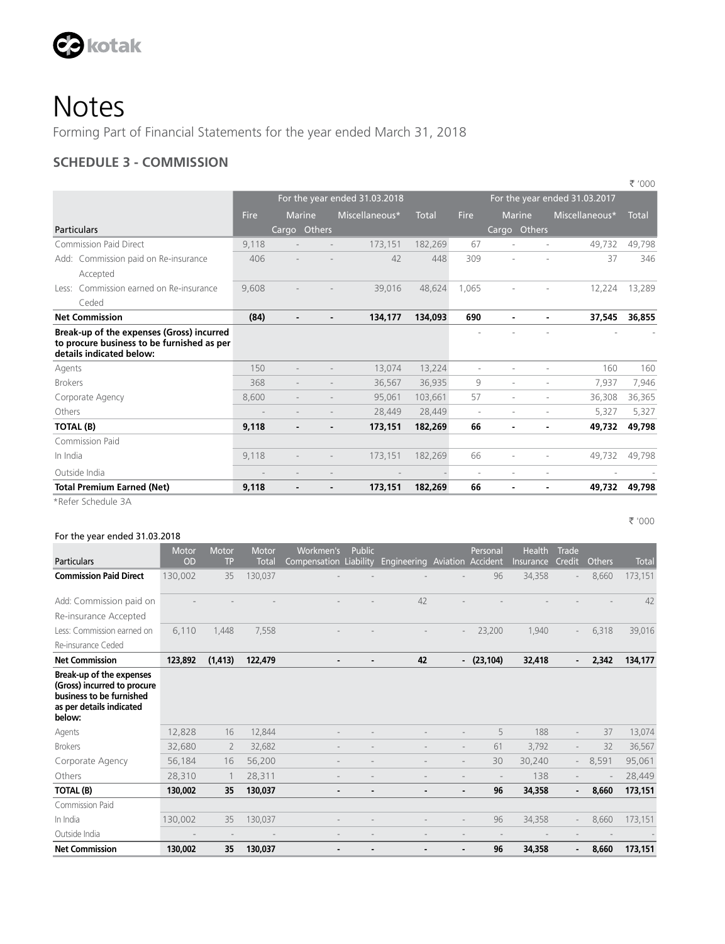

Forming Part of Financial Statements for the year ended March 31, 2018

### **SCHEDULE 3 - COMMISSION**

|                                                                                                                     |       |                          |                          |                               |         |                          |               |   |                               | ₹ '000       |
|---------------------------------------------------------------------------------------------------------------------|-------|--------------------------|--------------------------|-------------------------------|---------|--------------------------|---------------|---|-------------------------------|--------------|
|                                                                                                                     |       |                          |                          | For the year ended 31.03.2018 |         |                          |               |   | For the year ended 31.03.2017 |              |
|                                                                                                                     | Fire  | Marine                   |                          | Miscellaneous*                | Total   | <b>Fire</b>              | <b>Marine</b> |   | Miscellaneous*                | <b>Total</b> |
| Particulars                                                                                                         |       | Cargo Others             |                          |                               |         |                          | Cargo Others  |   |                               |              |
| <b>Commission Paid Direct</b>                                                                                       | 9,118 |                          |                          | 173.151                       | 182,269 | 67                       | ٠             |   | 49.732                        | 49.798       |
| Add: Commission paid on Re-insurance                                                                                | 406   |                          |                          | 42                            | 448     | 309                      | ÷             | ٠ | 37                            | 346          |
| Accepted                                                                                                            |       |                          |                          |                               |         |                          |               |   |                               |              |
| Commission earned on Re-insurance<br>Less:                                                                          | 9,608 |                          |                          | 39,016                        | 48.624  | 1.065                    |               |   | 12.224                        | 13,289       |
| Ceded                                                                                                               |       |                          |                          |                               |         |                          |               |   |                               |              |
| <b>Net Commission</b>                                                                                               | (84)  | $\overline{\phantom{0}}$ | $\blacksquare$           | 134,177                       | 134,093 | 690                      | ۰.            |   | 37,545                        | 36,855       |
| Break-up of the expenses (Gross) incurred<br>to procure business to be furnished as per<br>details indicated below: |       |                          |                          |                               |         |                          |               |   |                               |              |
| Agents                                                                                                              | 150   |                          |                          | 13.074                        | 13,224  | ٠                        | ÷             | ÷ | 160                           | 160          |
| <b>Brokers</b>                                                                                                      | 368   |                          |                          | 36.567                        | 36.935  | 9                        | ÷             | ÷ | 7.937                         | 7,946        |
| Corporate Agency                                                                                                    | 8,600 |                          |                          | 95,061                        | 103,661 | 57                       | ÷             |   | 36,308                        | 36,365       |
| Others                                                                                                              |       |                          |                          | 28,449                        | 28,449  | $\overline{\phantom{a}}$ | ٠             | ٠ | 5,327                         | 5,327        |
| TOTAL (B)                                                                                                           | 9,118 |                          |                          | 173,151                       | 182,269 | 66                       | ۰             |   | 49.732                        | 49,798       |
| Commission Paid                                                                                                     |       |                          |                          |                               |         |                          |               |   |                               |              |
| In India                                                                                                            | 9,118 |                          |                          | 173,151                       | 182,269 | 66                       |               |   | 49,732                        | 49,798       |
| Outside India                                                                                                       |       |                          |                          |                               |         | ٠                        | ٠             |   |                               |              |
| <b>Total Premium Earned (Net)</b>                                                                                   | 9,118 | $\blacksquare$           | $\overline{\phantom{a}}$ | 173,151                       | 182,269 | 66                       | ٠             |   | 49,732                        | 49,798       |

\*Refer Schedule 3A

#### For the year ended 31.03.2018

|                                                                                                                           | Motor     | <b>Motor</b>   | Motor        | Workmen's              | <b>Public</b> |                |                          | Personal     | <b>Health</b> | Trade                    |               |              |
|---------------------------------------------------------------------------------------------------------------------------|-----------|----------------|--------------|------------------------|---------------|----------------|--------------------------|--------------|---------------|--------------------------|---------------|--------------|
| <b>Particulars</b>                                                                                                        | <b>OD</b> | <b>TP</b>      | <b>Total</b> | Compensation Liability |               | Engineering    | Aviation Accident        |              | Insurance     | Credit                   | <b>Others</b> | <b>Total</b> |
| <b>Commission Paid Direct</b>                                                                                             | 130,002   | 35             | 130,037      |                        |               |                |                          | 96           | 34,358        |                          | 8,660         | 173,151      |
| Add: Commission paid on                                                                                                   |           |                |              |                        |               | 42             |                          |              |               |                          |               | 42           |
| Re-insurance Accepted                                                                                                     |           |                |              |                        |               |                |                          |              |               |                          |               |              |
| Less: Commission earned on                                                                                                | 6,110     | 1,448          | 7,558        |                        |               |                |                          | 23,200       | 1,940         |                          | 6,318         | 39,016       |
| Re-insurance Ceded                                                                                                        |           |                |              |                        |               |                |                          |              |               |                          |               |              |
| <b>Net Commission</b>                                                                                                     | 123,892   | (1, 413)       | 122,479      |                        |               | 42             |                          | $-(23, 104)$ | 32,418        | $\blacksquare$           | 2,342         | 134,177      |
| Break-up of the expenses<br>(Gross) incurred to procure<br>business to be furnished<br>as per details indicated<br>below: |           |                |              |                        |               |                |                          |              |               |                          |               |              |
| Agents                                                                                                                    | 12,828    | 16             | 12,844       |                        |               |                |                          | 5            | 188           |                          | 37            | 13,074       |
| <b>Brokers</b>                                                                                                            | 32,680    | $\overline{2}$ | 32,682       |                        |               |                | $\overline{\phantom{a}}$ | 61           | 3,792         | $\overline{\phantom{0}}$ | 32            | 36,567       |
| Corporate Agency                                                                                                          | 56,184    | 16             | 56,200       |                        |               |                | $\overline{\phantom{a}}$ | 30           | 30,240        | $\sim$                   | 8,591         | 95,061       |
| Others                                                                                                                    | 28,310    |                | 28,311       |                        |               |                |                          |              | 138           |                          |               | 28,449       |
| <b>TOTAL (B)</b>                                                                                                          | 130,002   | 35             | 130,037      |                        |               | $\blacksquare$ | $\overline{\phantom{a}}$ | 96           | 34,358        |                          | 8,660         | 173,151      |
| Commission Paid                                                                                                           |           |                |              |                        |               |                |                          |              |               |                          |               |              |
| In India                                                                                                                  | 130,002   | 35             | 130,037      |                        |               |                |                          | 96           | 34,358        | $\overline{a}$           | 8,660         | 173,151      |
| Outside India                                                                                                             |           |                |              |                        |               |                |                          |              |               |                          |               |              |
| <b>Net Commission</b>                                                                                                     | 130,002   | 35             | 130,037      |                        |               |                |                          | 96           | 34,358        |                          | 8,660         | 173,151      |

` '000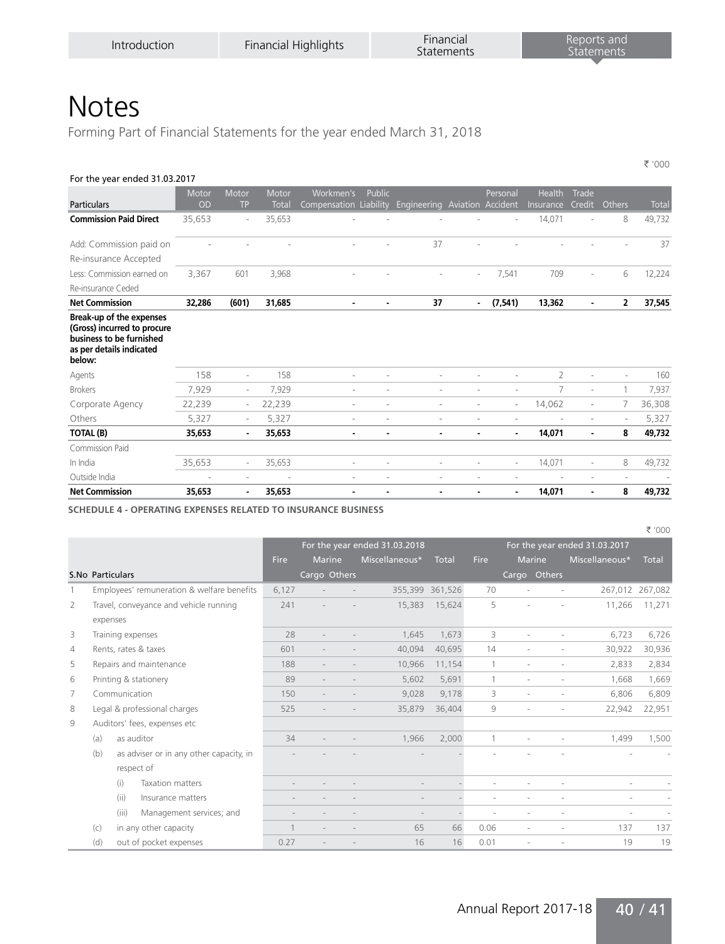Forming Part of Financial Statements for the year ended March 31, 2018

| For the year ended 31.03.2017                                                                                             |             |                          |                       |                                     |                |             |                          |                               |                     |                        |                |              |
|---------------------------------------------------------------------------------------------------------------------------|-------------|--------------------------|-----------------------|-------------------------------------|----------------|-------------|--------------------------|-------------------------------|---------------------|------------------------|----------------|--------------|
| <b>Particulars</b>                                                                                                        | Motor<br>OD | Motor<br><b>TP</b>       | Motor<br><b>Total</b> | Workmen's<br>Compensation Liability | <b>Public</b>  | Engineering |                          | Personal<br>Aviation Accident | Health<br>Insurance | Trade<br><b>Credit</b> | Others         | <b>Total</b> |
| <b>Commission Paid Direct</b>                                                                                             | 35,653      | $\overline{\phantom{a}}$ | 35,653                |                                     |                |             |                          |                               | 14,071              |                        | 8              | 49,732       |
| Add: Commission paid on                                                                                                   |             |                          |                       |                                     |                | 37          |                          |                               |                     |                        |                | 37           |
| Re-insurance Accepted                                                                                                     |             |                          |                       |                                     |                |             |                          |                               |                     |                        |                |              |
| Less: Commission earned on                                                                                                | 3,367       | 601                      | 3,968                 |                                     |                |             | $\overline{\phantom{a}}$ | 7,541                         | 709                 |                        | 6              | 12,224       |
| Re-insurance Ceded                                                                                                        |             |                          |                       |                                     |                |             |                          |                               |                     |                        |                |              |
| <b>Net Commission</b>                                                                                                     | 32,286      | (601)                    | 31,685                | $\overline{\phantom{a}}$            | $\blacksquare$ | 37          | $\overline{\phantom{0}}$ | (7, 541)                      | 13,362              | $\blacksquare$         | $\overline{2}$ | 37,545       |
| Break-up of the expenses<br>(Gross) incurred to procure<br>business to be furnished<br>as per details indicated<br>below: |             |                          |                       |                                     |                |             |                          |                               |                     |                        |                |              |
| Agents                                                                                                                    | 158         | $\overline{\phantom{a}}$ | 158                   | ×                                   |                |             |                          |                               | $\overline{2}$      | ×                      |                | 160          |
| <b>Brokers</b>                                                                                                            | 7,929       | $\sim$                   | 7,929                 | $\sim$                              |                | $\sim$      | ä,                       | ä,                            | 7                   | $\sim$                 |                | 7,937        |
| Corporate Agency                                                                                                          | 22,239      | $\overline{\phantom{a}}$ | 22,239                | $\sim$                              |                | ٠           | ×.                       | $\overline{\phantom{a}}$      | 14,062              | $\sim$                 |                | 36,308       |
| Others                                                                                                                    | 5,327       | $\overline{\phantom{a}}$ | 5,327                 | $\overline{\phantom{a}}$            |                | ٠           | ÷.                       | ٠                             |                     | ٠                      |                | 5,327        |
| <b>TOTAL (B)</b>                                                                                                          | 35,653      | $\blacksquare$           | 35,653                | $\blacksquare$                      |                | ٠           | ۰                        |                               | 14,071              | $\blacksquare$         | 8              | 49,732       |
| Commission Paid                                                                                                           |             |                          |                       |                                     |                |             |                          |                               |                     |                        |                |              |
| In India                                                                                                                  | 35,653      | $\overline{\phantom{a}}$ | 35,653                | ٠                                   |                | ٠           |                          | ä,                            | 14,071              | ٠                      | 8              | 49,732       |
| Outside India                                                                                                             | ٠           | ٠                        |                       | ٠                                   |                |             |                          |                               |                     |                        |                |              |
| <b>Net Commission</b>                                                                                                     | 35,653      | ۰                        | 35,653                |                                     |                |             |                          |                               | 14,071              |                        | 8              | 49,732       |

**SCHEDULE 4 - OPERATING EXPENSES RELATED TO INSURANCE BUSINESS**

|                |                                                |                |                |                               |                          |              |                          |                                    | ₹ '000                                               |
|----------------|------------------------------------------------|----------------|----------------|-------------------------------|--------------------------|--------------|--------------------------|------------------------------------|------------------------------------------------------|
|                |                                                |                |                | For the year ended 31.03.2018 |                          |              |                          | For the year ended 31.03.2017      |                                                      |
|                |                                                | Fire           | <b>Marine</b>  | Miscellaneous*                | <b>Total</b>             | Fire         | <b>Marine</b>            | Miscellaneous*                     | <b>Total</b>                                         |
|                | <b>S.No Particulars</b>                        |                | Cargo Others   |                               |                          |              | Cargo Others             |                                    |                                                      |
| 1              | Employees' remuneration & welfare benefits     | 6,127          |                |                               | 355,399 361,526          | 70           | ÷                        | $\overline{a}$                     | 267,012 267,082                                      |
| 2              | Travel, conveyance and vehicle running         | 241            |                | 15,383                        | 15,624                   | 5            | ۰                        | 11,266                             | 11,271                                               |
|                | expenses                                       |                |                |                               |                          |              |                          |                                    |                                                      |
| 3              | Training expenses                              | 28             |                | 1.645                         | 1.673                    | 3            |                          | 6.723                              | 6,726                                                |
| $\overline{4}$ | Rents, rates & taxes                           | 601            |                | 40.094                        | 40,695                   | 14           |                          | 30,922                             | 30,936                                               |
| 5              | Repairs and maintenance                        | 188            | $\overline{a}$ | 10.966                        | 11,154                   | $\mathbf{1}$ | $\overline{a}$           | 2,833<br>$\overline{\phantom{a}}$  | 2,834                                                |
| 6              | Printing & stationery                          | 89             |                | 5,602                         | 5,691                    | 1            | $\overline{a}$           | 1,668<br>$\overline{\phantom{a}}$  | 1,669                                                |
| 7              | Communication                                  | 150            |                | 9,028                         | 9,178                    | 3            | $\overline{a}$           | 6,806<br>$\overline{\phantom{a}}$  | 6,809                                                |
| 8              | Legal & professional charges                   | 525            |                | 35,879                        | 36,404                   | 9            | ٠                        | 22,942<br>$\overline{\phantom{a}}$ | 22,951                                               |
| 9              | Auditors' fees, expenses etc                   |                |                |                               |                          |              |                          |                                    |                                                      |
|                | as auditor<br>(a)                              | 34             |                | 1,966                         | 2,000                    |              | $\overline{a}$           | 1,499<br>$\overline{a}$            | 1,500                                                |
|                | (b)<br>as adviser or in any other capacity, in |                |                |                               |                          |              |                          |                                    |                                                      |
|                | respect of                                     |                |                |                               |                          |              |                          |                                    |                                                      |
|                | (i)<br><b>Taxation matters</b>                 |                |                |                               |                          |              |                          |                                    |                                                      |
|                | (ii)<br>Insurance matters                      |                |                |                               |                          |              |                          |                                    |                                                      |
|                | (iii)<br>Management services; and              | $\overline{a}$ |                | $\overline{\phantom{a}}$      | $\overline{\phantom{a}}$ | ٠            | $\overline{\phantom{a}}$ | $\overline{\phantom{a}}$           | $\overline{\phantom{a}}$<br>$\overline{\phantom{a}}$ |
|                | in any other capacity<br>(c)                   |                |                | 65                            | 66                       | 0.06         |                          | 137                                | 137                                                  |
|                | out of pocket expenses<br>(d)                  | 0.27           |                | 16                            | 16                       | 0.01         |                          | 19                                 | 19                                                   |

` '000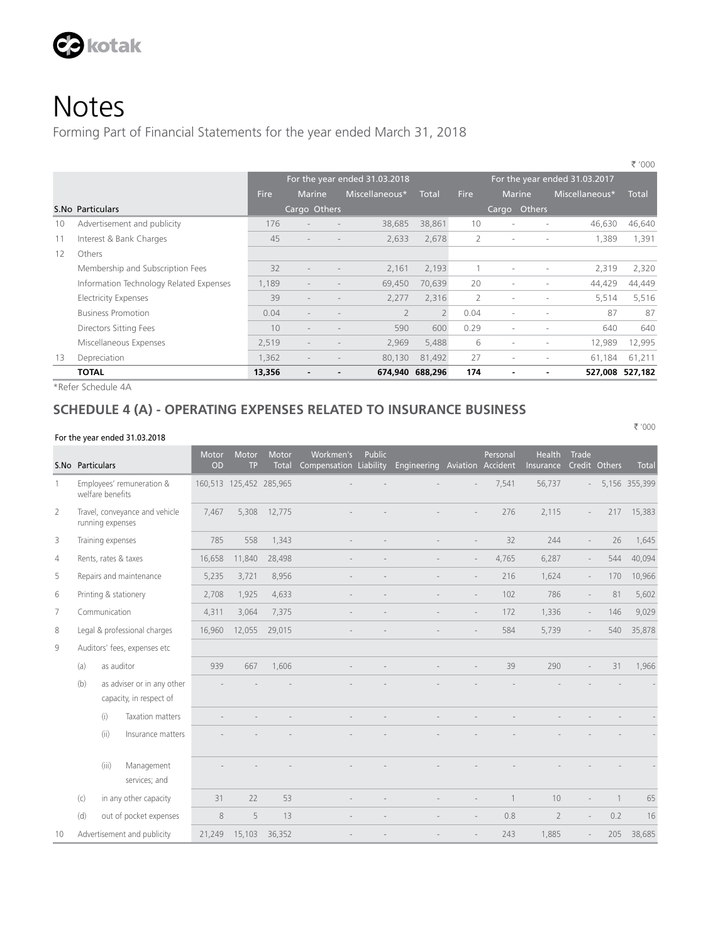

Forming Part of Financial Statements for the year ended March 31, 2018

|    |                                         |             |                          |                                   |                 |             |                          |                          |                               | N UUU        |
|----|-----------------------------------------|-------------|--------------------------|-----------------------------------|-----------------|-------------|--------------------------|--------------------------|-------------------------------|--------------|
|    |                                         |             |                          | For the year ended 31.03.2018     |                 |             |                          |                          | For the year ended 31.03.2017 |              |
|    |                                         | <b>Fire</b> | <b>Marine</b>            | Miscellaneous*                    | <b>Total</b>    | <b>Fire</b> | <b>Marine</b>            |                          | Miscellaneous*                | <b>Total</b> |
|    | S.No Particulars                        |             | Cargo Others             |                                   |                 |             | Cargo Others             |                          |                               |              |
| 10 | Advertisement and publicity             | 176         |                          | 38,685                            | 38,861          | 10          | $\overline{\phantom{a}}$ |                          | 46.630                        | 46,640       |
| 11 | Interest & Bank Charges                 | 45          |                          | 2,633                             | 2,678           | 2           |                          |                          | 1,389                         | 1,391        |
| 12 | Others                                  |             |                          |                                   |                 |             |                          |                          |                               |              |
|    | Membership and Subscription Fees        | 32          | $\overline{\phantom{a}}$ | 2.161                             | 2,193           |             | $\sim$                   |                          | 2,319                         | 2,320        |
|    | Information Technology Related Expenses | 1,189       | $\overline{\phantom{a}}$ | 69,450                            | 70,639          | 20          | $\overline{\phantom{a}}$ |                          | 44,429                        | 44,449       |
|    | <b>Electricity Expenses</b>             | 39          | $\overline{\phantom{a}}$ | 2.277                             | 2,316           | 2           | $\overline{\phantom{a}}$ |                          | 5,514                         | 5,516        |
|    | <b>Business Promotion</b>               | 0.04        | $\overline{\phantom{a}}$ | $\overline{2}$                    | $\overline{2}$  | 0.04        | $\overline{\phantom{a}}$ | $\overline{\phantom{a}}$ | 87                            | 87           |
|    | Directors Sitting Fees                  | 10          |                          | 590                               | 600             | 0.29        |                          |                          | 640                           | 640          |
|    | Miscellaneous Expenses                  | 2,519       | $\overline{a}$           | 2,969<br>$\overline{\phantom{a}}$ | 5,488           | 6           | $\overline{\phantom{a}}$ | $\overline{\phantom{a}}$ | 12,989                        | 12,995       |
| 13 | Depreciation                            | 1,362       | $\overline{\phantom{a}}$ | 80,130                            | 81,492          | 27          | $\overline{\phantom{a}}$ |                          | 61,184                        | 61,211       |
|    | <b>TOTAL</b>                            | 13,356      |                          |                                   | 674,940 688,296 | 174         |                          |                          | 527,008                       | 527.182      |
|    |                                         |             |                          |                                   |                 |             |                          |                          |                               |              |

\*Refer Schedule 4A

#### **SCHEDULE 4 (A) - OPERATING EXPENSES RELATED TO INSURANCE BUSINESS**

#### For the year ended 31.03.2018

S.No Particulars **Motor** OD Motor Motor Total Workmen's Compensation Liability Engineering Aviation Public Personal Accident Health Insurance Trade Credit Others Total 1 Employees' remuneration & welfare benefits 160,513 125,452 285,965 - - - - 7,541 56,737 - 5,156 355,399 2 Travel, conveyance and vehicle running expenses 7,467 5,308 12,775 - - - - 276 2,115 - 217 15,383 3 Training expenses 285 785 785 8 1,343 - - - - - - - - - - 32 244 - 26 1,645 4 Rents, rates & taxes 16,658 11,840 28,498 - - - - - - 4,765 6,287 - 544 40,094 5 Repairs and maintenance 5,235 3,721 8,956 - - - - 216 1,624 - 170 10,966 6 Printing & stationery 2,708 1,925 4,633 - - - - 102 786 - 81 5,602 7 Communication 4,311 3,064 7,375 - - - 172 1,336 - 146 9,029 8 Legal & professional charges 16,960 12,055 29,015 - - - - 584 5,739 - 540 35,878 9 Auditors' fees, expenses etc (a) as auditor 939 667 1,606 - - - - 39 290 - 31 1,966 (b) as adviser or in any other capacity, in respect of - - - - - - - - - - - - (i) Taxation matters - - - - - - - - - - - - (ii) Insurance matters in the second control of the second control of the second control of the second control of the second control of the second control of the second control of the second control of the second control o (iii) Management services; and - - - - - - - - - - - - (c) in any other capacity 31 22 53 - - - - - - 1 10 - 1 65 (d) out of pocket expenses 8 5 5 13 - - - - - - 0.8 2 - 0.2 16 10 Advertisement and publicity 21,249 15,103 36,352 - - - - 243 1,885 - 205 38,685

` '000

 $\equiv$  '000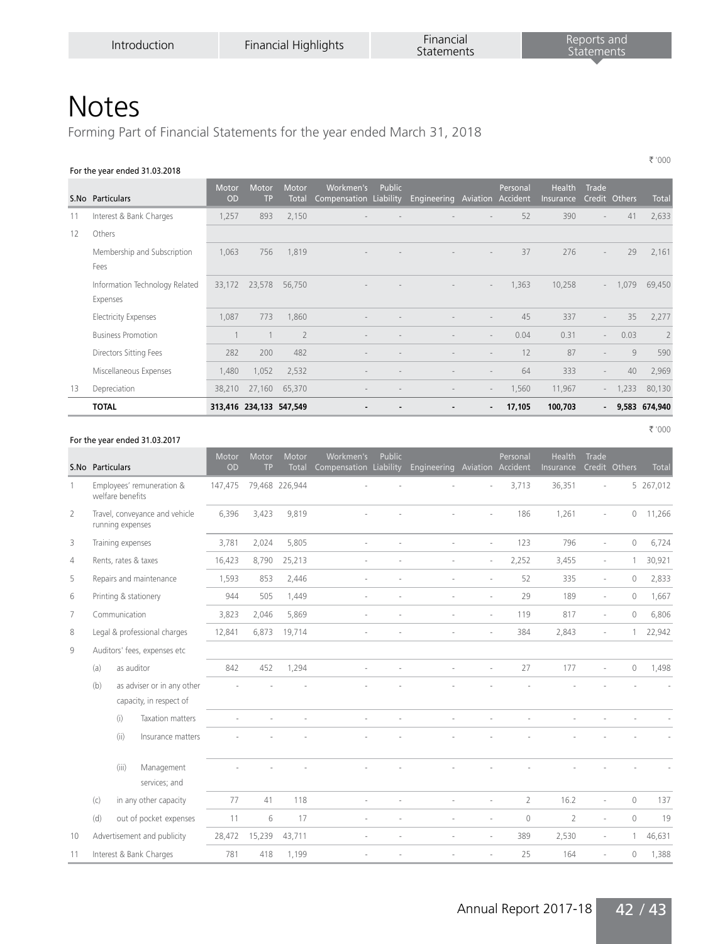` '000

` '000

### **Notes**

Forming Part of Financial Statements for the year ended March 31, 2018

#### For the year ended 31.03.2018

|    | S.No Particulars                           | <b>Motor</b><br><b>OD</b> | Motor<br><b>TP</b>      | Motor<br>Total | Workmen's<br>Compensation Liability | Public | Engineering | Aviation Accident        | Personal | <b>Health</b><br>Insurance | Trade                    | Credit Others | Total                    |
|----|--------------------------------------------|---------------------------|-------------------------|----------------|-------------------------------------|--------|-------------|--------------------------|----------|----------------------------|--------------------------|---------------|--------------------------|
| 11 | Interest & Bank Charges                    | 1,257                     | 893                     | 2,150          |                                     |        |             |                          | 52       | 390                        | $\overline{\phantom{a}}$ | 41            | 2,633                    |
| 12 | Others                                     |                           |                         |                |                                     |        |             |                          |          |                            |                          |               |                          |
|    | Membership and Subscription<br>Fees        | 1,063                     | 756                     | 1,819          |                                     |        |             |                          | 37       | 276                        | $\overline{\phantom{a}}$ | 29            | 2,161                    |
|    | Information Technology Related<br>Expenses | 33,172                    | 23,578                  | 56,750         |                                     |        |             | $\overline{a}$           | 1,363    | 10,258                     | $\sim$                   | 1,079         | 69,450                   |
|    | <b>Electricity Expenses</b>                | 1.087                     | 773                     | 1,860          |                                     |        |             |                          | 45       | 337                        | $\overline{\phantom{a}}$ | 35            | 2,277                    |
|    | <b>Business Promotion</b>                  |                           |                         | $\overline{2}$ |                                     |        |             | $\sim$                   | 0.04     | 0.31                       | $\sim$                   | 0.03          | $\overline{\phantom{0}}$ |
|    | Directors Sitting Fees                     | 282                       | 200                     | 482            |                                     |        |             |                          | 12       | 87                         | $\overline{\phantom{a}}$ | 9             | 590                      |
|    | Miscellaneous Expenses                     | 1,480                     | 1,052                   | 2,532          |                                     |        |             | $\overline{a}$           | 64       | 333                        | $\overline{\phantom{a}}$ | 40            | 2,969                    |
| 13 | Depreciation                               | 38,210                    | 27,160                  | 65,370         |                                     |        |             | $\overline{\phantom{a}}$ | 1,560    | 11,967                     | $\overline{\phantom{a}}$ | 1,233         | 80,130                   |
|    | <b>TOTAL</b>                               |                           | 313,416 234,133 547,549 |                |                                     |        | -           | ٠                        | 17,105   | 100,703                    | $\blacksquare$           |               | 9,583 674,940            |

#### For the year ended 31.03.2017

S.No Particulars Motor Motor Compensation Liability Engineering Aviation Accident Public Personal Health Trade Insurance Credit Others Total 1 Employees' remuneration & welfare benefits 147,475 79,468 226,944 - - - - - - - - - - - - 3,713 36,351 - - 5 267,012 2 Travel, conveyance and vehicle running expenses 6,396 3,423 9,819 - - - - 186 1,261 - 0 11,266 3 Training expenses 3,781 2,024 5,805 - - - - 123 796 - 0 6,724 4 Rents, rates & taxes 16,423 8,790 25,213 - - - - 2,252 3,455 - 1 30,921 5 Repairs and maintenance 1,593 853 2,446 - - - - 52 335 - 0 2,833 6 Printing & stationery 944 505 1,449 - - - - - - - 29 189 - 0 1,667 7 Communication 3,823 2,046 5,869 - - - - 119 817 - 0 6,806 8 Legal & professional charges 12,841 6,873 19,714 - - - - - - - - 384 2,843 - 1 22,942 9 Auditors' fees, expenses etc (a) as auditor 842 452 1,294 - - - - 27 177 - 0 1,498 (b) as adviser or in any other capacity, in respect of - - - - - - - - - - - - (i) Taxation matters - - - - - - - - - - - - (ii) Insurance matters the second control of the second control of the second control of the second control of (iii) Management services; and - - - - - - - - - - - - (c) in any other capacity  $77$  41 118 - - - - - 2 16.2 - 0 137 (d) out of pocket expenses 11 6 17 - - - - - 0 2 - 0 19 10 Advertisement and publicity 28,472 15,239 43,711 - - - - 389 2,530 - 1 46,631 11 Interest & Bank Charges 781 418 1,199 - - - - 25 164 - 0 1,388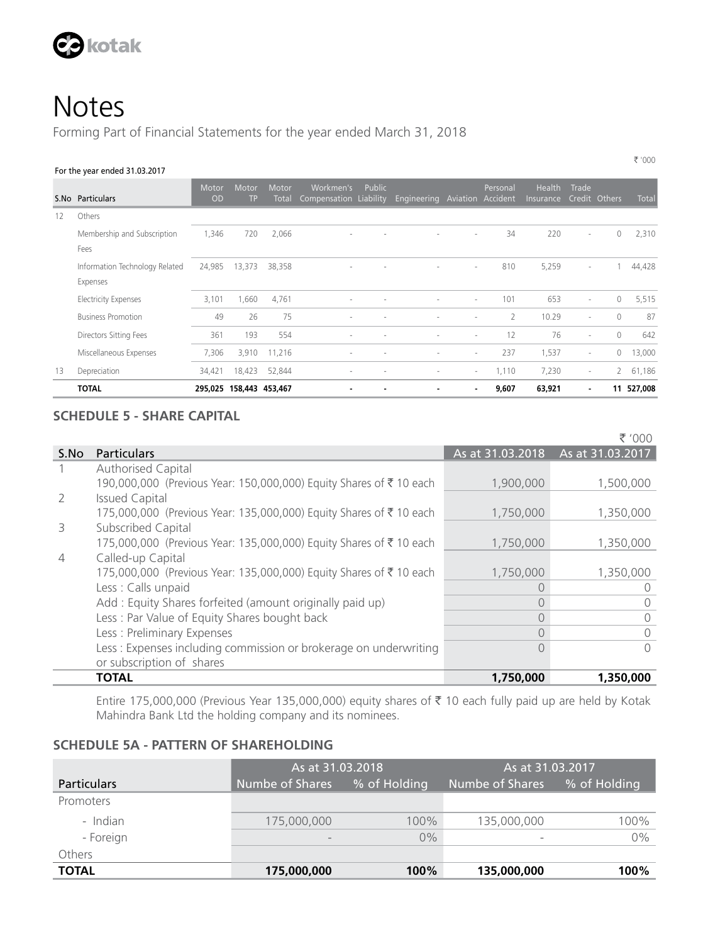

Forming Part of Financial Statements for the year ended March 31, 2018

#### For the year ended 31.03.2017

|    | S.No Particulars                           | Motor<br><b>OD</b>      | <b>Motor</b><br><b>TP</b> | Motor<br><b>Total</b> | Workmen's<br>Compensation Liability | Public | Engineering              | Aviation Accident        | Personal       | <b>Health</b><br>Insurance | Trade                    | Credit Others  | <b>Total</b> |
|----|--------------------------------------------|-------------------------|---------------------------|-----------------------|-------------------------------------|--------|--------------------------|--------------------------|----------------|----------------------------|--------------------------|----------------|--------------|
| 12 | Others                                     |                         |                           |                       |                                     |        |                          |                          |                |                            |                          |                |              |
|    | Membership and Subscription<br>Fees        | 1,346                   | 720                       | 2,066                 |                                     |        |                          | $\overline{\phantom{a}}$ | 34             | 220                        | ٠                        | $\circ$        | 2,310        |
|    | Information Technology Related<br>Expenses | 24,985                  | 13,373                    | 38,358                |                                     |        | $\overline{\phantom{0}}$ | $\overline{\phantom{a}}$ | 810            | 5,259                      | ٠                        |                | 44,428       |
|    | <b>Electricity Expenses</b>                | 3,101                   | 1,660                     | 4,761                 |                                     |        | $\overline{a}$           | $\overline{\phantom{a}}$ | 101            | 653                        | $\overline{\phantom{a}}$ | $\circ$        | 5,515        |
|    | <b>Business Promotion</b>                  | 49                      | 26                        | 75                    |                                     |        |                          | $\overline{\phantom{a}}$ | $\overline{2}$ | 10.29                      | $\overline{\phantom{a}}$ | $\bigcirc$     | 87           |
|    | Directors Sitting Fees                     | 361                     | 193                       | 554                   |                                     |        |                          | $\overline{\phantom{a}}$ | 12             | 76                         | $\overline{\phantom{a}}$ | $\Omega$       | 642          |
|    | Miscellaneous Expenses                     | 7,306                   | 3,910                     | 11,216                |                                     |        | $\overline{a}$           | $\sim$                   | 237            | 1,537                      | $\overline{\phantom{a}}$ | $\circ$        | 13,000       |
| 13 | Depreciation                               | 34,421                  | 18,423                    | 52,844                | $\overline{a}$                      |        | $\overline{a}$           | $\sim$                   | 1,110          | 7,230                      | $\overline{\phantom{a}}$ | $\overline{2}$ | 61,186       |
|    | <b>TOTAL</b>                               | 295,025 158,443 453,467 |                           |                       |                                     |        | ٠                        | $\overline{\phantom{a}}$ | 9,607          | 63,921                     | ٠                        |                | 11 527,008   |

#### **SCHEDULE 5 - SHARE CAPITAL**

` '000 S. No Particulars As at 31.03.2017 As at 31.03.2018 As at 31.03.2017 1 Authorised Capital 190,000,000 (Previous Year: 150,000,000) Equity Shares of ₹ 10 each 1,900,000 1,500,000 2 Issued Capital 175,000,000 (Previous Year: 135,000,000) Equity Shares of ₹ 10 each 1,750,000 1,750,000 3 Subscribed Capital 175,000,000 (Previous Year: 135,000,000) Equity Shares of ₹ 10 each 1,750,000 1,350,000 4 Called-up Capital 175,000,000 (Previous Year: 135,000,000) Equity Shares of ₹ 10 each 1,750,000 1,350,000 Less : Calls unpaid 0 0 Add : Equity Shares forfeited (amount originally paid up) 0 0 Less : Par Value of Equity Shares bought back 0 0 Less : Preliminary Expenses 0 0 Less : Expenses including commission or brokerage on underwriting or subscription of shares 0 0 **TOTAL 1,750,000 1,350,000**

Entire 175,000,000 (Previous Year 135,000,000) equity shares of ₹ 10 each fully paid up are held by Kotak Mahindra Bank Ltd the holding company and its nominees.

#### **SCHEDULE 5A - PATTERN OF SHAREHOLDING**

|              | As at 31.03.2018             |              | As at 31.03.2017         |              |  |  |  |
|--------------|------------------------------|--------------|--------------------------|--------------|--|--|--|
| Particulars  | Numbe of Shares              | % of Holding | Numbe of Shares          | % of Holding |  |  |  |
| Promoters    |                              |              |                          |              |  |  |  |
| - Indian     | 175,000,000                  | 100%         | 135,000,000              | 100%         |  |  |  |
| - Foreign    | $\qquad \qquad \blacksquare$ | $0\%$        | $\overline{\phantom{a}}$ | 0%           |  |  |  |
| Others       |                              |              |                          |              |  |  |  |
| <b>TOTAL</b> | 175,000,000                  | $100\%$      | 135,000,000              | 100%         |  |  |  |

` '000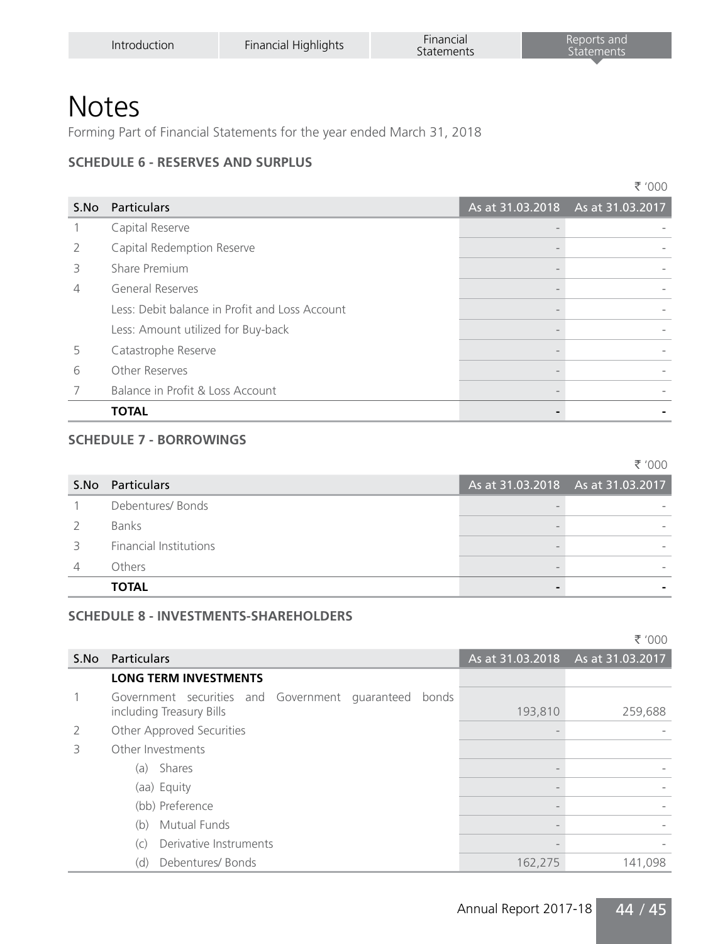Forming Part of Financial Statements for the year ended March 31, 2018

#### **SCHEDULE 6 - RESERVES AND SURPLUS**

|                |                                                | ₹ '000                            |
|----------------|------------------------------------------------|-----------------------------------|
| S.No           | <b>Particulars</b>                             | As at 31.03.2018 As at 31.03.2017 |
| 1              | Capital Reserve                                |                                   |
| $\overline{2}$ | Capital Redemption Reserve                     |                                   |
| 3              | Share Premium                                  |                                   |
| $\overline{4}$ | <b>General Reserves</b>                        |                                   |
|                | Less: Debit balance in Profit and Loss Account |                                   |
|                | Less: Amount utilized for Buy-back             |                                   |
| 5              | Catastrophe Reserve                            |                                   |
| 6              | Other Reserves                                 |                                   |
| 7              | Balance in Profit & Loss Account               |                                   |
|                | TOTAL                                          |                                   |

#### **SCHEDULE 7 - BORROWINGS**

|      |                               |                                     | ₹ '000 |
|------|-------------------------------|-------------------------------------|--------|
| S.No | Particulars                   | As at $31.03.2018$ As at 31.03.2017 |        |
|      | Debentures/Bonds              |                                     |        |
|      | <b>Banks</b>                  |                                     |        |
|      | <b>Financial Institutions</b> |                                     |        |
|      | Others                        |                                     |        |
|      | <b>TOTAL</b>                  |                                     |        |

#### **SCHEDULE 8 - INVESTMENTS-SHAREHOLDERS**

|      |                                                                                   |         | ₹ '000                            |
|------|-----------------------------------------------------------------------------------|---------|-----------------------------------|
| S.No | <b>Particulars</b>                                                                |         | As at 31.03.2018 As at 31.03.2017 |
|      | <b>LONG TERM INVESTMENTS</b>                                                      |         |                                   |
|      | Government securities and Government quaranteed bonds<br>including Treasury Bills | 193,810 | 259,688                           |
| 2    | Other Approved Securities                                                         |         |                                   |
| 3    | Other Investments                                                                 |         |                                   |
|      | Shares<br>(a)                                                                     |         |                                   |
|      | (aa) Equity                                                                       |         |                                   |
|      | (bb) Preference                                                                   |         |                                   |
|      | <b>Mutual Funds</b><br>(b)                                                        |         |                                   |
|      | Derivative Instruments<br>(C)                                                     |         |                                   |
|      | Debentures/Bonds<br>(d)                                                           | 162,275 | 141,098                           |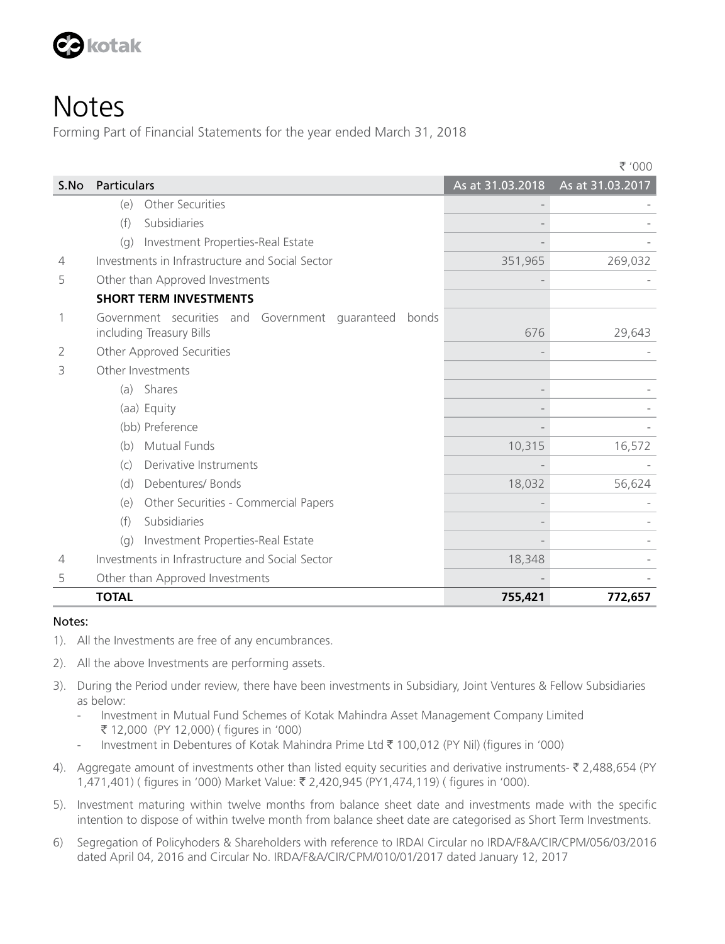

Forming Part of Financial Statements for the year ended March 31, 2018

|                |                                                                                      |                  | ₹ '000           |
|----------------|--------------------------------------------------------------------------------------|------------------|------------------|
| S.No           | Particulars                                                                          | As at 31.03.2018 | As at 31.03.2017 |
|                | Other Securities<br>(e)                                                              |                  |                  |
|                | Subsidiaries<br>(f)                                                                  |                  |                  |
|                | Investment Properties-Real Estate<br>(q)                                             |                  |                  |
| $\overline{4}$ | Investments in Infrastructure and Social Sector                                      | 351,965          | 269,032          |
| 5              | Other than Approved Investments                                                      |                  |                  |
|                | <b>SHORT TERM INVESTMENTS</b>                                                        |                  |                  |
| 1              | Government securities and Government guaranteed<br>bonds<br>including Treasury Bills | 676              | 29,643           |
| 2              | Other Approved Securities                                                            |                  |                  |
| 3              | Other Investments                                                                    |                  |                  |
|                | (a) Shares                                                                           |                  |                  |
|                | (aa) Equity                                                                          |                  |                  |
|                | (bb) Preference                                                                      |                  |                  |
|                | <b>Mutual Funds</b><br>(b)                                                           | 10,315           | 16,572           |
|                | Derivative Instruments<br>(c)                                                        |                  |                  |
|                | Debentures/ Bonds<br>(d)                                                             | 18,032           | 56,624           |
|                | Other Securities - Commercial Papers<br>(e)                                          |                  |                  |
|                | Subsidiaries<br>(f)                                                                  |                  |                  |
|                | Investment Properties-Real Estate<br>(q)                                             |                  |                  |
| 4              | Investments in Infrastructure and Social Sector                                      | 18,348           |                  |
| 5              | Other than Approved Investments                                                      |                  |                  |
|                | <b>TOTAL</b>                                                                         | 755,421          | 772,657          |

#### Notes:

- 1). All the Investments are free of any encumbrances.
- 2). All the above Investments are performing assets.
- 3). During the Period under review, there have been investments in Subsidiary, Joint Ventures & Fellow Subsidiaries as below:
	- Investment in Mutual Fund Schemes of Kotak Mahindra Asset Management Company Limited ` 12,000 (PY 12,000) ( figures in '000)
	- Investment in Debentures of Kotak Mahindra Prime Ltd ` 100,012 (PY Nil) (figures in '000)
- 4). Aggregate amount of investments other than listed equity securities and derivative instruments-  $\bar{\zeta}$  2,488,654 (PY) 1,471,401) ( figures in '000) Market Value: ₹2,420,945 (PY1,474,119) ( figures in '000).
- 5). Investment maturing within twelve months from balance sheet date and investments made with the specific intention to dispose of within twelve month from balance sheet date are categorised as Short Term Investments.
- 6) Segregation of Policyhoders & Shareholders with reference to IRDAI Circular no IRDA/F&A/CIR/CPM/056/03/2016 dated April 04, 2016 and Circular No. IRDA/F&A/CIR/CPM/010/01/2017 dated January 12, 2017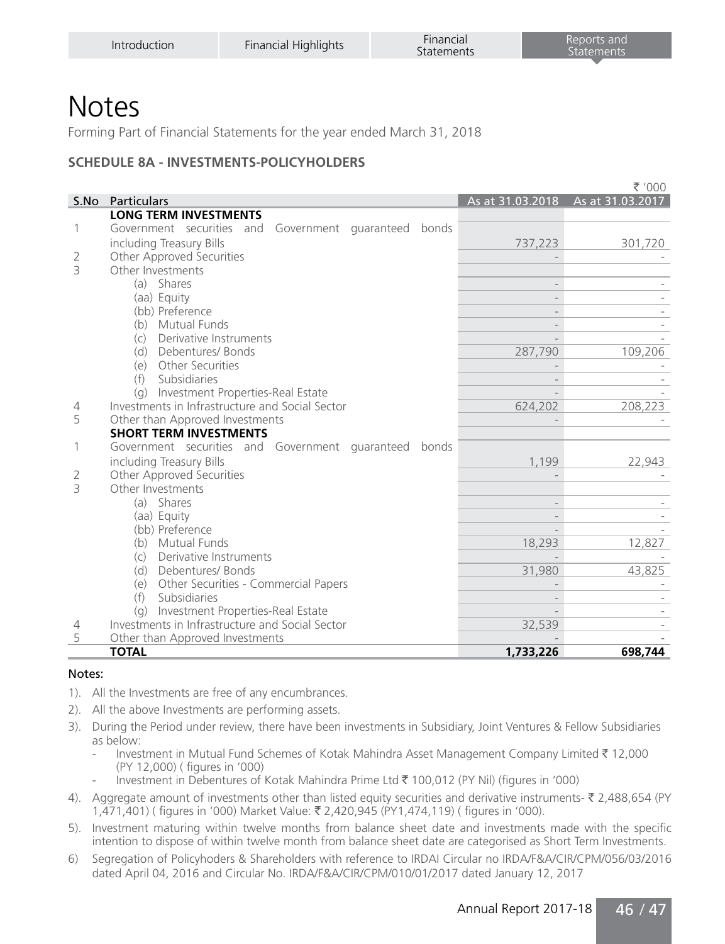Forming Part of Financial Statements for the year ended March 31, 2018

#### **SCHEDULE 8A - INVESTMENTS-POLICYHOLDERS**

|                          |                                                       |                          | ₹ '000           |
|--------------------------|-------------------------------------------------------|--------------------------|------------------|
|                          | S.No Particulars                                      | As at 31.03.2018         | As at 31.03.2017 |
|                          | <b>LONG TERM INVESTMENTS</b>                          |                          |                  |
| 1                        | Government securities and Government guaranteed bonds |                          |                  |
|                          | including Treasury Bills                              | 737,223                  | 301,720          |
| 2                        | Other Approved Securities                             |                          |                  |
| $\overline{\mathcal{L}}$ | Other Investments                                     |                          |                  |
|                          | (a) Shares                                            |                          |                  |
|                          | (aa) Equity                                           |                          |                  |
|                          | (bb) Preference                                       |                          |                  |
|                          | (b) Mutual Funds                                      |                          |                  |
|                          | Derivative Instruments<br>(c)                         |                          |                  |
|                          | (d) Debentures/Bonds                                  | 287,790                  | 109,206          |
|                          | (e) Other Securities                                  |                          |                  |
|                          | (f) Subsidiaries                                      | $\overline{a}$           |                  |
|                          | (g) Investment Properties-Real Estate                 |                          |                  |
| $\overline{4}$           | Investments in Infrastructure and Social Sector       | 624,202                  | 208,223          |
| 5                        | Other than Approved Investments                       |                          |                  |
|                          | <b>SHORT TERM INVESTMENTS</b>                         |                          |                  |
| $\mathbf{1}$             | Government securities and Government guaranteed bonds |                          |                  |
|                          | including Treasury Bills                              | 1,199                    | 22,943           |
| 2                        | Other Approved Securities                             |                          |                  |
| $\overline{\mathcal{L}}$ | Other Investments                                     |                          |                  |
|                          | (a) Shares                                            |                          |                  |
|                          | (aa) Equity                                           |                          |                  |
|                          | (bb) Preference                                       |                          |                  |
|                          | (b) Mutual Funds                                      | 18,293                   | 12,827           |
|                          | (c) Derivative Instruments                            |                          |                  |
|                          | (d) Debentures/Bonds                                  | 31,980                   | 43,825           |
|                          | (e) Other Securities - Commercial Papers              |                          |                  |
|                          | (f)<br>Subsidiaries                                   | $\overline{\phantom{0}}$ |                  |
|                          | (g) Investment Properties-Real Estate                 |                          |                  |
| 4                        | Investments in Infrastructure and Social Sector       | 32,539                   |                  |
| 5                        | Other than Approved Investments                       |                          |                  |
|                          | <b>TOTAL</b>                                          | 1,733,226                | 698,744          |

#### Notes:

- 1). All the Investments are free of any encumbrances.
- 2). All the above Investments are performing assets.
- 3). During the Period under review, there have been investments in Subsidiary, Joint Ventures & Fellow Subsidiaries as below:
	- Investment in Mutual Fund Schemes of Kotak Mahindra Asset Management Company Limited ₹ 12,000 (PY 12,000) ( figures in '000)
	- Investment in Debentures of Kotak Mahindra Prime Ltd ` 100,012 (PY Nil) (figures in '000)
- 4). Aggregate amount of investments other than listed equity securities and derivative instruments-  $\bar{\tau}$  2,488,654 (PY) 1,471,401) ( figures in '000) Market Value: ` 2,420,945 (PY1,474,119) ( figures in '000).
- 5). Investment maturing within twelve months from balance sheet date and investments made with the specific intention to dispose of within twelve month from balance sheet date are categorised as Short Term Investments.
- 6) Segregation of Policyhoders & Shareholders with reference to IRDAI Circular no IRDA/F&A/CIR/CPM/056/03/2016 dated April 04, 2016 and Circular No. IRDA/F&A/CIR/CPM/010/01/2017 dated January 12, 2017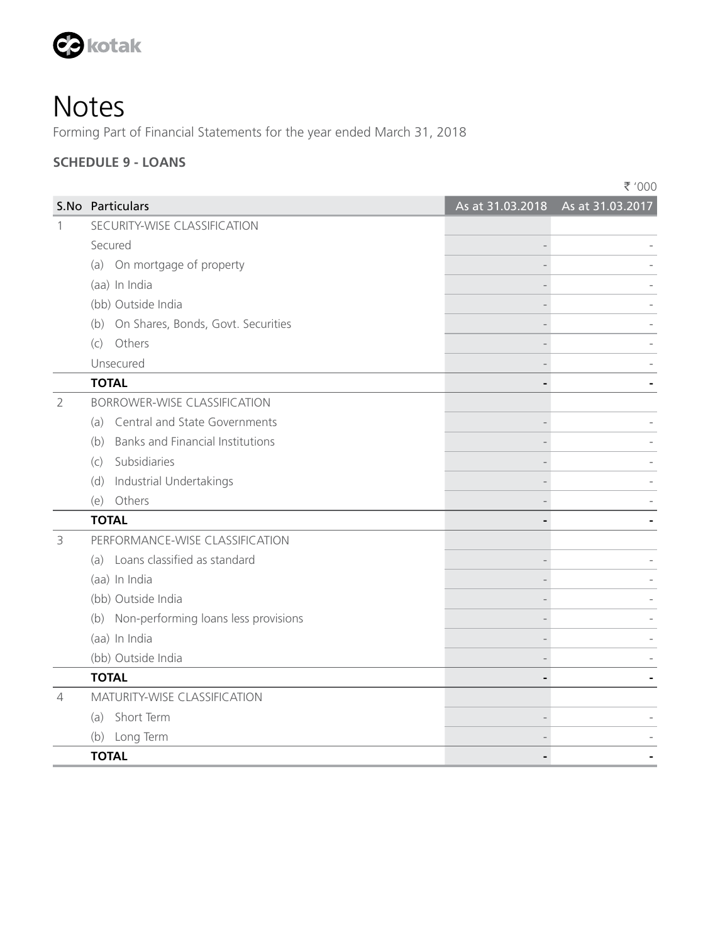

Forming Part of Financial Statements for the year ended March 31, 2018

#### **SCHEDULE 9 - LOANS**

|                |                                          | ₹ '000                            |
|----------------|------------------------------------------|-----------------------------------|
|                | S.No Particulars                         | As at 31.03.2018 As at 31.03.2017 |
| 1              | SECURITY-WISE CLASSIFICATION             |                                   |
|                | Secured                                  |                                   |
|                | (a) On mortgage of property              |                                   |
|                | (aa) In India                            |                                   |
|                | (bb) Outside India                       |                                   |
|                | (b) On Shares, Bonds, Govt. Securities   |                                   |
|                | (c) Others                               |                                   |
|                | Unsecured                                |                                   |
|                | <b>TOTAL</b>                             |                                   |
| $\overline{2}$ | <b>BORROWER-WISE CLASSIFICATION</b>      |                                   |
|                | (a) Central and State Governments        |                                   |
|                | (b) Banks and Financial Institutions     |                                   |
|                | (c) Subsidiaries                         |                                   |
|                | (d) Industrial Undertakings              |                                   |
|                | (e) Others                               |                                   |
|                | <b>TOTAL</b>                             |                                   |
| 3              | PERFORMANCE-WISE CLASSIFICATION          |                                   |
|                | (a) Loans classified as standard         |                                   |
|                | (aa) In India                            |                                   |
|                | (bb) Outside India                       |                                   |
|                | (b) Non-performing loans less provisions |                                   |
|                | (aa) In India                            |                                   |
|                | (bb) Outside India                       |                                   |
|                | <b>TOTAL</b>                             |                                   |
| 4              | <b>MATURITY-WISE CLASSIFICATION</b>      |                                   |
|                | (a) Short Term                           |                                   |
|                | (b) Long Term                            |                                   |
|                | <b>TOTAL</b>                             |                                   |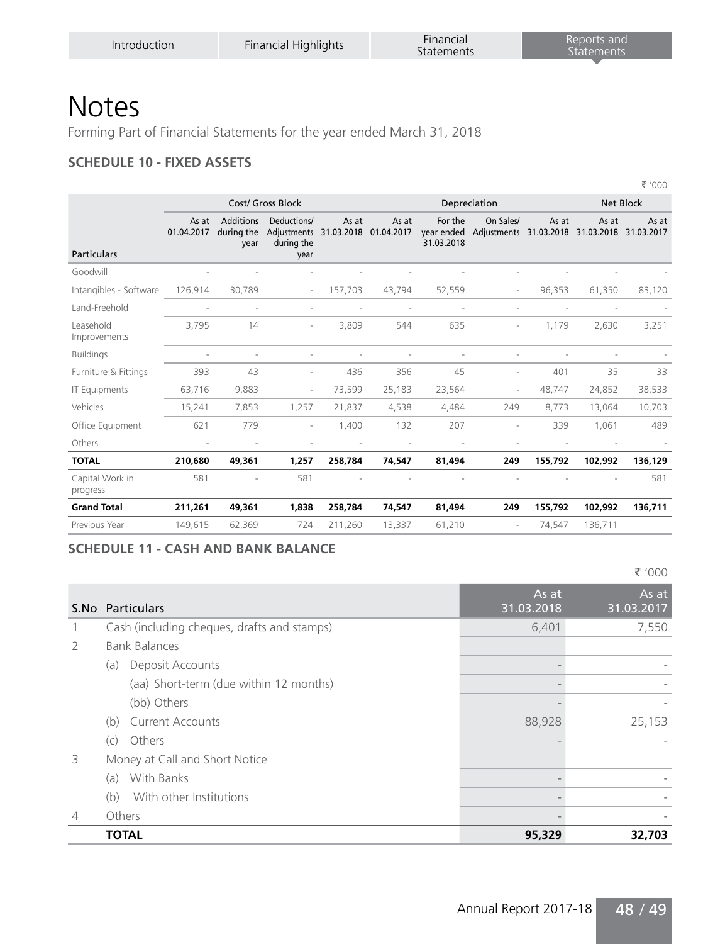Forming Part of Financial Statements for the year ended March 31, 2018

#### **SCHEDULE 10 - FIXED ASSETS**

|                          |                                        |                                   |                   |        |                                   |                          |                                        |                                | ₹ '000           |
|--------------------------|----------------------------------------|-----------------------------------|-------------------|--------|-----------------------------------|--------------------------|----------------------------------------|--------------------------------|------------------|
|                          |                                        |                                   |                   |        |                                   |                          |                                        |                                | <b>Net Block</b> |
| As at<br>01.04.2017      | <b>Additions</b><br>during the<br>year | Deductions/<br>during the<br>year | As at             | As at  | For the<br>31.03.2018             | On Sales/                | As at                                  | As at<br>31.03.2018 31.03.2017 | As at            |
|                          |                                        |                                   |                   |        |                                   |                          |                                        |                                |                  |
| 126,914                  | 30.789                                 | $\sim$                            | 157,703           | 43,794 | 52,559                            | ×                        | 96,353                                 | 61,350                         | 83,120           |
| $\overline{\phantom{a}}$ | ×                                      | ٠                                 |                   |        |                                   | ×                        |                                        |                                |                  |
| 3,795                    | 14                                     | ٠                                 | 3,809             | 544    | 635                               | $\overline{\phantom{a}}$ | 1,179                                  | 2,630                          | 3,251            |
| ٠                        |                                        |                                   |                   |        |                                   |                          |                                        |                                |                  |
| 393                      | 43                                     | $\overline{\phantom{a}}$          | 436               | 356    | 45                                | ×,                       | 401                                    | 35                             | 33               |
| 63,716                   | 9,883                                  | $\overline{\phantom{a}}$          | 73,599            | 25,183 | 23,564                            | ٠                        | 48.747                                 | 24,852                         | 38,533           |
| 15,241                   | 7,853                                  | 1,257                             | 21,837            | 4,538  | 4,484                             | 249                      | 8,773                                  | 13,064                         | 10,703           |
| 621                      | 779                                    | ٠                                 | 1,400             | 132    | 207                               |                          | 339                                    | 1,061                          | 489              |
| $\sim$                   |                                        | $\overline{a}$                    | ٠                 |        |                                   | ×                        |                                        |                                |                  |
| 210,680                  | 49,361                                 | 1,257                             | 258,784           | 74,547 | 81,494                            | 249                      | 155,792                                | 102,992                        | 136,129          |
| 581                      |                                        | 581                               |                   |        |                                   |                          |                                        |                                | 581              |
| 211,261                  | 49,361                                 | 1,838                             | 258,784           | 74,547 | 81,494                            | 249                      | 155,792                                | 102,992                        | 136,711          |
| 149,615                  | 62,369                                 | 724                               | 211,260           | 13,337 | 61,210                            |                          | 74,547                                 | 136,711                        |                  |
|                          |                                        |                                   | Cost/ Gross Block |        | Adjustments 31.03.2018 01.04.2017 |                          | Depreciation<br>year ended Adjustments |                                | 31.03.2018       |

#### **SCHEDULE 11 - CASH AND BANK BALANCE**

` '000

|                | S.No Particulars                            | As at<br>31.03.2018 | As at<br>31.03.2017 |
|----------------|---------------------------------------------|---------------------|---------------------|
|                | Cash (including cheques, drafts and stamps) | 6,401               | 7,550               |
| $\overline{2}$ | <b>Bank Balances</b>                        |                     |                     |
|                | Deposit Accounts<br>(a)                     |                     |                     |
|                | (aa) Short-term (due within 12 months)      |                     |                     |
|                | (bb) Others                                 |                     |                     |
|                | <b>Current Accounts</b><br>(b)              | 88,928              | 25,153              |
|                | Others<br>(C)                               |                     |                     |
| 3              | Money at Call and Short Notice              |                     |                     |
|                | With Banks<br>(a)                           |                     |                     |
|                | With other Institutions<br>(b)              |                     |                     |
| $\overline{4}$ | Others                                      |                     |                     |
|                | <b>TOTAL</b>                                | 95,329              | 32,703              |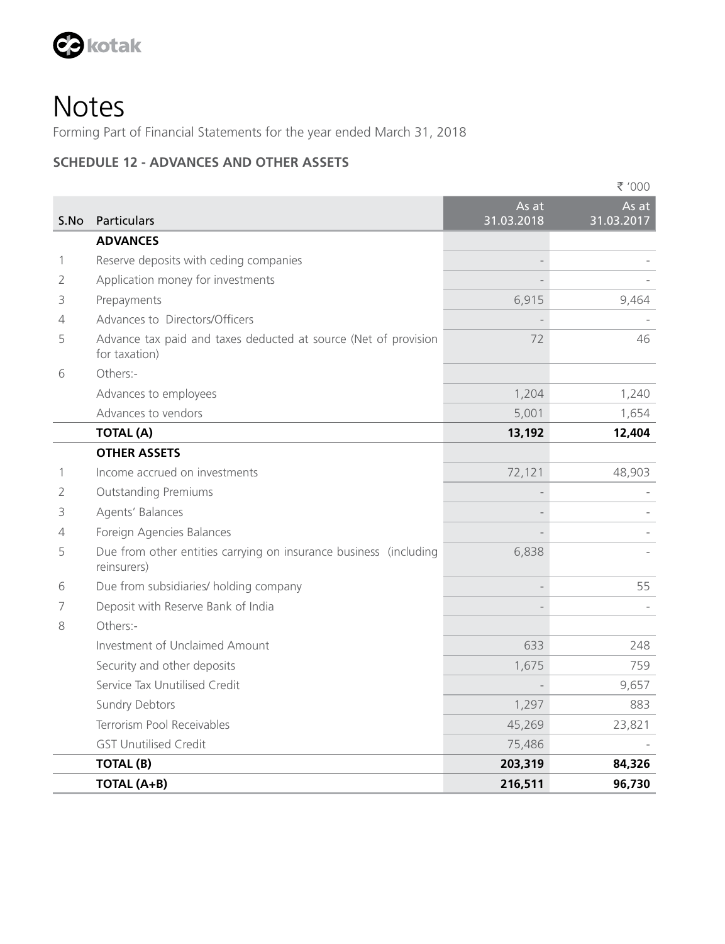

Forming Part of Financial Statements for the year ended March 31, 2018

#### **SCHEDULE 12 - ADVANCES AND OTHER ASSETS**

|      |                                                                                  |                     | ₹ '000              |
|------|----------------------------------------------------------------------------------|---------------------|---------------------|
| S.No | Particulars                                                                      | As at<br>31.03.2018 | As at<br>31.03.2017 |
|      | <b>ADVANCES</b>                                                                  |                     |                     |
| 1    | Reserve deposits with ceding companies                                           | $\overline{a}$      |                     |
| 2    | Application money for investments                                                |                     |                     |
| 3    | Prepayments                                                                      | 6,915               | 9,464               |
| 4    | Advances to Directors/Officers                                                   |                     |                     |
| 5    | Advance tax paid and taxes deducted at source (Net of provision<br>for taxation) | 72                  | 46                  |
| 6    | Others:-                                                                         |                     |                     |
|      | Advances to employees                                                            | 1,204               | 1,240               |
|      | Advances to vendors                                                              | 5,001               | 1,654               |
|      | <b>TOTAL (A)</b>                                                                 | 13,192              | 12,404              |
|      | <b>OTHER ASSETS</b>                                                              |                     |                     |
| 1    | Income accrued on investments                                                    | 72,121              | 48,903              |
| 2    | <b>Outstanding Premiums</b>                                                      |                     |                     |
| 3    | Agents' Balances                                                                 |                     |                     |
| 4    | Foreign Agencies Balances                                                        |                     |                     |
| 5    | Due from other entities carrying on insurance business (including<br>reinsurers) | 6,838               |                     |
| 6    | Due from subsidiaries/ holding company                                           | $\overline{a}$      | 55                  |
| 7    | Deposit with Reserve Bank of India                                               |                     |                     |
| 8    | Others -                                                                         |                     |                     |
|      | Investment of Unclaimed Amount                                                   | 633                 | 248                 |
|      | Security and other deposits                                                      | 1,675               | 759                 |
|      | Service Tax Unutilised Credit                                                    |                     | 9,657               |
|      | Sundry Debtors                                                                   | 1,297               | 883                 |
|      | Terrorism Pool Receivables                                                       | 45,269              | 23,821              |
|      | <b>GST Unutilised Credit</b>                                                     | 75,486              |                     |
|      | <b>TOTAL (B)</b>                                                                 | 203,319             | 84,326              |
|      | TOTAL (A+B)                                                                      | 216,511             | 96,730              |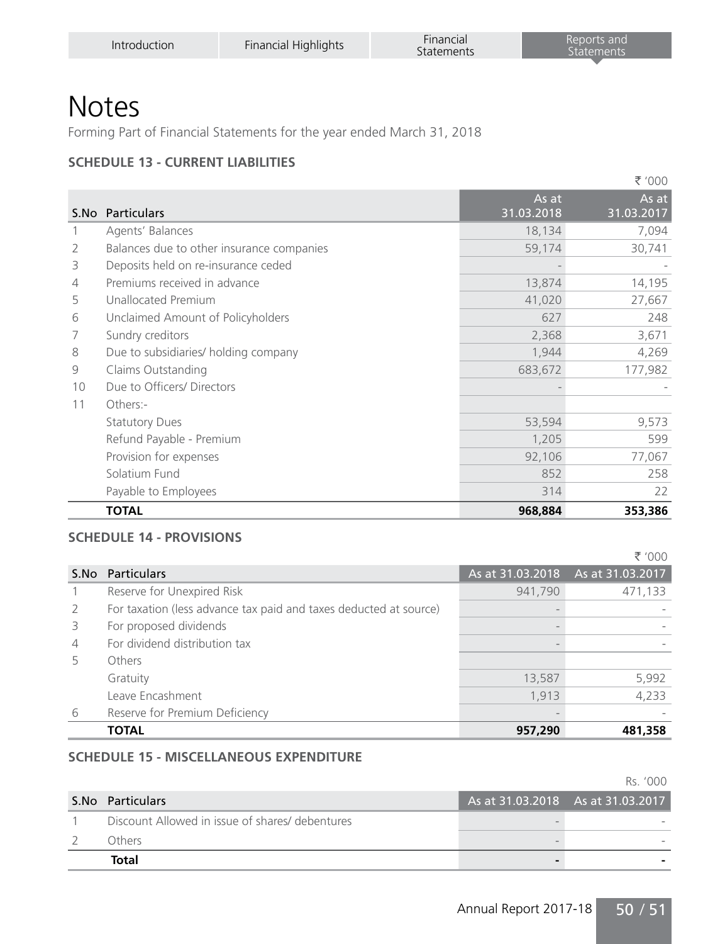Forming Part of Financial Statements for the year ended March 31, 2018

#### **SCHEDULE 13 - CURRENT LIABILITIES**

|    |                                           |            | ₹ '000     |
|----|-------------------------------------------|------------|------------|
|    |                                           | As at      | As at      |
|    | S.No Particulars                          | 31.03.2018 | 31.03.2017 |
|    | Agents' Balances                          | 18,134     | 7,094      |
| 2  | Balances due to other insurance companies | 59,174     | 30,741     |
| 3  | Deposits held on re-insurance ceded       |            |            |
| 4  | Premiums received in advance              | 13,874     | 14,195     |
| 5  | Unallocated Premium                       | 41,020     | 27,667     |
| 6  | Unclaimed Amount of Policyholders         | 627        | 248        |
| 7  | Sundry creditors                          | 2,368      | 3,671      |
| 8  | Due to subsidiaries/ holding company      | 1,944      | 4,269      |
| 9  | Claims Outstanding                        | 683,672    | 177,982    |
| 10 | Due to Officers/Directors                 |            |            |
| 11 | Others:-                                  |            |            |
|    | <b>Statutory Dues</b>                     | 53,594     | 9,573      |
|    | Refund Payable - Premium                  | 1,205      | 599        |
|    | Provision for expenses                    | 92,106     | 77,067     |
|    | Solatium Fund                             | 852        | 258        |
|    | Payable to Employees                      | 314        | 22         |
|    | <b>TOTAL</b>                              | 968,884    | 353,386    |

#### **SCHEDULE 14 - PROVISIONS**

|                |                                                                   |                                   | ₹ '000  |
|----------------|-------------------------------------------------------------------|-----------------------------------|---------|
|                | S.No Particulars                                                  | As at 31.03.2018 As at 31.03.2017 |         |
|                | Reserve for Unexpired Risk                                        | 941,790                           | 471,133 |
| 2              | For taxation (less advance tax paid and taxes deducted at source) |                                   |         |
| 3              | For proposed dividends                                            |                                   |         |
| $\overline{4}$ | For dividend distribution tax                                     |                                   |         |
| 5              | Others                                                            |                                   |         |
|                | Gratuity                                                          | 13,587                            | 5,992   |
|                | Leave Encashment                                                  | 1,913                             | 4,233   |
| 6              | Reserve for Premium Deficiency                                    |                                   |         |
|                | <b>TOTAL</b>                                                      | 957,290                           | 481,358 |

#### **SCHEDULE 15 - MISCELLANEOUS EXPENDITURE**

Rs. '000

| S.No Particulars                                | As at 31.03.2018 As at 31.03.2017 |  |
|-------------------------------------------------|-----------------------------------|--|
| Discount Allowed in issue of shares/ debentures |                                   |  |
| Others.                                         |                                   |  |
| Total                                           |                                   |  |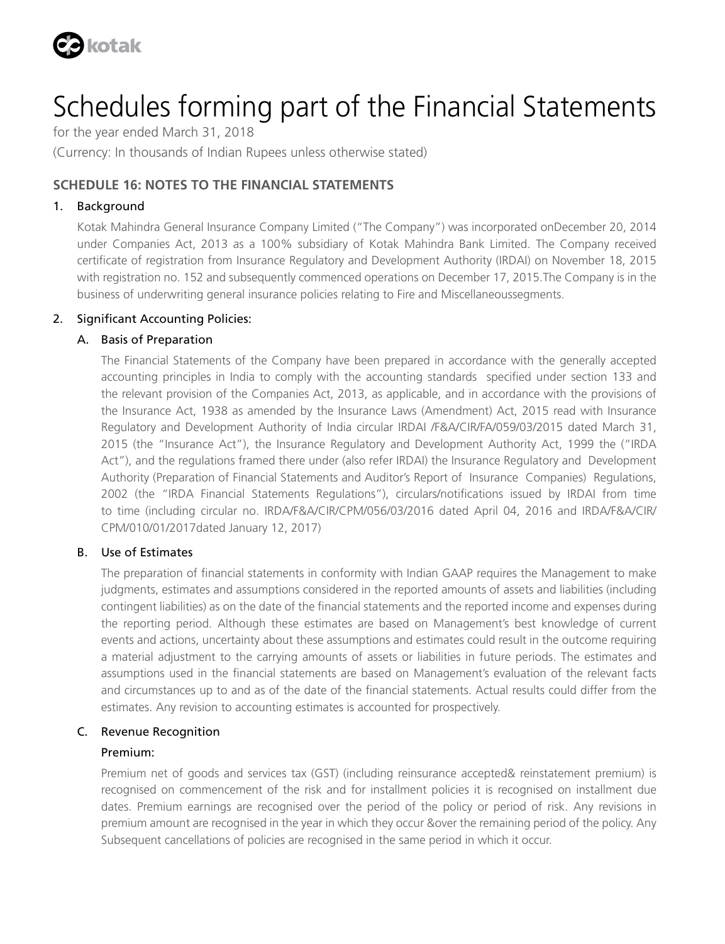

for the year ended March 31, 2018 (Currency: In thousands of Indian Rupees unless otherwise stated)

#### **SCHEDULE 16: NOTES TO THE FINANCIAL STATEMENTS**

#### 1. Background

Kotak Mahindra General Insurance Company Limited ("The Company") was incorporated onDecember 20, 2014 under Companies Act, 2013 as a 100% subsidiary of Kotak Mahindra Bank Limited. The Company received certificate of registration from Insurance Regulatory and Development Authority (IRDAI) on November 18, 2015 with registration no. 152 and subsequently commenced operations on December 17, 2015.The Company is in the business of underwriting general insurance policies relating to Fire and Miscellaneoussegments.

#### 2. Significant Accounting Policies:

#### A. Basis of Preparation

 The Financial Statements of the Company have been prepared in accordance with the generally accepted accounting principles in India to comply with the accounting standards specified under section 133 and the relevant provision of the Companies Act, 2013, as applicable, and in accordance with the provisions of the Insurance Act, 1938 as amended by the Insurance Laws (Amendment) Act, 2015 read with Insurance Regulatory and Development Authority of India circular IRDAI /F&A/CIR/FA/059/03/2015 dated March 31, 2015 (the "Insurance Act"), the Insurance Regulatory and Development Authority Act, 1999 the ("IRDA Act"), and the regulations framed there under (also refer IRDAI) the Insurance Regulatory and Development Authority (Preparation of Financial Statements and Auditor's Report of Insurance Companies) Regulations, 2002 (the "IRDA Financial Statements Regulations"), circulars/notifications issued by IRDAI from time to time (including circular no. IRDA/F&A/CIR/CPM/056/03/2016 dated April 04, 2016 and IRDA/F&A/CIR/ CPM/010/01/2017dated January 12, 2017)

#### B. Use of Estimates

 The preparation of financial statements in conformity with Indian GAAP requires the Management to make judgments, estimates and assumptions considered in the reported amounts of assets and liabilities (including contingent liabilities) as on the date of the financial statements and the reported income and expenses during the reporting period. Although these estimates are based on Management's best knowledge of current events and actions, uncertainty about these assumptions and estimates could result in the outcome requiring a material adjustment to the carrying amounts of assets or liabilities in future periods. The estimates and assumptions used in the financial statements are based on Management's evaluation of the relevant facts and circumstances up to and as of the date of the financial statements. Actual results could differ from the estimates. Any revision to accounting estimates is accounted for prospectively.

#### C. Revenue Recognition

#### Premium:

 Premium net of goods and services tax (GST) (including reinsurance accepted& reinstatement premium) is recognised on commencement of the risk and for installment policies it is recognised on installment due dates. Premium earnings are recognised over the period of the policy or period of risk. Any revisions in premium amount are recognised in the year in which they occur &over the remaining period of the policy. Any Subsequent cancellations of policies are recognised in the same period in which it occur.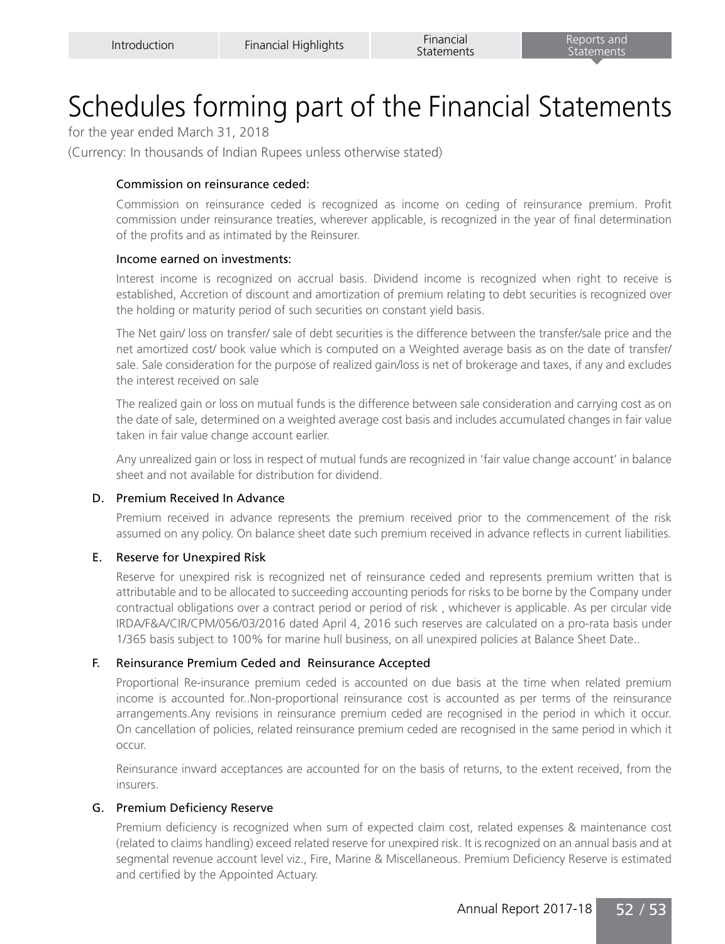for the year ended March 31, 2018

(Currency: In thousands of Indian Rupees unless otherwise stated)

#### Commission on reinsurance ceded:

 Commission on reinsurance ceded is recognized as income on ceding of reinsurance premium. Profit commission under reinsurance treaties, wherever applicable, is recognized in the year of final determination of the profits and as intimated by the Reinsurer.

#### Income earned on investments:

 Interest income is recognized on accrual basis. Dividend income is recognized when right to receive is established, Accretion of discount and amortization of premium relating to debt securities is recognized over the holding or maturity period of such securities on constant yield basis.

 The Net gain/ loss on transfer/ sale of debt securities is the difference between the transfer/sale price and the net amortized cost/ book value which is computed on a Weighted average basis as on the date of transfer/ sale. Sale consideration for the purpose of realized gain/loss is net of brokerage and taxes, if any and excludes the interest received on sale

 The realized gain or loss on mutual funds is the difference between sale consideration and carrying cost as on the date of sale, determined on a weighted average cost basis and includes accumulated changes in fair value taken in fair value change account earlier.

 Any unrealized gain or loss in respect of mutual funds are recognized in 'fair value change account' in balance sheet and not available for distribution for dividend.

#### D. Premium Received In Advance

 Premium received in advance represents the premium received prior to the commencement of the risk assumed on any policy. On balance sheet date such premium received in advance reflects in current liabilities.

#### E. Reserve for Unexpired Risk

 Reserve for unexpired risk is recognized net of reinsurance ceded and represents premium written that is attributable and to be allocated to succeeding accounting periods for risks to be borne by the Company under contractual obligations over a contract period or period of risk , whichever is applicable. As per circular vide IRDA/F&A/CIR/CPM/056/03/2016 dated April 4, 2016 such reserves are calculated on a pro-rata basis under 1/365 basis subject to 100% for marine hull business, on all unexpired policies at Balance Sheet Date..

#### F. Reinsurance Premium Ceded and Reinsurance Accepted

 Proportional Re-insurance premium ceded is accounted on due basis at the time when related premium income is accounted for..Non-proportional reinsurance cost is accounted as per terms of the reinsurance arrangements.Any revisions in reinsurance premium ceded are recognised in the period in which it occur. On cancellation of policies, related reinsurance premium ceded are recognised in the same period in which it occur.

 Reinsurance inward acceptances are accounted for on the basis of returns, to the extent received, from the insurers.

#### G. Premium Deficiency Reserve

 Premium deficiency is recognized when sum of expected claim cost, related expenses & maintenance cost (related to claims handling) exceed related reserve for unexpired risk. It is recognized on an annual basis and at segmental revenue account level viz., Fire, Marine & Miscellaneous. Premium Deficiency Reserve is estimated and certified by the Appointed Actuary.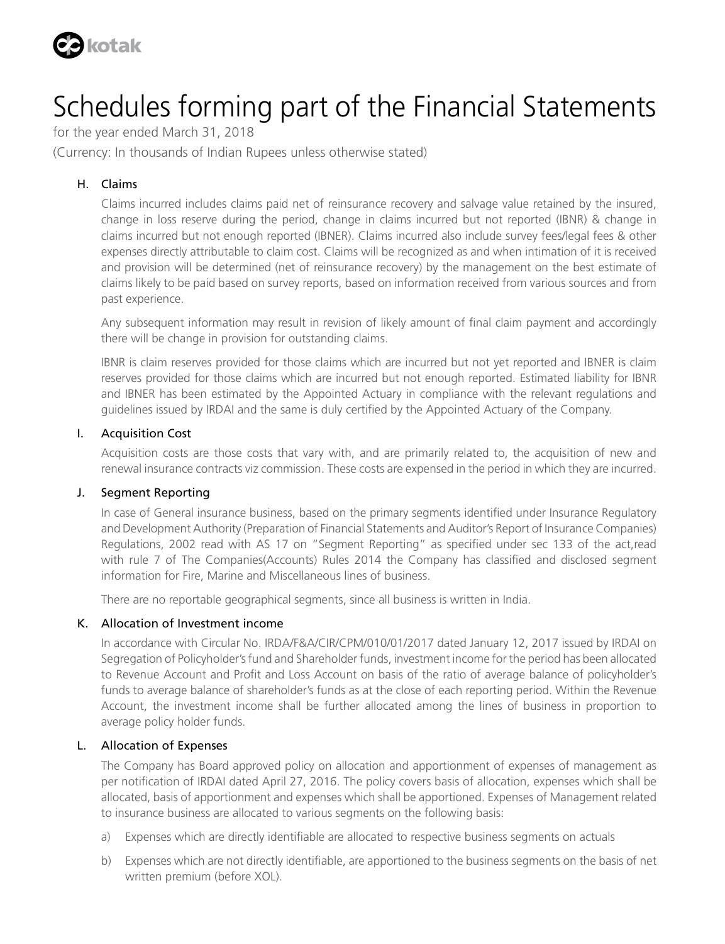

for the year ended March 31, 2018

(Currency: In thousands of Indian Rupees unless otherwise stated)

#### H. Claims

 Claims incurred includes claims paid net of reinsurance recovery and salvage value retained by the insured, change in loss reserve during the period, change in claims incurred but not reported (IBNR) & change in claims incurred but not enough reported (IBNER). Claims incurred also include survey fees/legal fees & other expenses directly attributable to claim cost. Claims will be recognized as and when intimation of it is received and provision will be determined (net of reinsurance recovery) by the management on the best estimate of claims likely to be paid based on survey reports, based on information received from various sources and from past experience.

 Any subsequent information may result in revision of likely amount of final claim payment and accordingly there will be change in provision for outstanding claims.

 IBNR is claim reserves provided for those claims which are incurred but not yet reported and IBNER is claim reserves provided for those claims which are incurred but not enough reported. Estimated liability for IBNR and IBNER has been estimated by the Appointed Actuary in compliance with the relevant regulations and guidelines issued by IRDAI and the same is duly certified by the Appointed Actuary of the Company.

#### I. Acquisition Cost

 Acquisition costs are those costs that vary with, and are primarily related to, the acquisition of new and renewal insurance contracts viz commission. These costs are expensed in the period in which they are incurred.

#### J. Segment Reporting

In case of General insurance business, based on the primary segments identified under Insurance Regulatory and Development Authority (Preparation of Financial Statements and Auditor's Report of Insurance Companies) Regulations, 2002 read with AS 17 on "Segment Reporting" as specified under sec 133 of the act,read with rule 7 of The Companies(Accounts) Rules 2014 the Company has classified and disclosed segment information for Fire, Marine and Miscellaneous lines of business.

There are no reportable geographical segments, since all business is written in India.

#### K. Allocation of Investment income

 In accordance with Circular No. IRDA/F&A/CIR/CPM/010/01/2017 dated January 12, 2017 issued by IRDAI on Segregation of Policyholder's fund and Shareholder funds, investment income for the period has been allocated to Revenue Account and Profit and Loss Account on basis of the ratio of average balance of policyholder's funds to average balance of shareholder's funds as at the close of each reporting period. Within the Revenue Account, the investment income shall be further allocated among the lines of business in proportion to average policy holder funds.

#### L. Allocation of Expenses

 The Company has Board approved policy on allocation and apportionment of expenses of management as per notification of IRDAI dated April 27, 2016. The policy covers basis of allocation, expenses which shall be allocated, basis of apportionment and expenses which shall be apportioned. Expenses of Management related to insurance business are allocated to various segments on the following basis:

- a) Expenses which are directly identifiable are allocated to respective business segments on actuals
- b) Expenses which are not directly identifiable, are apportioned to the business segments on the basis of net written premium (before XOL).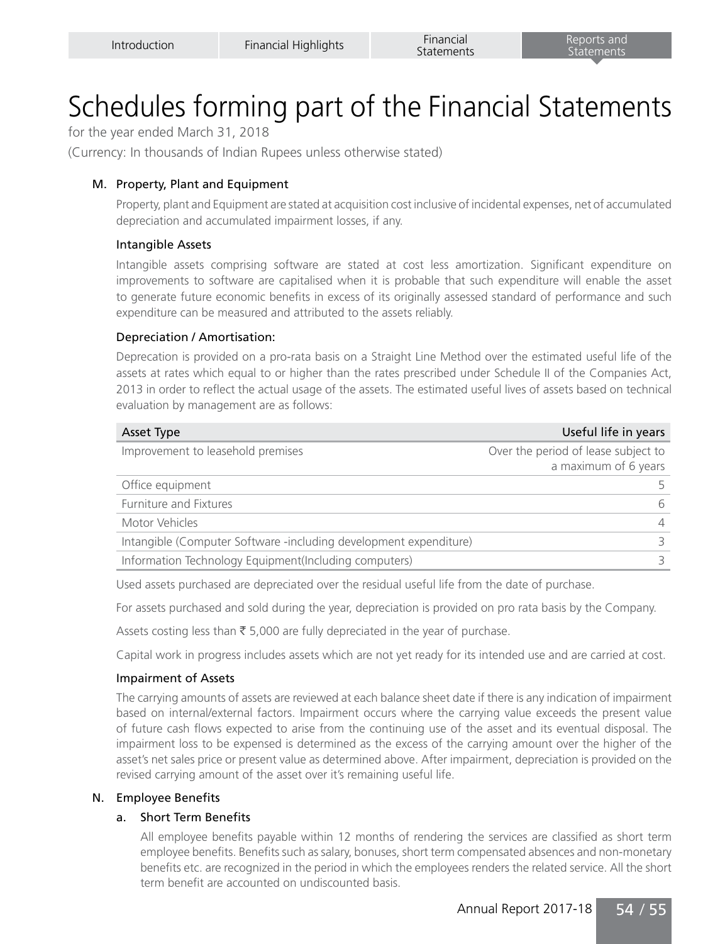for the year ended March 31, 2018

(Currency: In thousands of Indian Rupees unless otherwise stated)

#### M. Property, Plant and Equipment

 Property, plant and Equipment are stated at acquisition cost inclusive of incidental expenses, net of accumulated depreciation and accumulated impairment losses, if any.

#### Intangible Assets

 Intangible assets comprising software are stated at cost less amortization. Significant expenditure on improvements to software are capitalised when it is probable that such expenditure will enable the asset to generate future economic benefits in excess of its originally assessed standard of performance and such expenditure can be measured and attributed to the assets reliably.

#### Depreciation / Amortisation:

 Deprecation is provided on a pro-rata basis on a Straight Line Method over the estimated useful life of the assets at rates which equal to or higher than the rates prescribed under Schedule II of the Companies Act, 2013 in order to reflect the actual usage of the assets. The estimated useful lives of assets based on technical evaluation by management are as follows:

| Asset Type                                                        | Useful life in years                |
|-------------------------------------------------------------------|-------------------------------------|
| Improvement to leasehold premises                                 | Over the period of lease subject to |
|                                                                   | a maximum of 6 years                |
| Office equipment                                                  |                                     |
| Furniture and Fixtures                                            | 6                                   |
| Motor Vehicles                                                    |                                     |
| Intangible (Computer Software -including development expenditure) |                                     |
| Information Technology Equipment(Including computers)             |                                     |

Used assets purchased are depreciated over the residual useful life from the date of purchase.

For assets purchased and sold during the year, depreciation is provided on pro rata basis by the Company.

Assets costing less than  $\bar{\tau}$  5,000 are fully depreciated in the year of purchase.

Capital work in progress includes assets which are not yet ready for its intended use and are carried at cost.

#### Impairment of Assets

 The carrying amounts of assets are reviewed at each balance sheet date if there is any indication of impairment based on internal/external factors. Impairment occurs where the carrying value exceeds the present value of future cash flows expected to arise from the continuing use of the asset and its eventual disposal. The impairment loss to be expensed is determined as the excess of the carrying amount over the higher of the asset's net sales price or present value as determined above. After impairment, depreciation is provided on the revised carrying amount of the asset over it's remaining useful life.

#### N. Employee Benefits

#### a. Short Term Benefits

 All employee benefits payable within 12 months of rendering the services are classified as short term employee benefits. Benefits such as salary, bonuses, short term compensated absences and non-monetary benefits etc. are recognized in the period in which the employees renders the related service. All the short term benefit are accounted on undiscounted basis.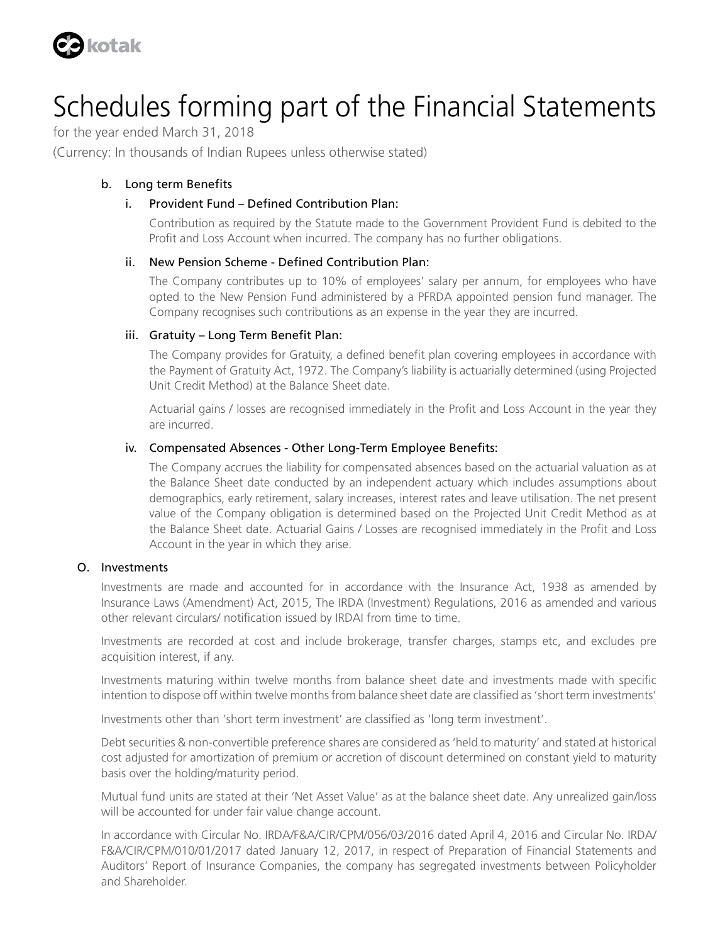

for the year ended March 31, 2018

(Currency: In thousands of Indian Rupees unless otherwise stated)

#### b. Long term Benefits

#### i. Provident Fund – Defined Contribution Plan:

 Contribution as required by the Statute made to the Government Provident Fund is debited to the Profit and Loss Account when incurred. The company has no further obligations.

#### ii. New Pension Scheme - Defined Contribution Plan:

 The Company contributes up to 10% of employees' salary per annum, for employees who have opted to the New Pension Fund administered by a PFRDA appointed pension fund manager. The Company recognises such contributions as an expense in the year they are incurred.

#### iii. Gratuity – Long Term Benefit Plan:

 The Company provides for Gratuity, a defined benefit plan covering employees in accordance with the Payment of Gratuity Act, 1972. The Company's liability is actuarially determined (using Projected Unit Credit Method) at the Balance Sheet date.

 Actuarial gains / losses are recognised immediately in the Profit and Loss Account in the year they are incurred.

#### iv. Compensated Absences - Other Long-Term Employee Benefits:

 The Company accrues the liability for compensated absences based on the actuarial valuation as at the Balance Sheet date conducted by an independent actuary which includes assumptions about demographics, early retirement, salary increases, interest rates and leave utilisation. The net present value of the Company obligation is determined based on the Projected Unit Credit Method as at the Balance Sheet date. Actuarial Gains / Losses are recognised immediately in the Profit and Loss Account in the year in which they arise.

#### O. Investments

 Investments are made and accounted for in accordance with the Insurance Act, 1938 as amended by Insurance Laws (Amendment) Act, 2015, The IRDA (Investment) Regulations, 2016 as amended and various other relevant circulars/ notification issued by IRDAI from time to time.

 Investments are recorded at cost and include brokerage, transfer charges, stamps etc, and excludes pre acquisition interest, if any.

 Investments maturing within twelve months from balance sheet date and investments made with specific intention to dispose off within twelve months from balance sheet date are classified as 'short term investments'

Investments other than 'short term investment' are classified as 'long term investment'.

 Debt securities & non-convertible preference shares are considered as 'held to maturity' and stated at historical cost adjusted for amortization of premium or accretion of discount determined on constant yield to maturity basis over the holding/maturity period.

 Mutual fund units are stated at their 'Net Asset Value' as at the balance sheet date. Any unrealized gain/loss will be accounted for under fair value change account.

 In accordance with Circular No. IRDA/F&A/CIR/CPM/056/03/2016 dated April 4, 2016 and Circular No. IRDA/ F&A/CIR/CPM/010/01/2017 dated January 12, 2017, in respect of Preparation of Financial Statements and Auditors' Report of Insurance Companies, the company has segregated investments between Policyholder and Shareholder.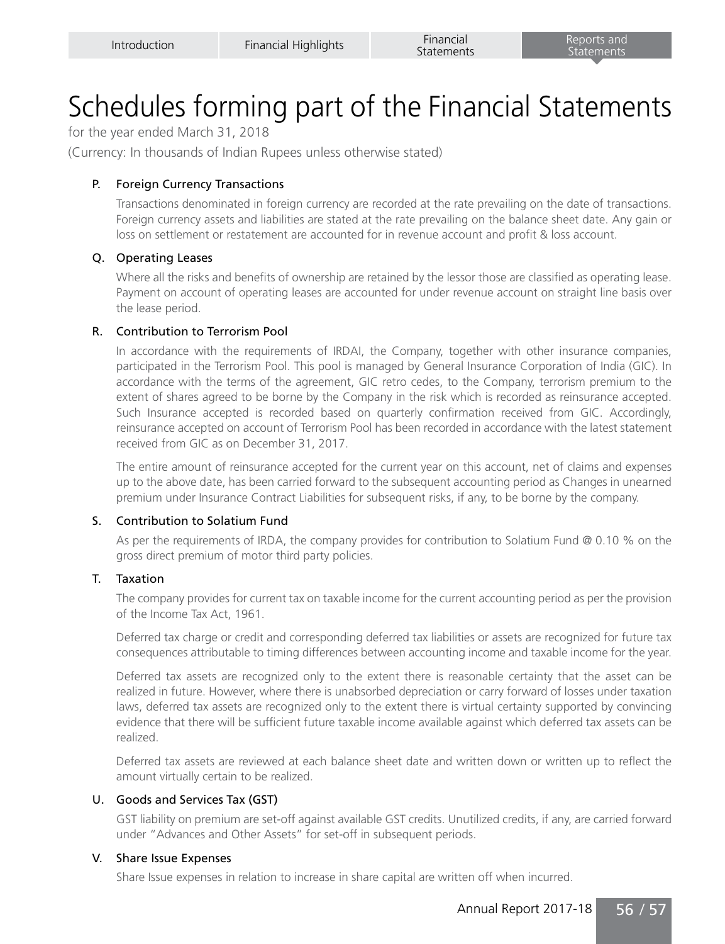for the year ended March 31, 2018

(Currency: In thousands of Indian Rupees unless otherwise stated)

#### P. Foreign Currency Transactions

 Transactions denominated in foreign currency are recorded at the rate prevailing on the date of transactions. Foreign currency assets and liabilities are stated at the rate prevailing on the balance sheet date. Any gain or loss on settlement or restatement are accounted for in revenue account and profit & loss account.

#### Q. Operating Leases

 Where all the risks and benefits of ownership are retained by the lessor those are classified as operating lease. Payment on account of operating leases are accounted for under revenue account on straight line basis over the lease period.

#### R. Contribution to Terrorism Pool

 In accordance with the requirements of IRDAI, the Company, together with other insurance companies, participated in the Terrorism Pool. This pool is managed by General Insurance Corporation of India (GIC). In accordance with the terms of the agreement, GIC retro cedes, to the Company, terrorism premium to the extent of shares agreed to be borne by the Company in the risk which is recorded as reinsurance accepted. Such Insurance accepted is recorded based on quarterly confirmation received from GIC. Accordingly, reinsurance accepted on account of Terrorism Pool has been recorded in accordance with the latest statement received from GIC as on December 31, 2017.

 The entire amount of reinsurance accepted for the current year on this account, net of claims and expenses up to the above date, has been carried forward to the subsequent accounting period as Changes in unearned premium under Insurance Contract Liabilities for subsequent risks, if any, to be borne by the company.

#### S. Contribution to Solatium Fund

 As per the requirements of IRDA, the company provides for contribution to Solatium Fund @ 0.10 % on the gross direct premium of motor third party policies.

#### T. Taxation

 The company provides for current tax on taxable income for the current accounting period as per the provision of the Income Tax Act, 1961.

 Deferred tax charge or credit and corresponding deferred tax liabilities or assets are recognized for future tax consequences attributable to timing differences between accounting income and taxable income for the year.

 Deferred tax assets are recognized only to the extent there is reasonable certainty that the asset can be realized in future. However, where there is unabsorbed depreciation or carry forward of losses under taxation laws, deferred tax assets are recognized only to the extent there is virtual certainty supported by convincing evidence that there will be sufficient future taxable income available against which deferred tax assets can be realized.

 Deferred tax assets are reviewed at each balance sheet date and written down or written up to reflect the amount virtually certain to be realized.

#### U. Goods and Services Tax (GST)

 GST liability on premium are set-off against available GST credits. Unutilized credits, if any, are carried forward under "Advances and Other Assets" for set-off in subsequent periods.

#### V. Share Issue Expenses

Share Issue expenses in relation to increase in share capital are written off when incurred.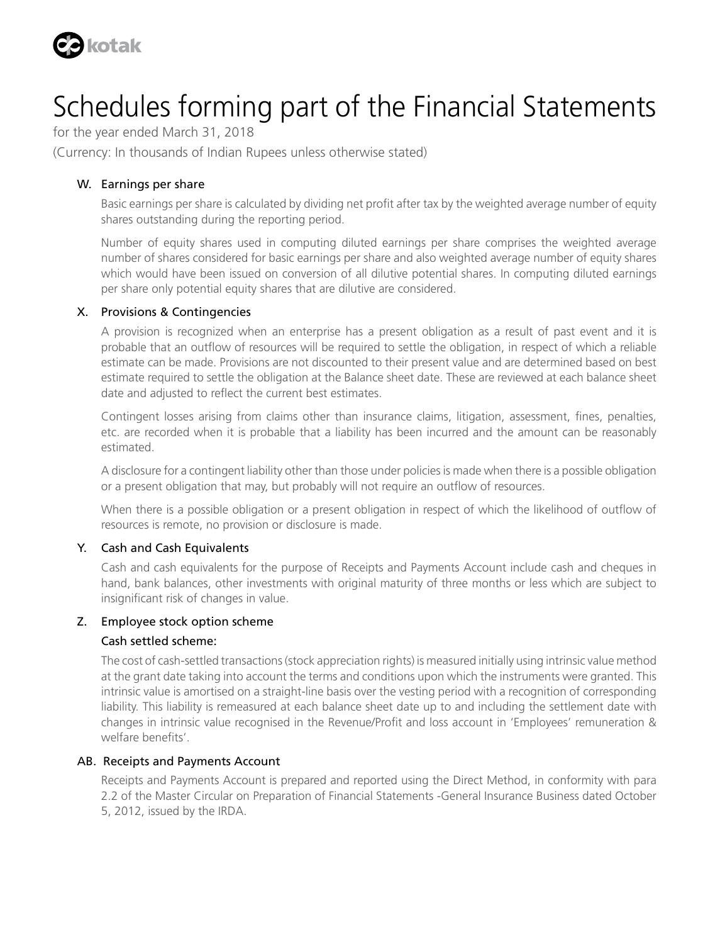

for the year ended March 31, 2018

(Currency: In thousands of Indian Rupees unless otherwise stated)

#### W. Earnings per share

 Basic earnings per share is calculated by dividing net profit after tax by the weighted average number of equity shares outstanding during the reporting period.

 Number of equity shares used in computing diluted earnings per share comprises the weighted average number of shares considered for basic earnings per share and also weighted average number of equity shares which would have been issued on conversion of all dilutive potential shares. In computing diluted earnings per share only potential equity shares that are dilutive are considered.

#### X. Provisions & Contingencies

 A provision is recognized when an enterprise has a present obligation as a result of past event and it is probable that an outflow of resources will be required to settle the obligation, in respect of which a reliable estimate can be made. Provisions are not discounted to their present value and are determined based on best estimate required to settle the obligation at the Balance sheet date. These are reviewed at each balance sheet date and adjusted to reflect the current best estimates.

 Contingent losses arising from claims other than insurance claims, litigation, assessment, fines, penalties, etc. are recorded when it is probable that a liability has been incurred and the amount can be reasonably estimated.

 A disclosure for a contingent liability other than those under policies is made when there is a possible obligation or a present obligation that may, but probably will not require an outflow of resources.

 When there is a possible obligation or a present obligation in respect of which the likelihood of outflow of resources is remote, no provision or disclosure is made.

#### Y. Cash and Cash Equivalents

 Cash and cash equivalents for the purpose of Receipts and Payments Account include cash and cheques in hand, bank balances, other investments with original maturity of three months or less which are subject to insignificant risk of changes in value.

#### Z. Employee stock option scheme

#### Cash settled scheme:

 The cost of cash-settled transactions (stock appreciation rights) is measured initially using intrinsic value method at the grant date taking into account the terms and conditions upon which the instruments were granted. This intrinsic value is amortised on a straight-line basis over the vesting period with a recognition of corresponding liability. This liability is remeasured at each balance sheet date up to and including the settlement date with changes in intrinsic value recognised in the Revenue/Profit and loss account in 'Employees' remuneration & welfare benefits'.

#### AB. Receipts and Payments Account

 Receipts and Payments Account is prepared and reported using the Direct Method, in conformity with para 2.2 of the Master Circular on Preparation of Financial Statements -General Insurance Business dated October 5, 2012, issued by the IRDA.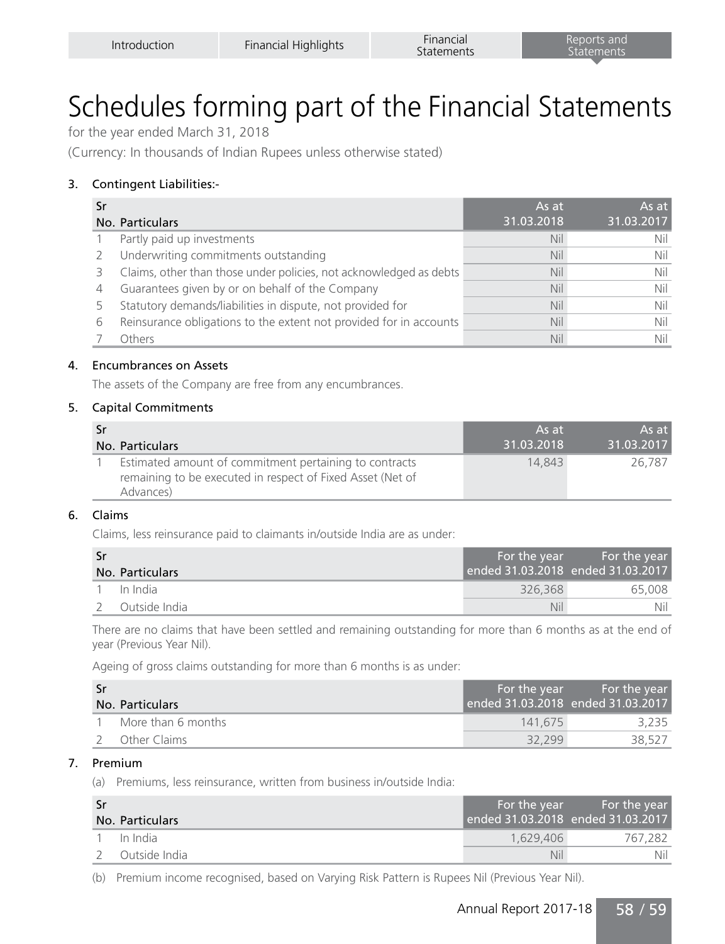for the year ended March 31, 2018

(Currency: In thousands of Indian Rupees unless otherwise stated)

#### 3. Contingent Liabilities:-

| Sr |                                                                    | As at      | As at      |
|----|--------------------------------------------------------------------|------------|------------|
|    | No. Particulars                                                    | 31.03.2018 | 31.03.2017 |
|    | Partly paid up investments                                         | Nil        | Nil        |
|    | Underwriting commitments outstanding                               | Nil        | Nil        |
|    | Claims, other than those under policies, not acknowledged as debts | Nil        | Nil        |
| 4  | Guarantees given by or on behalf of the Company                    | Nil        | Nil        |
|    | Statutory demands/liabilities in dispute, not provided for         | Nil        | Nil        |
| 6  | Reinsurance obligations to the extent not provided for in accounts | Nil        | Nil        |
|    | Others                                                             | Nil        | Nil        |

#### 4. Encumbrances on Assets

The assets of the Company are free from any encumbrances.

#### 5. Capital Commitments

| <b>Sr</b> |                                                                                                                                   | As at      | As at      |
|-----------|-----------------------------------------------------------------------------------------------------------------------------------|------------|------------|
|           | No. Particulars                                                                                                                   | 31.03.2018 | 31.03.2017 |
|           | Estimated amount of commitment pertaining to contracts<br>remaining to be executed in respect of Fixed Asset (Net of<br>Advances) | 14.843     | 26.787     |

#### 6. Claims

Claims, less reinsurance paid to claimants in/outside India are as under:

| -Sr | No. Particulars | For the year<br>ended 31.03.2018 ended 31.03.2017 | <b>Example 1</b> For the year |
|-----|-----------------|---------------------------------------------------|-------------------------------|
|     | In India        | 326.368                                           | 65.008                        |
|     | Outside India   | Nil                                               | Nil                           |

There are no claims that have been settled and remaining outstanding for more than 6 months as at the end of year (Previous Year Nil).

Ageing of gross claims outstanding for more than 6 months is as under:

| -Sr |                    | For the year                      | l For the year i |
|-----|--------------------|-----------------------------------|------------------|
|     | No. Particulars    | ended 31.03.2018 ended 31.03.2017 |                  |
|     | More than 6 months | 141.675                           | 3.235            |
|     | Other Claims       | 32.299                            | 38.527           |

#### 7. Premium

(a) Premiums, less reinsurance, written from business in/outside India:

| -Sr | No. Particulars | For the year<br>ended 31.03.2018 ended 31.03.2017 | <i>F</i> or the year |
|-----|-----------------|---------------------------------------------------|----------------------|
|     | In India        | 1.629.406                                         | 767.282              |
|     | Outside India   | Nil                                               | Nil                  |

(b) Premium income recognised, based on Varying Risk Pattern is Rupees Nil (Previous Year Nil).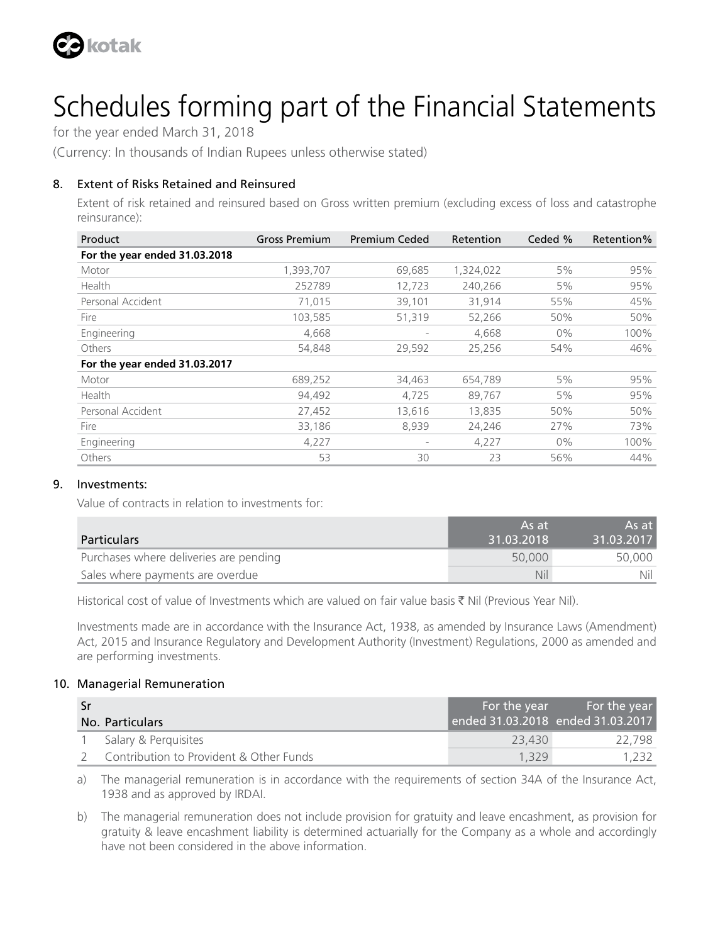

for the year ended March 31, 2018

(Currency: In thousands of Indian Rupees unless otherwise stated)

#### 8. Extent of Risks Retained and Reinsured

Extent of risk retained and reinsured based on Gross written premium (excluding excess of loss and catastrophe reinsurance):

| Product                       | <b>Gross Premium</b> | <b>Premium Ceded</b> | Retention | Ceded % | Retention% |
|-------------------------------|----------------------|----------------------|-----------|---------|------------|
| For the year ended 31.03.2018 |                      |                      |           |         |            |
| Motor                         | 1,393,707            | 69,685               | 1,324,022 | 5%      | 95%        |
| Health                        | 252789               | 12,723               | 240,266   | 5%      | 95%        |
| Personal Accident             | 71,015               | 39,101               | 31,914    | 55%     | 45%        |
| Fire                          | 103,585              | 51,319               | 52,266    | 50%     | 50%        |
| Engineering                   | 4,668                |                      | 4,668     | $0\%$   | 100%       |
| Others                        | 54,848               | 29,592               | 25,256    | 54%     | 46%        |
| For the year ended 31.03.2017 |                      |                      |           |         |            |
| Motor                         | 689,252              | 34,463               | 654,789   | 5%      | 95%        |
| Health                        | 94,492               | 4,725                | 89,767    | 5%      | 95%        |
| Personal Accident             | 27,452               | 13,616               | 13,835    | 50%     | 50%        |
| Fire                          | 33,186               | 8,939                | 24,246    | 27%     | 73%        |
| Engineering                   | 4,227                |                      | 4,227     | $0\%$   | 100%       |
| Others                        | 53                   | 30                   | 23        | 56%     | 44%        |

#### 9. Investments:

Value of contracts in relation to investments for:

|                                        | As at      | As at      |
|----------------------------------------|------------|------------|
| <b>Particulars</b>                     | 31.03.2018 | 31.03.2017 |
| Purchases where deliveries are pending | 50,000     | 50.000     |
| Sales where payments are overdue       | Nil        | Nil        |

Historical cost of value of Investments which are valued on fair value basis  $\bar{\tau}$  Nil (Previous Year Nil).

Investments made are in accordance with the Insurance Act, 1938, as amended by Insurance Laws (Amendment) Act, 2015 and Insurance Regulatory and Development Authority (Investment) Regulations, 2000 as amended and are performing investments.

#### 10. Managerial Remuneration

| -Sr |                                         | For the year                      | For the year |
|-----|-----------------------------------------|-----------------------------------|--------------|
|     | <b>No. Particulars</b>                  | ended 31.03.2018 ended 31.03.2017 |              |
|     | Salary & Perguisites                    | 23,430                            | 22.798       |
|     | Contribution to Provident & Other Funds | 1.329                             | 1.232        |

a) The managerial remuneration is in accordance with the requirements of section 34A of the Insurance Act, 1938 and as approved by IRDAI.

b) The managerial remuneration does not include provision for gratuity and leave encashment, as provision for gratuity & leave encashment liability is determined actuarially for the Company as a whole and accordingly have not been considered in the above information.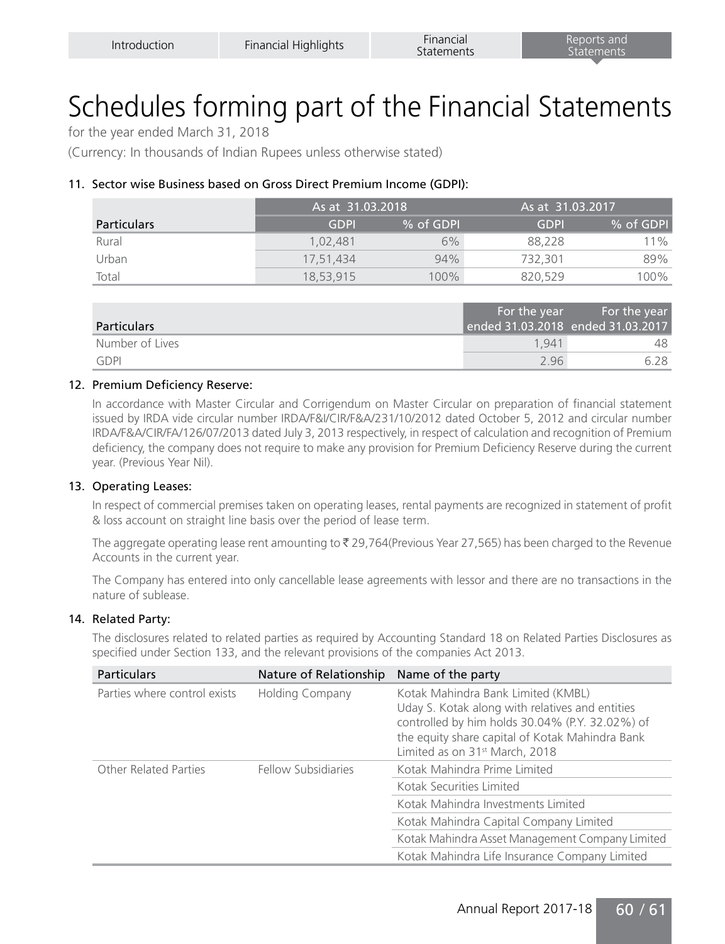for the year ended March 31, 2018

(Currency: In thousands of Indian Rupees unless otherwise stated)

#### 11. Sector wise Business based on Gross Direct Premium Income (GDPI):

|                    | As at 31.03.2018 |           | ' As at 31.03.2017. |           |
|--------------------|------------------|-----------|---------------------|-----------|
| <b>Particulars</b> | <b>GDPI</b>      | % of GDPI | <b>GDPI</b>         | % of GDPI |
| Rural              | 1.02.481         | 6%        | 88.228              | $11\%$    |
| Urban              | 17.51.434        | 94%       | 732.301             | 89%       |
| Total              | 18.53.915        | 100%      | 820.529             | 100%      |

| <b>Particulars</b> | For the year | For the year<br>ended 31.03.2018 ended 31.03.2017 |
|--------------------|--------------|---------------------------------------------------|
| Number of Lives    | 1941         | 48                                                |
| GDPI               | 296          | 6 28                                              |

#### 12. Premium Deficiency Reserve:

In accordance with Master Circular and Corrigendum on Master Circular on preparation of financial statement issued by IRDA vide circular number IRDA/F&I/CIR/F&A/231/10/2012 dated October 5, 2012 and circular number IRDA/F&A/CIR/FA/126/07/2013 dated July 3, 2013 respectively, in respect of calculation and recognition of Premium deficiency, the company does not require to make any provision for Premium Deficiency Reserve during the current year. (Previous Year Nil).

#### 13. Operating Leases:

In respect of commercial premises taken on operating leases, rental payments are recognized in statement of profit & loss account on straight line basis over the period of lease term.

The aggregate operating lease rent amounting to  $\bar{\tau}$  29,764(Previous Year 27,565) has been charged to the Revenue Accounts in the current year.

The Company has entered into only cancellable lease agreements with lessor and there are no transactions in the nature of sublease.

#### 14. Related Party:

The disclosures related to related parties as required by Accounting Standard 18 on Related Parties Disclosures as specified under Section 133, and the relevant provisions of the companies Act 2013.

| <b>Particulars</b>           | Nature of Relationship | Name of the party                                                                                                                                                                                                                         |
|------------------------------|------------------------|-------------------------------------------------------------------------------------------------------------------------------------------------------------------------------------------------------------------------------------------|
| Parties where control exists | <b>Holding Company</b> | Kotak Mahindra Bank Limited (KMBL)<br>Uday S. Kotak along with relatives and entities<br>controlled by him holds 30.04% (P.Y. 32.02%) of<br>the equity share capital of Kotak Mahindra Bank<br>Limited as on 31 <sup>st</sup> March, 2018 |
| Other Related Parties        | Fellow Subsidiaries    | Kotak Mahindra Prime Limited                                                                                                                                                                                                              |
|                              |                        | Kotak Securities Limited                                                                                                                                                                                                                  |
|                              |                        | Kotak Mahindra Investments Limited                                                                                                                                                                                                        |
|                              |                        | Kotak Mahindra Capital Company Limited                                                                                                                                                                                                    |
|                              |                        | Kotak Mahindra Asset Management Company Limited                                                                                                                                                                                           |
|                              |                        | Kotak Mahindra Life Insurance Company Limited                                                                                                                                                                                             |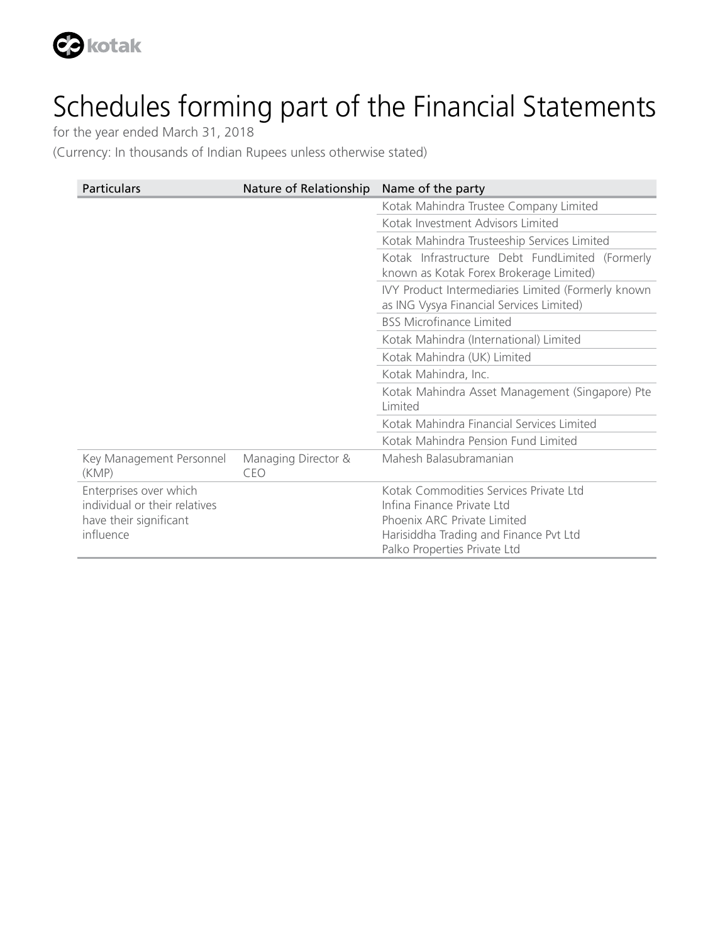

for the year ended March 31, 2018

(Currency: In thousands of Indian Rupees unless otherwise stated)

| <b>Particulars</b>                | Nature of Relationship     | Name of the party                                                                              |
|-----------------------------------|----------------------------|------------------------------------------------------------------------------------------------|
|                                   |                            | Kotak Mahindra Trustee Company Limited                                                         |
|                                   |                            | Kotak Investment Advisors Limited                                                              |
|                                   |                            | Kotak Mahindra Trusteeship Services Limited                                                    |
|                                   |                            | Kotak Infrastructure Debt FundLimited (Formerly<br>known as Kotak Forex Brokerage Limited)     |
|                                   |                            | IVY Product Intermediaries Limited (Formerly known<br>as ING Vysya Financial Services Limited) |
|                                   |                            | <b>BSS Microfinance Limited</b>                                                                |
|                                   |                            | Kotak Mahindra (International) Limited                                                         |
|                                   |                            | Kotak Mahindra (UK) Limited                                                                    |
|                                   |                            | Kotak Mahindra, Inc.                                                                           |
|                                   |                            | Kotak Mahindra Asset Management (Singapore) Pte<br>Limited                                     |
|                                   |                            | Kotak Mahindra Financial Services Limited                                                      |
|                                   |                            | Kotak Mahindra Pension Fund Limited                                                            |
| Key Management Personnel<br>(KMP) | Managing Director &<br>CEO | Mahesh Balasubramanian                                                                         |
| Enterprises over which            |                            | Kotak Commodities Services Private Ltd                                                         |
| individual or their relatives     |                            | Infina Finance Private Ltd                                                                     |
| have their significant            |                            | Phoenix ARC Private Limited                                                                    |
| influence                         |                            | Harisiddha Trading and Finance Pvt Ltd                                                         |
|                                   |                            | Palko Properties Private Ltd                                                                   |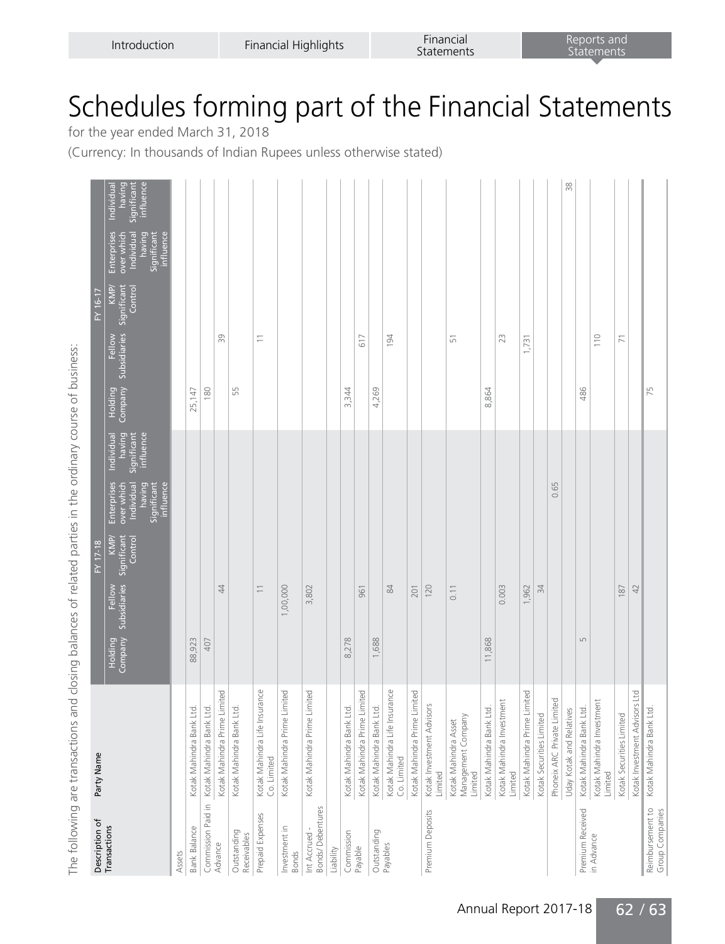| Description of                         | Party Name                                            | FY 17-18                                                                       |                                                                                                                                                    |                                              | $\overline{FY}$ 16-17                                                                                              |                                              |
|----------------------------------------|-------------------------------------------------------|--------------------------------------------------------------------------------|----------------------------------------------------------------------------------------------------------------------------------------------------|----------------------------------------------|--------------------------------------------------------------------------------------------------------------------|----------------------------------------------|
| Transactions                           |                                                       | KMP/<br>Significant<br>Control<br>Subsidiaries<br>Fellow<br>Holding<br>Company | having<br>intluence<br>Individual<br><b>Significant</b><br>Enterprises<br>having<br>hdividua<br>influence<br>Significan <sup>-</sup><br>over which | Subsidiaries<br>Fellow<br>Holding<br>Company | Enterprises<br>banng<br><b>Individua</b><br>influence<br>Significan<br>over whic<br>KMP/<br>Control<br>Significant | ntluence<br>ignifican<br>Individua<br>having |
| Assets                                 |                                                       |                                                                                |                                                                                                                                                    |                                              |                                                                                                                    |                                              |
| <b>Bank Balance</b>                    | Kotak Mahindra Bank Ltd                               | 923<br>88,                                                                     |                                                                                                                                                    | 25,147                                       |                                                                                                                    |                                              |
|                                        | Commission Paid in Kotak Mahindra Bank Ltd.           | 407                                                                            |                                                                                                                                                    | 180                                          |                                                                                                                    |                                              |
| Advance                                | Kotak Mahindra Prime Limited                          | $\overline{4}$                                                                 |                                                                                                                                                    | တ္က                                          |                                                                                                                    |                                              |
| Outstanding<br>Receivables             | Kotak Mahindra Bank Ltd.                              |                                                                                |                                                                                                                                                    | 55                                           |                                                                                                                    |                                              |
| Prepaid Expenses                       | Kotak Mahindra Life Insurance<br>Co. Limited          | $\equiv$                                                                       |                                                                                                                                                    | Ξ                                            |                                                                                                                    |                                              |
| Investment in<br><b>Bonds</b>          | Kotak Mahindra Prime Limited                          | ,00,000                                                                        |                                                                                                                                                    |                                              |                                                                                                                    |                                              |
| <b>Bonds/Debentures</b><br>Int Accrued | Kotak Mahindra Prime Limited                          | 3,802                                                                          |                                                                                                                                                    |                                              |                                                                                                                    |                                              |
| Liability                              |                                                       |                                                                                |                                                                                                                                                    |                                              |                                                                                                                    |                                              |
| Commission                             | Kotak Mahindra Bank Ltd.                              | 278<br>$\infty$                                                                |                                                                                                                                                    | 344<br>m                                     |                                                                                                                    |                                              |
| Payable                                | Kotak Mahindra Prime Limited                          | 961                                                                            |                                                                                                                                                    | فَ                                           |                                                                                                                    |                                              |
| Outstanding                            | Kotak Mahindra Bank Ltd.                              | 688<br>$\overline{\phantom{0}}$                                                |                                                                                                                                                    | 4,269                                        |                                                                                                                    |                                              |
| Payables                               | Kotak Mahindra Life Insurance<br>Co. Limited          | $\mathfrak{A}$                                                                 |                                                                                                                                                    | 34                                           |                                                                                                                    |                                              |
|                                        | Kotak Mahindra Prime Limited                          | 201                                                                            |                                                                                                                                                    |                                              |                                                                                                                    |                                              |
| Premium Deposits                       | Kotak Investment Advisors<br>Limited                  | 120                                                                            |                                                                                                                                                    |                                              |                                                                                                                    |                                              |
|                                        | Management Company<br>Kotak Mahindra Asset<br>Limited | 0.11                                                                           |                                                                                                                                                    | 51                                           |                                                                                                                    |                                              |
|                                        | Kotak Mahindra Bank Ltd.                              | 868<br>$\overline{1}$                                                          |                                                                                                                                                    | 8,864                                        |                                                                                                                    |                                              |
|                                        | Kotak Mahindra Investment<br>Limited                  | 0.003                                                                          |                                                                                                                                                    | 23                                           |                                                                                                                    |                                              |
|                                        | Kotak Mahindra Prime Limited                          | .962                                                                           |                                                                                                                                                    | 1,731                                        |                                                                                                                    |                                              |
|                                        | Kotak Securities Limited                              | 34                                                                             |                                                                                                                                                    |                                              |                                                                                                                    |                                              |
|                                        | Phoneix ARC Private Limited                           |                                                                                | 65<br>Õ                                                                                                                                            |                                              |                                                                                                                    |                                              |
|                                        | Uday Kotak and Relatives                              |                                                                                |                                                                                                                                                    |                                              |                                                                                                                    | 38                                           |
| Premium Received                       | Kotak Mahindra Bank Ltd.                              | LN                                                                             |                                                                                                                                                    | 486                                          |                                                                                                                    |                                              |
| in Advance                             | Kotak Mahindra Investment<br>Limited                  |                                                                                |                                                                                                                                                    | $\frac{1}{10}$                               |                                                                                                                    |                                              |
|                                        | Kotak Securities Limited                              | 187                                                                            |                                                                                                                                                    | $\overline{7}$                               |                                                                                                                    |                                              |
|                                        | Kotak Investment Advisors Ltd                         | 42                                                                             |                                                                                                                                                    |                                              |                                                                                                                    |                                              |
| Reimbursement to                       | Kotak Mahindra Bank Ltd.                              |                                                                                |                                                                                                                                                    | 75                                           |                                                                                                                    |                                              |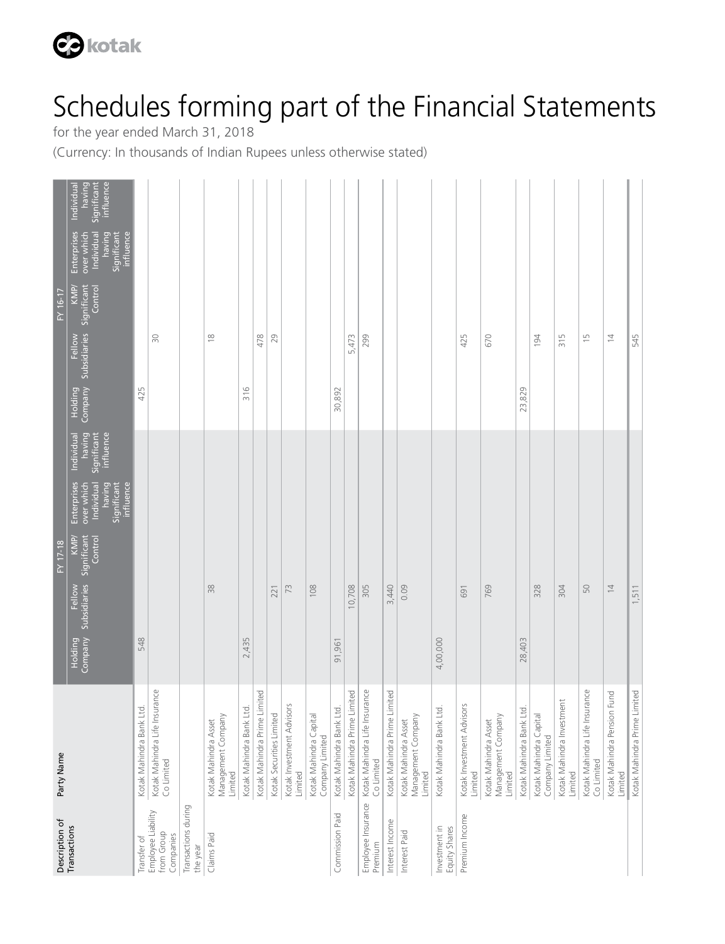

for the year ended March 31, 2018

(Currency: In thousands of Indian Rupees unless otherwise stated)

| Description of                                | Party Name                                            |          |                                        | $FY$ 17-18                     |                                                                               |                                                  |        |                                        | FY 16-17                       |                                                                               |                                                  |
|-----------------------------------------------|-------------------------------------------------------|----------|----------------------------------------|--------------------------------|-------------------------------------------------------------------------------|--------------------------------------------------|--------|----------------------------------------|--------------------------------|-------------------------------------------------------------------------------|--------------------------------------------------|
| Transactions                                  |                                                       |          | Holding Fellow<br>Company Subsidiaries | KMP/<br>Significant<br>Control | Enterprises<br>influence<br>Individual<br>having<br>over which<br>Significant | having<br>Significant<br>influence<br>Individual |        | Holding Fellow<br>Company Subsidiaries | KMP/<br>Significant<br>Control | Individual<br>Enterprises<br>having<br>Significant<br>influence<br>over which | Significant<br>influence<br>having<br>Individual |
| Transfer of                                   | Kotak Mahindra Bank Ltd.                              | 548      |                                        |                                |                                                                               |                                                  | 425    |                                        |                                |                                                                               |                                                  |
| Employee Liability<br>from Group<br>Companies | Kotak Mahindra Life Insurance<br>Co Limited           |          |                                        |                                |                                                                               |                                                  |        | $\approx$                              |                                |                                                                               |                                                  |
| Transactions during<br>the year               |                                                       |          |                                        |                                |                                                                               |                                                  |        |                                        |                                |                                                                               |                                                  |
| Claims Paid                                   | Management Company<br>Kotak Mahindra Asset<br>Limited |          | 38                                     |                                |                                                                               |                                                  |        | $\approx$                              |                                |                                                                               |                                                  |
|                                               | Kotak Mahindra Bank Ltd.                              | 2,435    |                                        |                                |                                                                               |                                                  | 316    |                                        |                                |                                                                               |                                                  |
|                                               | Kotak Mahindra Prime Limited                          |          |                                        |                                |                                                                               |                                                  |        | 478                                    |                                |                                                                               |                                                  |
|                                               | Kotak Securities Limited                              |          | 221                                    |                                |                                                                               |                                                  |        | 29                                     |                                |                                                                               |                                                  |
|                                               | Kotak Investment Advisors<br>Limited                  |          | 73                                     |                                |                                                                               |                                                  |        |                                        |                                |                                                                               |                                                  |
|                                               | Kotak Mahindra Capital<br>Company Limited             |          | 108                                    |                                |                                                                               |                                                  |        |                                        |                                |                                                                               |                                                  |
| Commission Paid                               | Kotak Mahindra Bank Ltd.                              | 91,961   |                                        |                                |                                                                               |                                                  | 30,892 |                                        |                                |                                                                               |                                                  |
|                                               | Kotak Mahindra Prime Limited                          |          | 10,708                                 |                                |                                                                               |                                                  |        | 5,473                                  |                                |                                                                               |                                                  |
| Employee Insurance<br>Premium                 | Kotak Mahindra Life Insurance<br>Co Limited           |          | 305                                    |                                |                                                                               |                                                  |        | 299                                    |                                |                                                                               |                                                  |
| Interest Income                               | Kotak Mahindra Prime Limited                          |          | 3,440                                  |                                |                                                                               |                                                  |        |                                        |                                |                                                                               |                                                  |
| Interest Paid                                 | Management Company<br>Kotak Mahindra Asset<br>Limited |          | 0.09                                   |                                |                                                                               |                                                  |        |                                        |                                |                                                                               |                                                  |
| Investment in<br>Equity Shares                | Kotak Mahindra Bank Ltd.                              | 4,00,000 |                                        |                                |                                                                               |                                                  |        |                                        |                                |                                                                               |                                                  |
| Premium Income                                | Kotak Investment Advisors<br>Limited                  |          | 691                                    |                                |                                                                               |                                                  |        | 425                                    |                                |                                                                               |                                                  |
|                                               | Management Company<br>Kotak Mahindra Asset<br>Limited |          | 769                                    |                                |                                                                               |                                                  |        | 670                                    |                                |                                                                               |                                                  |
|                                               | Kotak Mahindra Bank Ltd.                              | 28,403   |                                        |                                |                                                                               |                                                  | 23,829 |                                        |                                |                                                                               |                                                  |
|                                               | Kotak Mahindra Capital<br>Company Limited             |          | 328                                    |                                |                                                                               |                                                  |        | 194                                    |                                |                                                                               |                                                  |
|                                               | Kotak Mahindra Investment<br>Limited                  |          | 304                                    |                                |                                                                               |                                                  |        | 315                                    |                                |                                                                               |                                                  |
|                                               | Kotak Mahindra Life Insurance<br>Co Limited           |          | 50                                     |                                |                                                                               |                                                  |        | $\frac{5}{1}$                          |                                |                                                                               |                                                  |
|                                               | Kotak Mahindra Pension Fund<br>Limited                |          | $\overline{4}$                         |                                |                                                                               |                                                  |        | $\overline{4}$                         |                                |                                                                               |                                                  |
|                                               | Kotak Mahindra Prime Limited                          |          | 1,511                                  |                                |                                                                               |                                                  |        | 545                                    |                                |                                                                               |                                                  |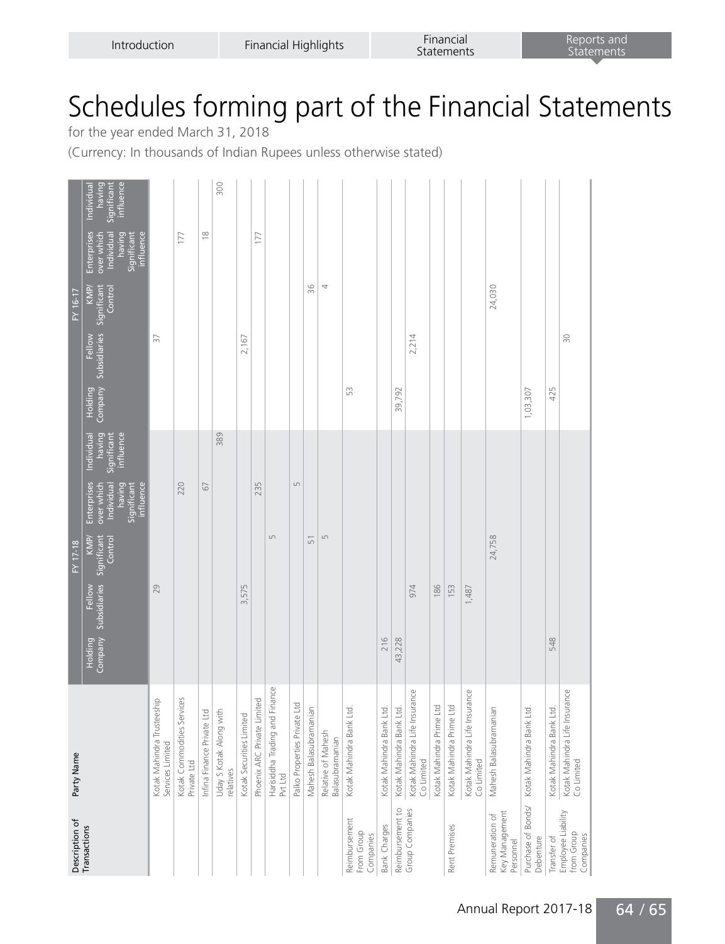for the year ended March 31, 2018

(Currency: In thousands of Indian Rupees unless otherwise stated)

| Description of                                 | Party Name                                     |                                                       | FY 17-18        |                                                                               |                                                  |                |                                            | FY 16-17        |                                                                                      |                                                  |
|------------------------------------------------|------------------------------------------------|-------------------------------------------------------|-----------------|-------------------------------------------------------------------------------|--------------------------------------------------|----------------|--------------------------------------------|-----------------|--------------------------------------------------------------------------------------|--------------------------------------------------|
| Transactions                                   |                                                | Company Subsidiaries Significant<br>Fellow<br>Holding | KMP/<br>Control | influence<br>Enterprises<br>over which<br>Individual<br>having<br>Significant | having<br>Significant<br>influence<br>Individual | <b>Holding</b> | Company Subsidiaries Significant<br>Fellow | KMP/<br>Control | Enterprises<br>Significant<br>influence<br>having<br>over which<br><b>Individual</b> | Significant<br>influence<br>having<br>Individual |
|                                                | Kotak Mahindra Trusteeship<br>Services Limited | 29                                                    |                 |                                                                               |                                                  |                | 57                                         |                 |                                                                                      |                                                  |
|                                                | Kotak Commodities Services<br>Private Ltd      |                                                       |                 | 220                                                                           |                                                  |                |                                            |                 | 177                                                                                  |                                                  |
|                                                | Infina Finance Private Ltd                     |                                                       |                 | 67                                                                            |                                                  |                |                                            |                 | $\approx$                                                                            |                                                  |
|                                                | Uday S Kotak Along with<br>relatives           |                                                       |                 |                                                                               | 389                                              |                |                                            |                 |                                                                                      | 300                                              |
|                                                | Kotak Securities Limited                       | 3,575                                                 |                 |                                                                               |                                                  |                | 2,167                                      |                 |                                                                                      |                                                  |
|                                                | Phoenix ARC Private Limited                    |                                                       |                 | 235                                                                           |                                                  |                |                                            |                 | 177                                                                                  |                                                  |
|                                                | Harisiddha Trading and Finance<br>Pvt Ltd      |                                                       | LN              |                                                                               |                                                  |                |                                            |                 |                                                                                      |                                                  |
|                                                | Palko Properties Private Ltd                   |                                                       |                 | $\mathsf{L}\cap$                                                              |                                                  |                |                                            |                 |                                                                                      |                                                  |
|                                                | Mahesh Balasubramanian                         |                                                       | 51              |                                                                               |                                                  |                |                                            | 96              |                                                                                      |                                                  |
|                                                | Relative of Mahesh<br>Balasubramanian          |                                                       | LN              |                                                                               |                                                  |                |                                            | 4               |                                                                                      |                                                  |
| Reimbursement<br>From Group<br>Companies       | Kotak Mahindra Bank Ltd                        |                                                       |                 |                                                                               |                                                  | S              |                                            |                 |                                                                                      |                                                  |
| Bank Charges                                   | Kotak Mahindra Bank Ltd.                       | 216                                                   |                 |                                                                               |                                                  |                |                                            |                 |                                                                                      |                                                  |
| Reimbursement to                               | Kotak Mahindra Bank Ltd.                       | 43,228                                                |                 |                                                                               |                                                  | 39,792         |                                            |                 |                                                                                      |                                                  |
| Group Companies                                | Kotak Mahindra Life Insurance<br>Co Limited    | 974                                                   |                 |                                                                               |                                                  |                | 2,214                                      |                 |                                                                                      |                                                  |
|                                                | Kotak Mahindra Prime Ltd                       | 186                                                   |                 |                                                                               |                                                  |                |                                            |                 |                                                                                      |                                                  |
| Rent Premises                                  | Kotak Mahindra Prime Ltd                       | 153                                                   |                 |                                                                               |                                                  |                |                                            |                 |                                                                                      |                                                  |
|                                                | Kotak Mahindra Life Insurance<br>Co Limited    | 1,487                                                 |                 |                                                                               |                                                  |                |                                            |                 |                                                                                      |                                                  |
| Key Management<br>Remuneration of<br>Personnel | Mahesh Balasubramanian                         |                                                       | 24,758          |                                                                               |                                                  |                |                                            | 24,030          |                                                                                      |                                                  |
| Purchase of Bonds/<br>Debenture                | Kotak Mahindra Bank Ltd.                       |                                                       |                 |                                                                               |                                                  | 1,03,307       |                                            |                 |                                                                                      |                                                  |
| Transfer of                                    | Kotak Mahindra Bank Ltd.                       | 548                                                   |                 |                                                                               |                                                  | 425            |                                            |                 |                                                                                      |                                                  |
| Employee Liability<br>from Group<br>Companies  | Kotak Mahindra Life Insurance<br>Co Limited    |                                                       |                 |                                                                               |                                                  |                | $\approx$                                  |                 |                                                                                      |                                                  |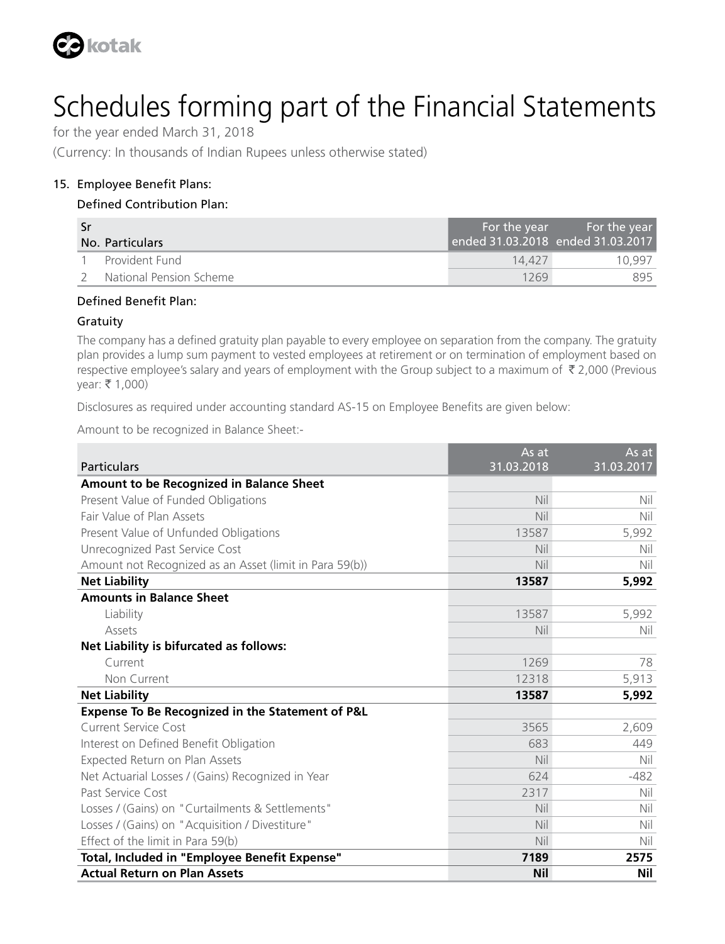

for the year ended March 31, 2018

(Currency: In thousands of Indian Rupees unless otherwise stated)

#### 15. Employee Benefit Plans:

#### Defined Contribution Plan:

| -Sr |                         | For the year                      | l For the year , |
|-----|-------------------------|-----------------------------------|------------------|
|     | No. Particulars         | ended 31.03.2018 ended 31.03.2017 |                  |
|     | Provident Fund          | 14.427                            | 10 997           |
|     | National Pension Scheme | 1269                              | 895              |

#### Defined Benefit Plan:

#### Gratuity

The company has a defined gratuity plan payable to every employee on separation from the company. The gratuity plan provides a lump sum payment to vested employees at retirement or on termination of employment based on respective employee's salary and years of employment with the Group subject to a maximum of  $\bar{\tau}$  2,000 (Previous  $year: ₹ 1,000)$ 

Disclosures as required under accounting standard AS-15 on Employee Benefits are given below:

Amount to be recognized in Balance Sheet:-

|                                                         | As at      | As at      |
|---------------------------------------------------------|------------|------------|
| <b>Particulars</b>                                      | 31.03.2018 | 31.03.2017 |
| Amount to be Recognized in Balance Sheet                |            |            |
| Present Value of Funded Obligations                     | Nil        | Nil        |
| Fair Value of Plan Assets                               | Nil        | Nil        |
| Present Value of Unfunded Obligations                   | 13587      | 5,992      |
| Unrecognized Past Service Cost                          | Nil        | Nil        |
| Amount not Recognized as an Asset (limit in Para 59(b)) | Nil        | Nil        |
| <b>Net Liability</b>                                    | 13587      | 5,992      |
| <b>Amounts in Balance Sheet</b>                         |            |            |
| Liability                                               | 13587      | 5,992      |
| Assets                                                  | Nil        | Nil        |
| Net Liability is bifurcated as follows:                 |            |            |
| Current                                                 | 1269       | 78         |
| Non Current                                             | 12318      | 5,913      |
| <b>Net Liability</b>                                    | 13587      | 5,992      |
| Expense To Be Recognized in the Statement of P&L        |            |            |
| Current Service Cost                                    | 3565       | 2,609      |
| Interest on Defined Benefit Obligation                  | 683        | 449        |
| Expected Return on Plan Assets                          | Nil        | Nil        |
| Net Actuarial Losses / (Gains) Recognized in Year       | 624        | $-482$     |
| Past Service Cost                                       | 2317       | Nil        |
| Losses / (Gains) on "Curtailments & Settlements"        | Nil        | Nil        |
| Losses / (Gains) on "Acquisition / Divestiture"         | Nil        | Nil        |
| Effect of the limit in Para 59(b)                       | Nil        | Nil        |
| Total, Included in "Employee Benefit Expense"           | 7189       | 2575       |
| <b>Actual Return on Plan Assets</b>                     | <b>Nil</b> | Nil        |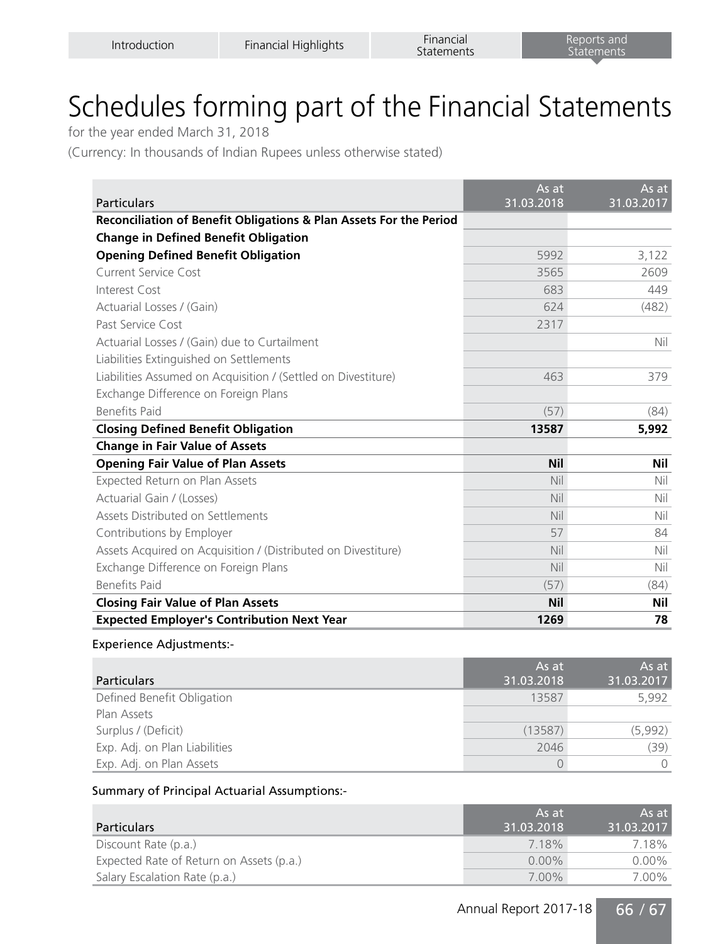for the year ended March 31, 2018

(Currency: In thousands of Indian Rupees unless otherwise stated)

| <b>Particulars</b>                                                 | As at<br>31.03.2018 | As at<br>31.03.2017 |
|--------------------------------------------------------------------|---------------------|---------------------|
| Reconciliation of Benefit Obligations & Plan Assets For the Period |                     |                     |
| <b>Change in Defined Benefit Obligation</b>                        |                     |                     |
| <b>Opening Defined Benefit Obligation</b>                          | 5992                | 3,122               |
| Current Service Cost                                               | 3565                | 2609                |
| Interest Cost                                                      | 683                 | 449                 |
| Actuarial Losses / (Gain)                                          | 624                 | (482)               |
| Past Service Cost                                                  | 2317                |                     |
| Actuarial Losses / (Gain) due to Curtailment                       |                     | Nil                 |
| Liabilities Extinguished on Settlements                            |                     |                     |
| Liabilities Assumed on Acquisition / (Settled on Divestiture)      | 463                 | 379                 |
| Exchange Difference on Foreign Plans                               |                     |                     |
| <b>Benefits Paid</b>                                               | (57)                | (84)                |
| <b>Closing Defined Benefit Obligation</b>                          | 13587               | 5,992               |
| <b>Change in Fair Value of Assets</b>                              |                     |                     |
| <b>Opening Fair Value of Plan Assets</b>                           | <b>Nil</b>          | Nil                 |
| Expected Return on Plan Assets                                     | Nil                 | Nil                 |
| Actuarial Gain / (Losses)                                          | Nil                 | Nil                 |
| Assets Distributed on Settlements                                  | Nil                 | Nil                 |
| Contributions by Employer                                          | 57                  | 84                  |
| Assets Acquired on Acquisition / (Distributed on Divestiture)      | Nil                 | Nil                 |
| Exchange Difference on Foreign Plans                               | Nil                 | Nil                 |
| <b>Benefits Paid</b>                                               | (57)                | (84)                |
| <b>Closing Fair Value of Plan Assets</b>                           | <b>Nil</b>          | Nil                 |
| <b>Expected Employer's Contribution Next Year</b>                  | 1269                | 78                  |

#### Experience Adjustments:-

| <b>Particulars</b>            | As at<br>31.03.2018 | As at<br>31.03.2017 |
|-------------------------------|---------------------|---------------------|
| Defined Benefit Obligation    | 13587               | 5,992               |
| Plan Assets                   |                     |                     |
| Surplus / (Deficit)           | (13587)             | (5,992)             |
| Exp. Adj. on Plan Liabilities | 2046                | (39)                |
| Exp. Adj. on Plan Assets      |                     |                     |

#### Summary of Principal Actuarial Assumptions:-

| <b>Particulars</b>                       | ' As at i<br>31.03.2018 | As at<br>31.03.2017 |
|------------------------------------------|-------------------------|---------------------|
| Discount Rate (p.a.)                     | 7.18%                   | 7.18%               |
| Expected Rate of Return on Assets (p.a.) | $0.00\%$                | $0.00\%$            |
| Salary Escalation Rate (p.a.)            | $7.00\%$                | 7.00%               |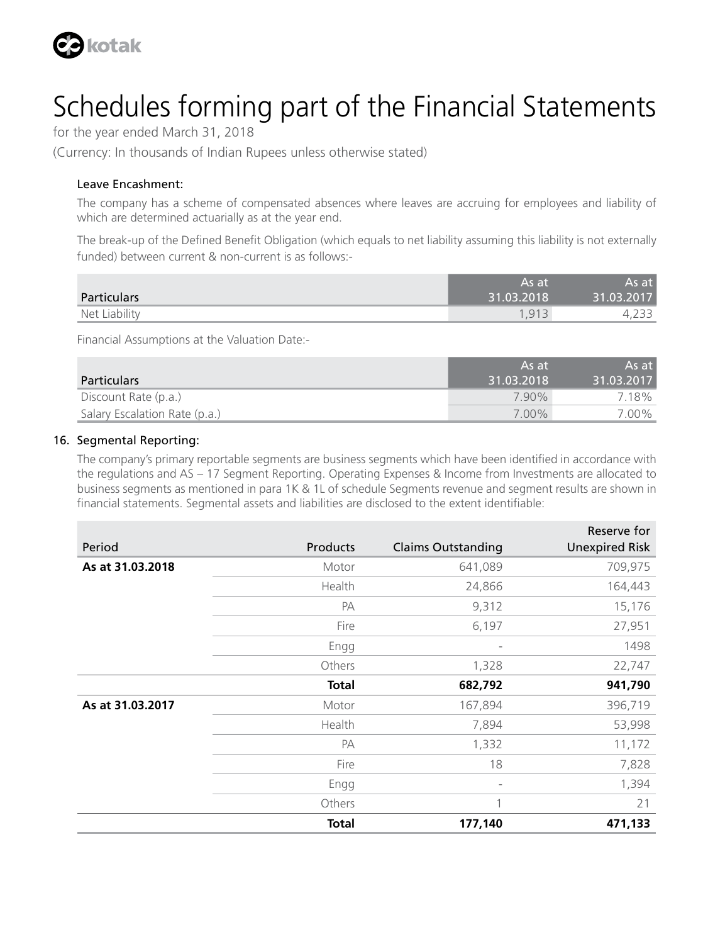

for the year ended March 31, 2018

(Currency: In thousands of Indian Rupees unless otherwise stated)

#### Leave Encashment:

The company has a scheme of compensated absences where leaves are accruing for employees and liability of which are determined actuarially as at the year end.

The break-up of the Defined Benefit Obligation (which equals to net liability assuming this liability is not externally funded) between current & non-current is as follows:-

|               | As at      | As at      |
|---------------|------------|------------|
| Particulars   | 31.03.2018 | 31.03.2017 |
| Net Liability | 1.913      | .          |

Financial Assumptions at the Valuation Date:-

| <b>Particulars</b>            | As at<br>31.03.2018 | As at<br>31.03.2017 |
|-------------------------------|---------------------|---------------------|
| Discount Rate (p.a.)          | 790%                | 7.18%               |
| Salary Escalation Rate (p.a.) | $7.00\%$            | 7.00%               |

#### 16. Segmental Reporting:

The company's primary reportable segments are business segments which have been identified in accordance with the regulations and AS – 17 Segment Reporting. Operating Expenses & Income from Investments are allocated to business segments as mentioned in para 1K & 1L of schedule Segments revenue and segment results are shown in financial statements. Segmental assets and liabilities are disclosed to the extent identifiable:

|                  |              |                           | Reserve for           |
|------------------|--------------|---------------------------|-----------------------|
| Period           | Products     | <b>Claims Outstanding</b> | <b>Unexpired Risk</b> |
| As at 31.03.2018 | Motor        | 641,089                   | 709,975               |
|                  | Health       | 24,866                    | 164,443               |
|                  | PA           | 9,312                     | 15,176                |
|                  | Fire         | 6,197                     | 27,951                |
|                  | Engg         |                           | 1498                  |
|                  | Others       | 1,328                     | 22,747                |
|                  | <b>Total</b> | 682,792                   | 941,790               |
| As at 31.03.2017 | Motor        | 167,894                   | 396,719               |
|                  | Health       | 7,894                     | 53,998                |
|                  | PA           | 1,332                     | 11,172                |
|                  | Fire         | 18                        | 7,828                 |
|                  | Engg         | $\overline{\phantom{a}}$  | 1,394                 |
|                  | Others       | 1                         | 21                    |
|                  | Total        | 177,140                   | 471,133               |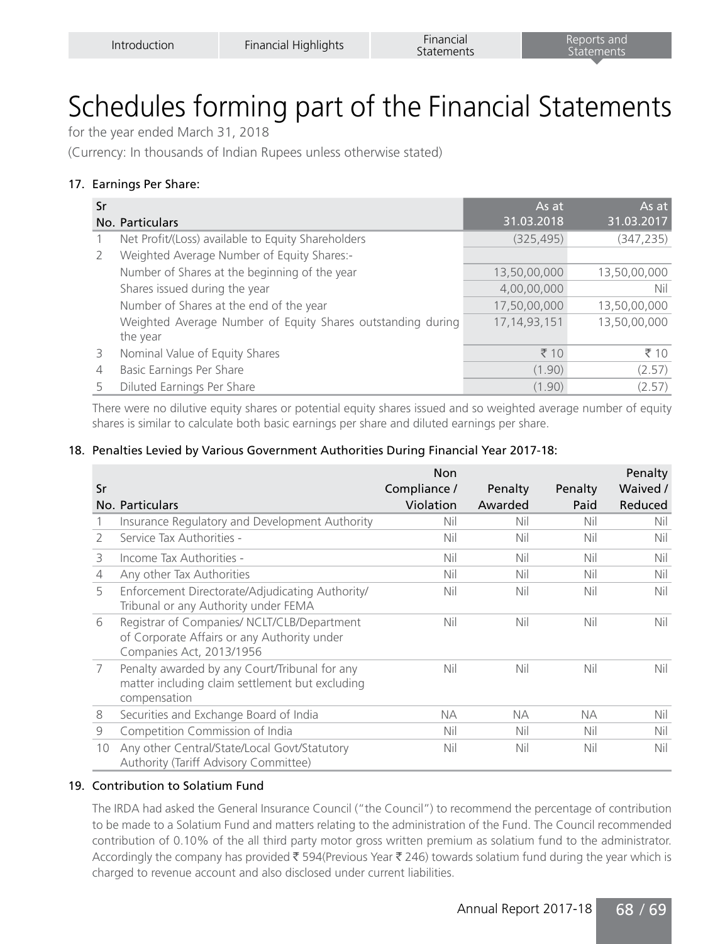for the year ended March 31, 2018

(Currency: In thousands of Indian Rupees unless otherwise stated)

#### 17. Earnings Per Share:

| Sr |                                                             | As at             | As at        |
|----|-------------------------------------------------------------|-------------------|--------------|
|    | No. Particulars                                             | 31.03.2018        | 31.03.2017   |
|    | Net Profit/(Loss) available to Equity Shareholders          | (325, 495)        | (347, 235)   |
| 2  | Weighted Average Number of Equity Shares:-                  |                   |              |
|    | Number of Shares at the beginning of the year               | 13,50,00,000      | 13,50,00,000 |
|    | Shares issued during the year                               | 4,00,00,000       | Nil          |
|    | Number of Shares at the end of the year                     | 17,50,00,000      | 13,50,00,000 |
|    | Weighted Average Number of Equity Shares outstanding during | 17, 14, 93, 151   | 13,50,00,000 |
|    | the year                                                    |                   |              |
| 3  | Nominal Value of Equity Shares                              | $\overline{5}$ 10 | ₹ $10$       |
| 4  | Basic Earnings Per Share                                    | (1.90)            | (2.57)       |
| 5  | Diluted Earnings Per Share                                  | (1.90)            | (2.57)       |

There were no dilutive equity shares or potential equity shares issued and so weighted average number of equity shares is similar to calculate both basic earnings per share and diluted earnings per share.

#### 18. Penalties Levied by Various Government Authorities During Financial Year 2017-18:

| Sr            | No. Particulars                                                                                                        | <b>Non</b><br>Compliance /<br>Violation | Penalty<br>Awarded | Penalty<br>Paid | Penalty<br>Waived /<br>Reduced |
|---------------|------------------------------------------------------------------------------------------------------------------------|-----------------------------------------|--------------------|-----------------|--------------------------------|
|               |                                                                                                                        |                                         |                    |                 |                                |
|               | Insurance Regulatory and Development Authority                                                                         | Nil                                     | Nil                | Nil             | Nil                            |
| $\mathcal{P}$ | Service Tax Authorities -                                                                                              | Nil                                     | Nil                | Nil             | Nil                            |
| 3             | Income Tax Authorities -                                                                                               | Nil                                     | Nil                | Nil             | Nil                            |
| 4             | Any other Tax Authorities                                                                                              | Nil                                     | Nil                | Nil             | Nil                            |
| 5             | Enforcement Directorate/Adjudicating Authority/<br>Tribunal or any Authority under FEMA                                | Nil                                     | Nil                | Nil             | Nil                            |
| 6             | Registrar of Companies/ NCLT/CLB/Department<br>of Corporate Affairs or any Authority under<br>Companies Act, 2013/1956 | Nil                                     | Nil                | Nil             | Nil                            |
| 7             | Penalty awarded by any Court/Tribunal for any<br>matter including claim settlement but excluding<br>compensation       | Nil                                     | Nil                | Nil             | Nil                            |
| 8             | Securities and Exchange Board of India                                                                                 | NА                                      | NA.                | NА              | Nil                            |
| 9             | Competition Commission of India                                                                                        | Nil                                     | Nil                | Nil             | Nil                            |
| 10            | Any other Central/State/Local Govt/Statutory<br>Authority (Tariff Advisory Committee)                                  | Nil                                     | Nil                | Nil             | Nil                            |

#### 19. Contribution to Solatium Fund

The IRDA had asked the General Insurance Council ("the Council") to recommend the percentage of contribution to be made to a Solatium Fund and matters relating to the administration of the Fund. The Council recommended contribution of 0.10% of the all third party motor gross written premium as solatium fund to the administrator. Accordingly the company has provided  $\bar{\xi}$  594(Previous Year  $\bar{\xi}$  246) towards solatium fund during the year which is charged to revenue account and also disclosed under current liabilities.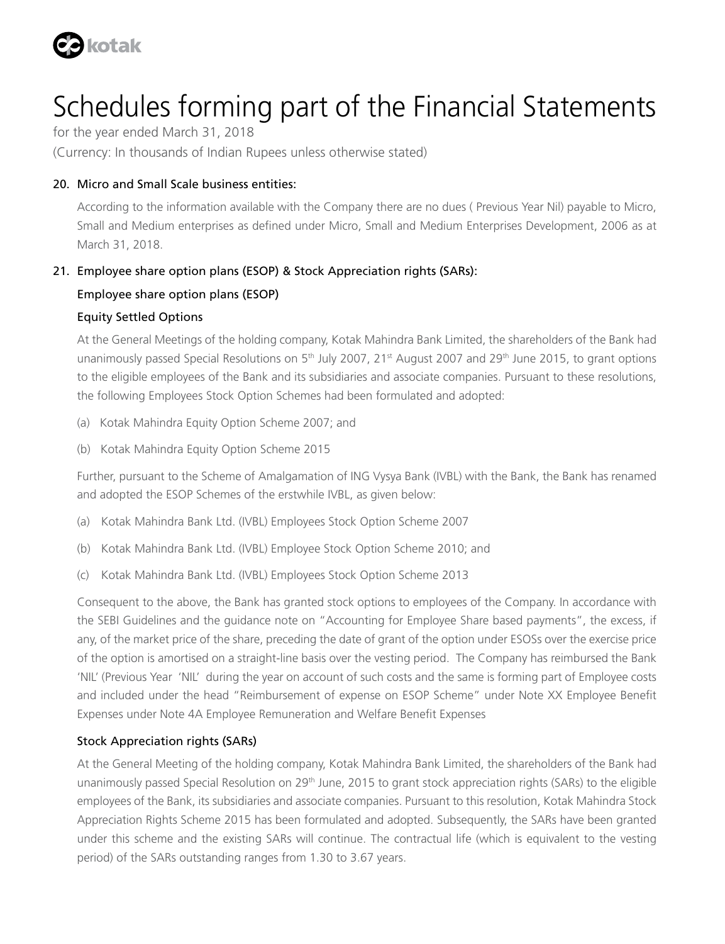

for the year ended March 31, 2018

(Currency: In thousands of Indian Rupees unless otherwise stated)

#### 20. Micro and Small Scale business entities:

According to the information available with the Company there are no dues ( Previous Year Nil) payable to Micro, Small and Medium enterprises as defined under Micro, Small and Medium Enterprises Development, 2006 as at March 31, 2018.

#### 21. Employee share option plans (ESOP) & Stock Appreciation rights (SARs):

#### Employee share option plans (ESOP)

#### Equity Settled Options

At the General Meetings of the holding company, Kotak Mahindra Bank Limited, the shareholders of the Bank had unanimously passed Special Resolutions on 5<sup>th</sup> July 2007, 21<sup>st</sup> August 2007 and 29<sup>th</sup> June 2015, to grant options to the eligible employees of the Bank and its subsidiaries and associate companies. Pursuant to these resolutions, the following Employees Stock Option Schemes had been formulated and adopted:

- (a) Kotak Mahindra Equity Option Scheme 2007; and
- (b) Kotak Mahindra Equity Option Scheme 2015

Further, pursuant to the Scheme of Amalgamation of ING Vysya Bank (IVBL) with the Bank, the Bank has renamed and adopted the ESOP Schemes of the erstwhile IVBL, as given below:

- (a) Kotak Mahindra Bank Ltd. (IVBL) Employees Stock Option Scheme 2007
- (b) Kotak Mahindra Bank Ltd. (IVBL) Employee Stock Option Scheme 2010; and
- (c) Kotak Mahindra Bank Ltd. (IVBL) Employees Stock Option Scheme 2013

Consequent to the above, the Bank has granted stock options to employees of the Company. In accordance with the SEBI Guidelines and the guidance note on "Accounting for Employee Share based payments", the excess, if any, of the market price of the share, preceding the date of grant of the option under ESOSs over the exercise price of the option is amortised on a straight-line basis over the vesting period. The Company has reimbursed the Bank 'NIL' (Previous Year 'NIL' during the year on account of such costs and the same is forming part of Employee costs and included under the head "Reimbursement of expense on ESOP Scheme" under Note XX Employee Benefit Expenses under Note 4A Employee Remuneration and Welfare Benefit Expenses

#### Stock Appreciation rights (SARs)

At the General Meeting of the holding company, Kotak Mahindra Bank Limited, the shareholders of the Bank had unanimously passed Special Resolution on 29<sup>th</sup> June, 2015 to grant stock appreciation rights (SARs) to the eligible employees of the Bank, its subsidiaries and associate companies. Pursuant to this resolution, Kotak Mahindra Stock Appreciation Rights Scheme 2015 has been formulated and adopted. Subsequently, the SARs have been granted under this scheme and the existing SARs will continue. The contractual life (which is equivalent to the vesting period) of the SARs outstanding ranges from 1.30 to 3.67 years.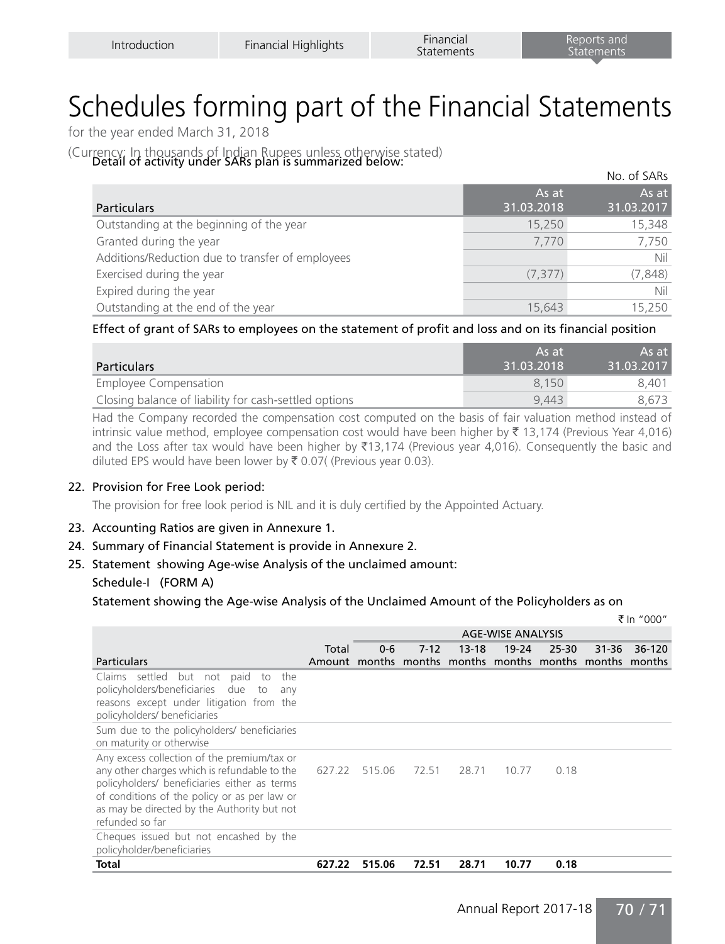for the year ended March 31, 2018

(Currency: In thousands of Indian Rupees unless otherwise stated)<br>Detail of activity under SARs plan is summarized below:

|                                                  |                     | No. of SARs         |
|--------------------------------------------------|---------------------|---------------------|
| <b>Particulars</b>                               | As at<br>31.03.2018 | As at<br>31.03.2017 |
| Outstanding at the beginning of the year         | 15,250              | 15,348              |
| Granted during the year                          | 7,770               | 7,750               |
| Additions/Reduction due to transfer of employees |                     | Nil                 |
| Exercised during the year                        | (7, 377)            | (7, 848)            |
| Expired during the year                          |                     | Nil                 |
| Outstanding at the end of the year               | 15.643              | 15,250              |

#### Effect of grant of SARs to employees on the statement of profit and loss and on its financial position

| <b>Particulars</b>                                    | As at<br>31.03.2018 | $As$ at $\overline{ }$<br>31.03.2017 |
|-------------------------------------------------------|---------------------|--------------------------------------|
| Employee Compensation                                 | 8.150               | 8.401                                |
| Closing balance of liability for cash-settled options | 9.443               | 8.673                                |

Had the Company recorded the compensation cost computed on the basis of fair valuation method instead of intrinsic value method, employee compensation cost would have been higher by  $\bar{\tau}$  13,174 (Previous Year 4,016) and the Loss after tax would have been higher by  $\bar{\xi}$ 13,174 (Previous year 4,016). Consequently the basic and diluted EPS would have been lower by  $\bar{\tau}$  0.07( (Previous year 0.03).

#### 22. Provision for Free Look period:

The provision for free look period is NIL and it is duly certified by the Appointed Actuary.

#### 23. Accounting Ratios are given in Annexure 1.

- 24. Summary of Financial Statement is provide in Annexure 2.
- 25. Statement showing Age-wise Analysis of the unclaimed amount: Schedule-I (FORM A)

Statement showing the Age-wise Analysis of the Unclaimed Amount of the Policyholders as on

|                                                                                                                                                                                                                                                               |                                                         |                          |        |           |           |       |           | ₹ In "000" |
|---------------------------------------------------------------------------------------------------------------------------------------------------------------------------------------------------------------------------------------------------------------|---------------------------------------------------------|--------------------------|--------|-----------|-----------|-------|-----------|------------|
|                                                                                                                                                                                                                                                               |                                                         | <b>AGE-WISE ANALYSIS</b> |        |           |           |       |           |            |
|                                                                                                                                                                                                                                                               | Total                                                   | $0 - 6$                  | $7-12$ | $13 - 18$ | $19 - 24$ | 25-30 | $31 - 36$ | 36-120     |
| <b>Particulars</b>                                                                                                                                                                                                                                            | Amount months months months months months months months |                          |        |           |           |       |           |            |
| Claims settled<br>but not<br>paid<br>the<br>to<br>policyholders/beneficiaries due to<br>any<br>reasons except under litigation from the<br>policyholders/ beneficiaries                                                                                       |                                                         |                          |        |           |           |       |           |            |
| Sum due to the policyholders/ beneficiaries<br>on maturity or otherwise                                                                                                                                                                                       |                                                         |                          |        |           |           |       |           |            |
| Any excess collection of the premium/tax or<br>any other charges which is refundable to the<br>policyholders/ beneficiaries either as terms<br>of conditions of the policy or as per law or<br>as may be directed by the Authority but not<br>refunded so far | 627.22                                                  | 515.06                   | 72.51  | 28.71     | 10.77     | 0.18  |           |            |
| Cheques issued but not encashed by the<br>policyholder/beneficiaries                                                                                                                                                                                          |                                                         |                          |        |           |           |       |           |            |
| Total                                                                                                                                                                                                                                                         | 627.22                                                  | 515.06                   | 72.51  | 28.71     | 10.77     | 0.18  |           |            |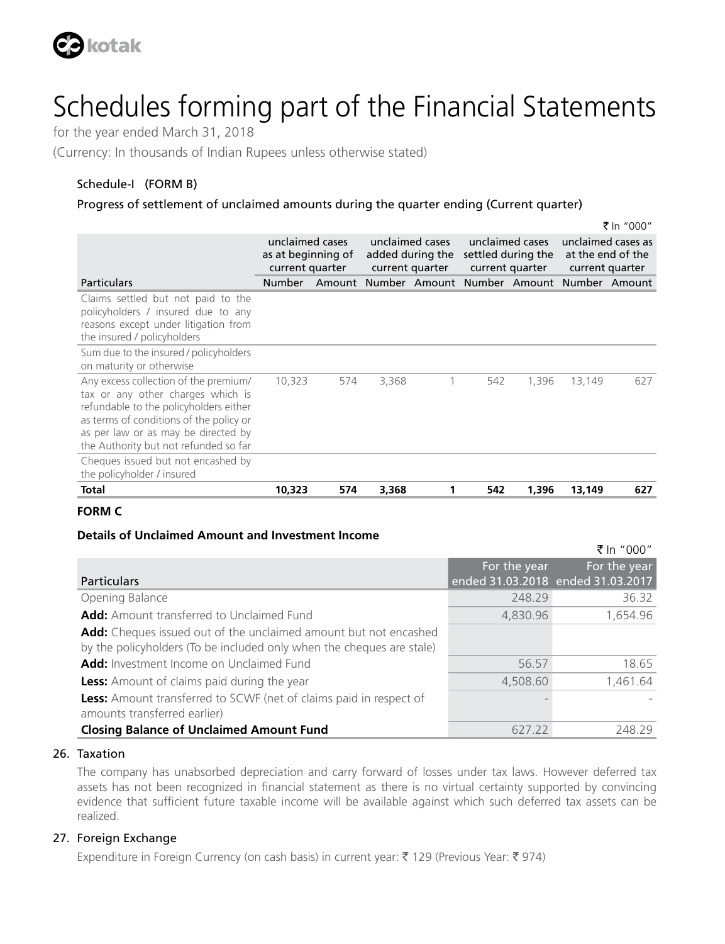

for the year ended March 31, 2018

(Currency: In thousands of Indian Rupees unless otherwise stated)

#### Schedule-I (FORM B)

#### Progress of settlement of unclaimed amounts during the quarter ending (Current quarter)

|                                                                                                                                                                                                                                                 |                                                          |     |                                                        |                                                  |                                                          |       |                                                            | ₹ In "000" |
|-------------------------------------------------------------------------------------------------------------------------------------------------------------------------------------------------------------------------------------------------|----------------------------------------------------------|-----|--------------------------------------------------------|--------------------------------------------------|----------------------------------------------------------|-------|------------------------------------------------------------|------------|
|                                                                                                                                                                                                                                                 | unclaimed cases<br>as at beginning of<br>current quarter |     | unclaimed cases<br>added during the<br>current quarter |                                                  | unclaimed cases<br>settled during the<br>current quarter |       | unclaimed cases as<br>at the end of the<br>current quarter |            |
| <b>Particulars</b>                                                                                                                                                                                                                              | <b>Number</b>                                            |     |                                                        | Amount Number Amount Number Amount Number Amount |                                                          |       |                                                            |            |
| Claims settled but not paid to the<br>policyholders / insured due to any<br>reasons except under litigation from<br>the insured / policyholders                                                                                                 |                                                          |     |                                                        |                                                  |                                                          |       |                                                            |            |
| Sum due to the insured / policyholders<br>on maturity or otherwise                                                                                                                                                                              |                                                          |     |                                                        |                                                  |                                                          |       |                                                            |            |
| Any excess collection of the premium/<br>tax or any other charges which is<br>refundable to the policyholders either<br>as terms of conditions of the policy or<br>as per law or as may be directed by<br>the Authority but not refunded so far | 10,323                                                   | 574 | 3,368                                                  | 1                                                | 542                                                      | 1,396 | 13,149                                                     | 627        |
| Cheques issued but not encashed by<br>the policyholder / insured                                                                                                                                                                                |                                                          |     |                                                        |                                                  |                                                          |       |                                                            |            |
| Total                                                                                                                                                                                                                                           | 10,323                                                   | 574 | 3,368                                                  |                                                  | 542                                                      | 1,396 | 13,149                                                     | 627        |

#### **FORM C**

#### **Details of Unclaimed Amount and Investment Income**

|                                                                                                                                           |              | NULL UUU                                          |
|-------------------------------------------------------------------------------------------------------------------------------------------|--------------|---------------------------------------------------|
| <b>Particulars</b>                                                                                                                        | For the year | For the year<br>ended 31.03.2018 ended 31.03.2017 |
| Opening Balance                                                                                                                           | 248.29       | 36.32                                             |
| <b>Add:</b> Amount transferred to Unclaimed Fund                                                                                          | 4,830.96     | 1,654.96                                          |
| Add: Cheques issued out of the unclaimed amount but not encashed<br>by the policyholders (To be included only when the cheques are stale) |              |                                                   |
| Add: Investment Income on Unclaimed Fund                                                                                                  | 56.57        | 18.65                                             |
| <b>Less:</b> Amount of claims paid during the year                                                                                        | 4,508.60     | 1.461.64                                          |
| <b>Less:</b> Amount transferred to SCWF (net of claims paid in respect of<br>amounts transferred earlier)                                 |              |                                                   |
| <b>Closing Balance of Unclaimed Amount Fund</b>                                                                                           | 627.22       | 24829                                             |

 $F \ln$  "000"

#### 26. Taxation

The company has unabsorbed depreciation and carry forward of losses under tax laws. However deferred tax assets has not been recognized in financial statement as there is no virtual certainty supported by convincing evidence that sufficient future taxable income will be available against which such deferred tax assets can be realized.

#### 27. Foreign Exchange

Expenditure in Foreign Currency (on cash basis) in current year:  $\bar{\tau}$  129 (Previous Year:  $\bar{\tau}$  974)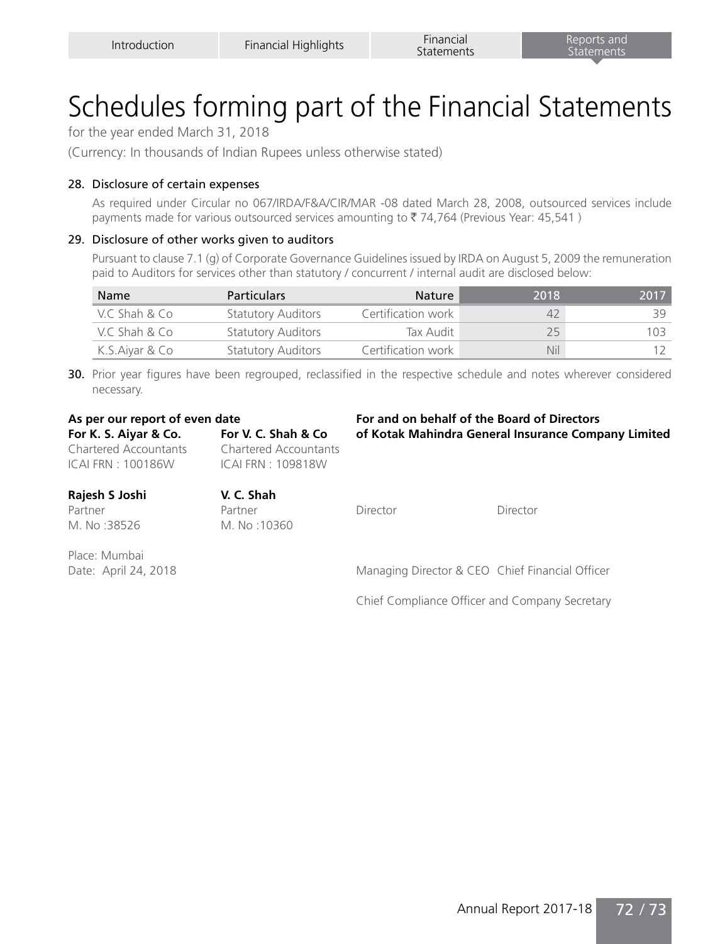for the year ended March 31, 2018

(Currency: In thousands of Indian Rupees unless otherwise stated)

#### 28. Disclosure of certain expenses

As required under Circular no 067/IRDA/F&A/CIR/MAR -08 dated March 28, 2008, outsourced services include payments made for various outsourced services amounting to  $\bar{\tau}$  74,764 (Previous Year: 45,541)

#### 29. Disclosure of other works given to auditors

Pursuant to clause 7.1 (g) of Corporate Governance Guidelines issued by IRDA on August 5, 2009 the remuneration paid to Auditors for services other than statutory / concurrent / internal audit are disclosed below:

| Name           | <b>Particulars</b>        | Nature             | 2018 | 2017 |
|----------------|---------------------------|--------------------|------|------|
| V.C Shah & Co  | <b>Statutory Auditors</b> | Certification work | 42   | 39.  |
| V.C. Shah & Co | <b>Statutory Auditors</b> | Tax Audit          | 25   | 103  |
| K.S.Aiyar & Co | <b>Statutory Auditors</b> | Certification work | Nil  |      |

30. Prior year figures have been regrouped, reclassified in the respective schedule and notes wherever considered necessary.

Chartered Accountants Chartered Accountants ICAI FRN : 100186W ICAI FRN : 109818W

**As per our report of even date For and on behalf of the Board of Directors For K. S. Aiyar & Co. For V. C. Shah & Co of Kotak Mahindra General Insurance Company Limited**

| Rajesh S Joshi       | V. C. Shah  |                                                 |          |
|----------------------|-------------|-------------------------------------------------|----------|
| Partner              | Partner     | Director                                        | Director |
| M. No:38526          | M. No:10360 |                                                 |          |
| Place: Mumbai        |             |                                                 |          |
| Date: April 24, 2018 |             | Managing Director & CEO Chief Financial Officer |          |

Chief Compliance Officer and Company Secretary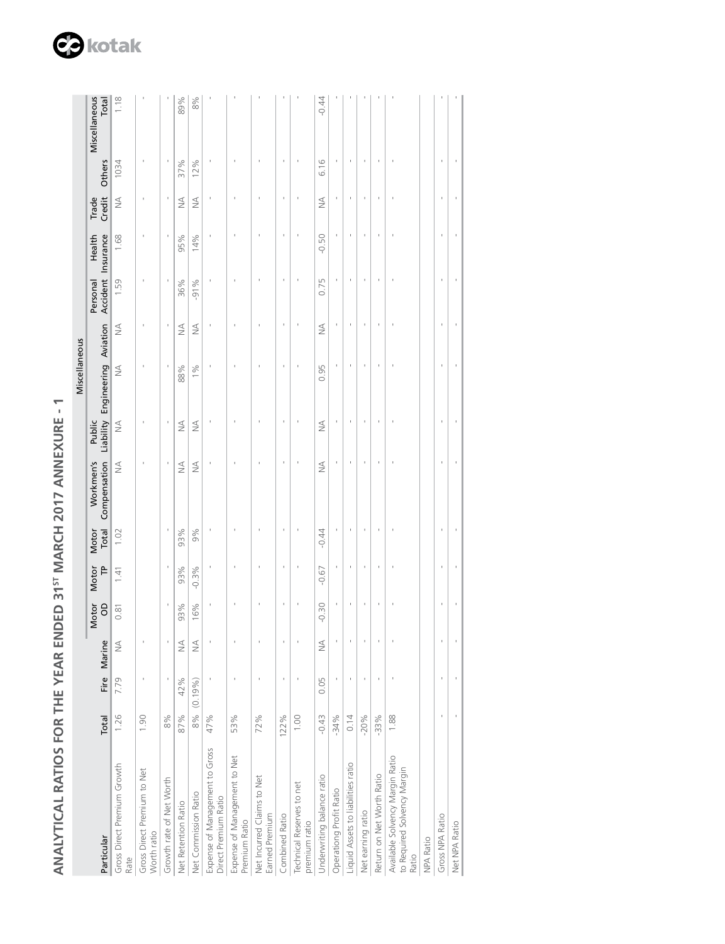|                                                    | ֖֖֖֖֪ׅ֪ׅ֪ׅ֪ׅ֪ׅ֪ׅ֚֚֚֚֚֚֚֚֚֚֚֚֚֚֚֚֚֚֡֝֝֝֝֝֝ |
|----------------------------------------------------|-------------------------------------------|
| Ī<br>I<br>ļ                                        |                                           |
| ľ<br>۱<br>$\overline{\phantom{a}}$<br>$\mathbf{C}$ |                                           |
| $\overline{a}$<br>一 トー                             |                                           |
| ۱                                                  |                                           |
| i<br>C<br>L<br>C<br>I<br>I<br>í                    |                                           |
| י<br>ו<br>$\frac{1}{2}$                            |                                           |
| I<br>į                                             |                                           |
| ֞֟֜֜֜֜֜֜֜֜֜֟֟֓֟֓֟֓֟֓֟׆<br>֪֪֝<br>ו<br>ו            |                                           |
| 1<br>֧֚֚֝֟֟֬<br>֧֖֖֚֚֚֚֚֚֚֚֝֩֝֝֓<br>֧ <u>֓</u>     |                                           |
|                                                    |                                           |
|                                                    |                                           |

|                                                                         |          |         |                                  |            |         |                |                           |               | Miscellaneous                  |               |                                |         |                 |        |                        |
|-------------------------------------------------------------------------|----------|---------|----------------------------------|------------|---------|----------------|---------------------------|---------------|--------------------------------|---------------|--------------------------------|---------|-----------------|--------|------------------------|
| Particular                                                              | Total    | Fire    | Marine                           | Motor<br>8 | Motor   | Total<br>Motor | Workmen's<br>Compensation | Public        | Liability Engineering Aviation |               | Accident Insurance<br>Personal | Health  | Credit<br>Trade | Others | Miscellaneous<br>Total |
| Gross Direct Premium Growth<br>Rate                                     | 1.26     | .79     | ₹                                | 0.81       | 1.41    | 1.02           | $\leq$                    | $\frac{4}{2}$ | $\frac{1}{2}$                  | $\frac{1}{2}$ | 1.59                           | 1.68    | ₹               | 1034   | 1.18                   |
| Gross Direct Premium to Net<br>Worth ratio                              | 1.90     |         |                                  |            |         |                |                           |               |                                |               |                                |         |                 |        |                        |
| Growth rate of Net Worth                                                | 8%       |         |                                  |            |         |                |                           |               |                                |               |                                |         |                 |        |                        |
| Net Retention Ratio                                                     | 87%      | 2%<br>4 | $\stackrel{\triangleleft}{\geq}$ | 93%        | 93%     | 93%            | $\leq$                    | $\frac{1}{2}$ | 88%                            | $\frac{4}{2}$ | 36%                            | 95%     | ₹               | 37%    | 89%                    |
| Net Commission Ratio                                                    | 8% (0.19 | (9/9)   | $\frac{1}{2}$                    | 16%        | $-0.3%$ | 9%             | ₹                         | $\frac{1}{2}$ | 1%                             | $\frac{1}{2}$ | $-91%$                         | 14%     | $\frac{1}{2}$   | 12%    | 8%                     |
| Expense of Management to Gross<br>Direct Premium Ratio                  | 47%      |         |                                  |            |         |                |                           |               |                                |               |                                |         |                 |        |                        |
| Expense of Management to Net<br>Premium Ratio                           | 53%      |         |                                  |            |         |                |                           |               |                                |               |                                |         |                 |        |                        |
| Net Incurred Claims to Net<br>Earned Premium                            | 72%      |         |                                  |            |         |                |                           |               |                                |               |                                |         |                 |        |                        |
| Combined Ratio                                                          | 122%     |         | ı                                |            | ı       |                |                           |               | ı                              |               |                                |         |                 |        |                        |
| Technical Reserves to net<br>premium ratio                              | 1.00     |         |                                  |            |         |                |                           |               |                                |               |                                |         |                 |        |                        |
| Underwriting balance ratio                                              | $-0.43$  | 05<br>0 | $\leq$                           | $-0.30$    | $-0.67$ | $-0.44$        | $\frac{1}{2}$             | ₹             | 0.95                           | ₹             | 0.75                           | $-0.50$ | $\frac{1}{2}$   | 6.16   | $-0.44$                |
| Operationg Profit Ratio                                                 | $-34%$   |         |                                  |            |         |                |                           |               |                                |               |                                |         |                 |        |                        |
| Liquid Assets to liabilities ratio                                      | 0.14     |         |                                  |            |         |                |                           |               |                                |               |                                |         |                 |        |                        |
| Net earning ratio                                                       | $-20%$   |         |                                  |            |         |                |                           |               |                                |               |                                |         |                 |        |                        |
| Return on Net Worth Ratio                                               | $-33%$   |         |                                  |            |         |                |                           |               |                                |               |                                |         |                 |        |                        |
| Available Solvency Margin Ratio<br>to Required Solvency Margin<br>Ratio | 1.88     |         |                                  |            |         |                |                           |               |                                |               |                                |         |                 |        |                        |
| <b>NPA Ratio</b>                                                        |          |         |                                  |            |         |                |                           |               |                                |               |                                |         |                 |        |                        |
| Gross NPA Ratio                                                         |          |         |                                  |            |         |                |                           |               |                                |               |                                |         |                 |        |                        |
| Net NPA Ratio                                                           |          |         |                                  |            |         |                |                           |               |                                |               |                                |         |                 |        |                        |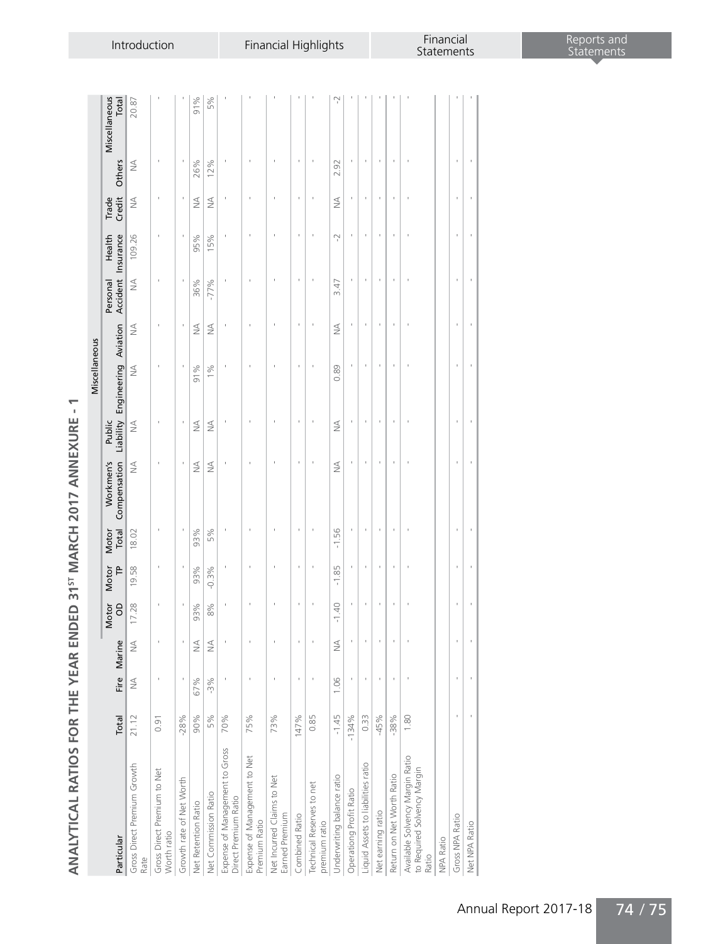| I<br>ı<br>J<br>l<br>I<br>ï<br>ı                   |
|---------------------------------------------------|
| Ï<br>I<br>i                                       |
| Ï                                                 |
| ľ<br>۹<br>Í<br>Í                                  |
| j<br>١<br>ĺ<br>i<br>1                             |
| J<br>ׅׅׅ֚֚֚֚֚֚֚֚֚֚֚֚֡֡֡֓֡֡֓֡֡֡֡֡֡֡֬֓֓֡֡֬֓֓֡֡֡֓֓֡֬ |
| Í<br>١                                            |
| I<br>١<br>I<br>J<br>I<br>ı                        |
| j<br>I<br>1                                       |
| J<br>;                                            |
| ļ<br>Į<br>ı                                       |
| 1<br>I<br>I                                       |
| ļ<br>I                                            |
| I<br>ı                                            |
| Į<br>ť<br>۱<br>١                                  |
|                                                   |
| ø<br>j<br>é                                       |

 $\overline{\phantom{m}}$ 

|                                                                         |         |        |                              |                         |            |                |                           |                                  | Miscellaneous                  |               |               |                              |                 |        |                        |
|-------------------------------------------------------------------------|---------|--------|------------------------------|-------------------------|------------|----------------|---------------------------|----------------------------------|--------------------------------|---------------|---------------|------------------------------|-----------------|--------|------------------------|
| Particular                                                              | Total   |        | Fire Marine                  | Motor<br>$\overline{a}$ | Motor<br>F | Total<br>Motor | Compensation<br>Workmen's | Public                           | Liability Engineering Aviation |               | Personal      | Accident Insurance<br>Health | Trade<br>Credit | Others | Miscellaneous<br>Total |
| Gross Direct Premium Growth<br>Rate                                     | 21.12   | $\leq$ | $\frac{1}{2}$                | 17.28                   | 19.58      | 18.02          | $\leq$                    | $\frac{1}{2}$                    | $\leq$                         | $\leq$        | $\frac{1}{2}$ | 109.26                       | $\frac{1}{2}$   | $\leq$ | 20.87                  |
| Gross Direct Premium to Net<br>Worth ratio                              | 0.91    |        |                              |                         |            |                |                           |                                  |                                |               |               |                              |                 |        |                        |
| Growth rate of Net Worth                                                | $-28%$  | ï      |                              | ï                       | ı          | ı              | ı                         | ï                                | ï                              |               |               |                              |                 |        |                        |
| Net Retention Ratio                                                     | 90%     | 67%    | $\stackrel{\triangle}{\geq}$ | 93%                     | 93%        | 93%            | $\frac{1}{2}$             | $\stackrel{\triangleleft}{\geq}$ | 91%                            | $\frac{1}{2}$ | 36%           | 95%                          | $\frac{1}{2}$   | 26%    | 91%                    |
| Net Commission Ratio                                                    | 5%      | $-3%$  | $\frac{1}{2}$                | 8%                      | $-0.3%$    | 5%             | $\lessgtr$                | $\leq$                           | $1\%$                          | $\frac{1}{2}$ | $-77%$        | 15%                          | ₹               | 12%    | 5%                     |
| Expense of Management to Gross<br>Direct Premium Ratio                  | 70%     |        |                              |                         |            |                |                           |                                  |                                |               |               |                              |                 |        |                        |
| Expense of Management to Net<br>Premium Ratio                           | 75%     |        |                              |                         |            |                |                           |                                  |                                |               |               |                              |                 |        |                        |
| Net Incurred Claims to Net<br>Earned Premium                            | 73%     | ï      |                              |                         |            |                |                           |                                  |                                |               |               |                              |                 |        |                        |
| Combined Ratio                                                          | 147%    | ı      | ı                            | ı                       | ı          | ı              | ı                         | ı                                | ı                              |               | ı             | ı                            | ı               | ı      |                        |
| Technical Reserves to net<br>premium ratio                              | 0.85    |        |                              |                         |            |                |                           |                                  |                                |               |               |                              |                 |        |                        |
| Underwriting balance ratio                                              | $-1.45$ | 1.06   | $\frac{1}{2}$                | 40<br>Τ                 | 85<br>7    | $-1.56$        | ≸                         | ₹                                | 0.89                           | ₹             | 3.47          | Ņ                            | $\frac{1}{2}$   | 2.92   | Ņ                      |
| Operationg Profit Ratio                                                 | $-134%$ | ı      |                              | ı                       | ı          |                | ı                         | ı                                | ı                              |               |               |                              | ı               |        |                        |
| Liquid Assets to liabilities ratio                                      | 0.33    |        |                              |                         |            |                |                           |                                  |                                |               |               |                              |                 |        |                        |
| Net earning ratio                                                       | $-45%$  |        |                              |                         |            |                |                           | t                                |                                |               |               |                              |                 |        |                        |
| Return on Net Worth Ratio                                               | $-38%$  | f,     |                              | ï                       | ï          |                | ı                         | ï                                | ï                              |               | ı             |                              | ï               | ı      |                        |
| Available Solvency Margin Ratio<br>to Required Solvency Margin<br>Ratio | 1.80    |        |                              |                         |            |                |                           |                                  |                                |               |               |                              |                 |        |                        |
| NPA Ratio                                                               |         |        |                              |                         |            |                |                           |                                  |                                |               |               |                              |                 |        |                        |
| Gross NPA Ratio                                                         |         | ï      | ı                            | ï                       | ı          |                | ı                         | ï                                | ï                              | ï             | ı             | ï                            | ı               | ı      |                        |
| Net NPA Ratio                                                           |         |        |                              |                         |            |                |                           |                                  |                                |               |               |                              |                 |        |                        |
|                                                                         |         |        |                              |                         |            |                |                           |                                  |                                |               |               |                              |                 |        |                        |

Annual Report 2017-18